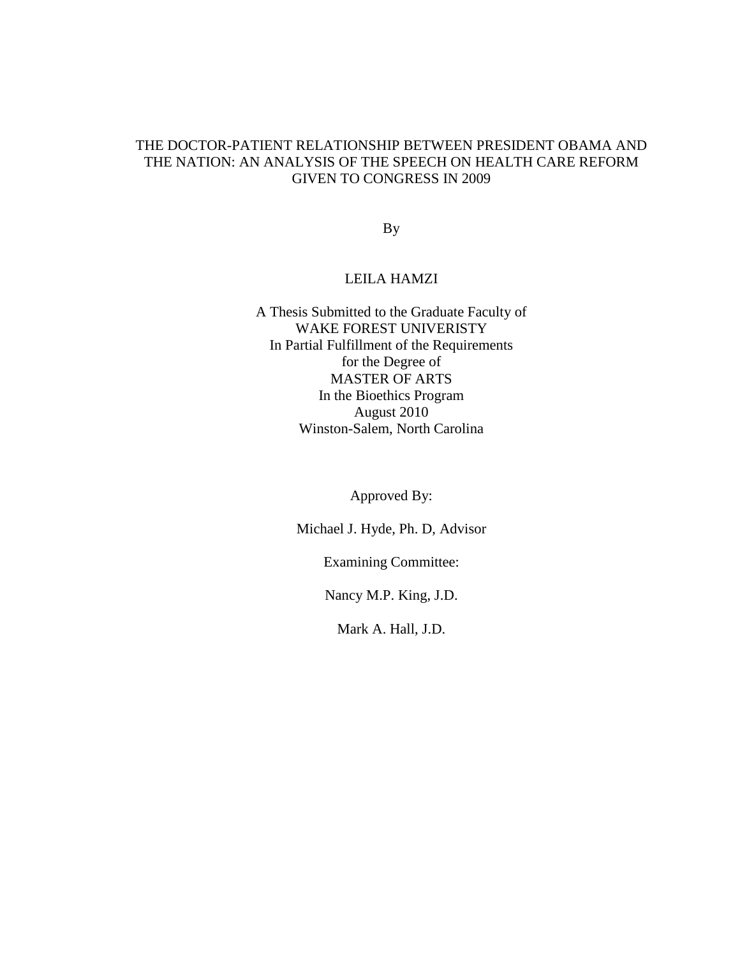## THE DOCTOR-PATIENT RELATIONSHIP BETWEEN PRESIDENT OBAMA AND THE NATION: AN ANALYSIS OF THE SPEECH ON HEALTH CARE REFORM GIVEN TO CONGRESS IN 2009

By

## LEILA HAMZI

A Thesis Submitted to the Graduate Faculty of WAKE FOREST UNIVERISTY In Partial Fulfillment of the Requirements for the Degree of MASTER OF ARTS In the Bioethics Program August 2010 Winston-Salem, North Carolina

Approved By:

Michael J. Hyde, Ph. D, Advisor

Examining Committee:

Nancy M.P. King, J.D.

Mark A. Hall, J.D.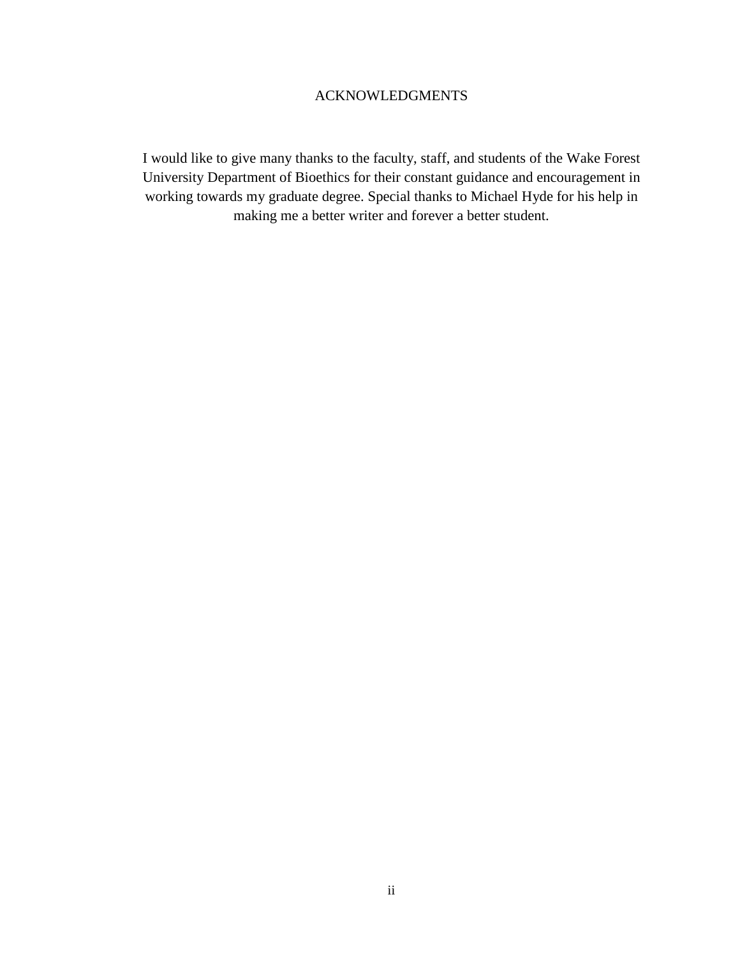# ACKNOWLEDGMENTS

I would like to give many thanks to the faculty, staff, and students of the Wake Forest University Department of Bioethics for their constant guidance and encouragement in working towards my graduate degree. Special thanks to Michael Hyde for his help in making me a better writer and forever a better student.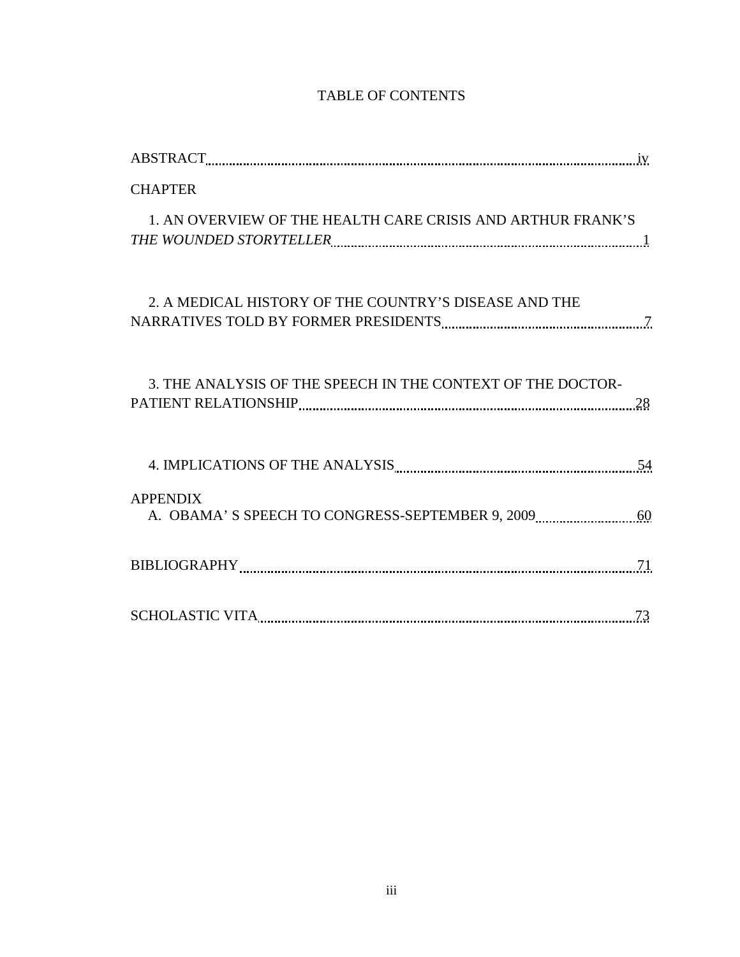| <b>CHAPTER</b>                                                                                                       |
|----------------------------------------------------------------------------------------------------------------------|
| 1. AN OVERVIEW OF THE HEALTH CARE CRISIS AND ARTHUR FRANK'S                                                          |
| 2. A MEDICAL HISTORY OF THE COUNTRY'S DISEASE AND THE                                                                |
| 3. THE ANALYSIS OF THE SPEECH IN THE CONTEXT OF THE DOCTOR-                                                          |
| 4. IMPLICATIONS OF THE ANALYSIS EXAMPLE AND THE ANALYSIS AND RELATIONS OF THE ANALYSIS AND RELATIONS OF THE ANALYSIS |
| <b>APPENDIX</b>                                                                                                      |
|                                                                                                                      |
| 73                                                                                                                   |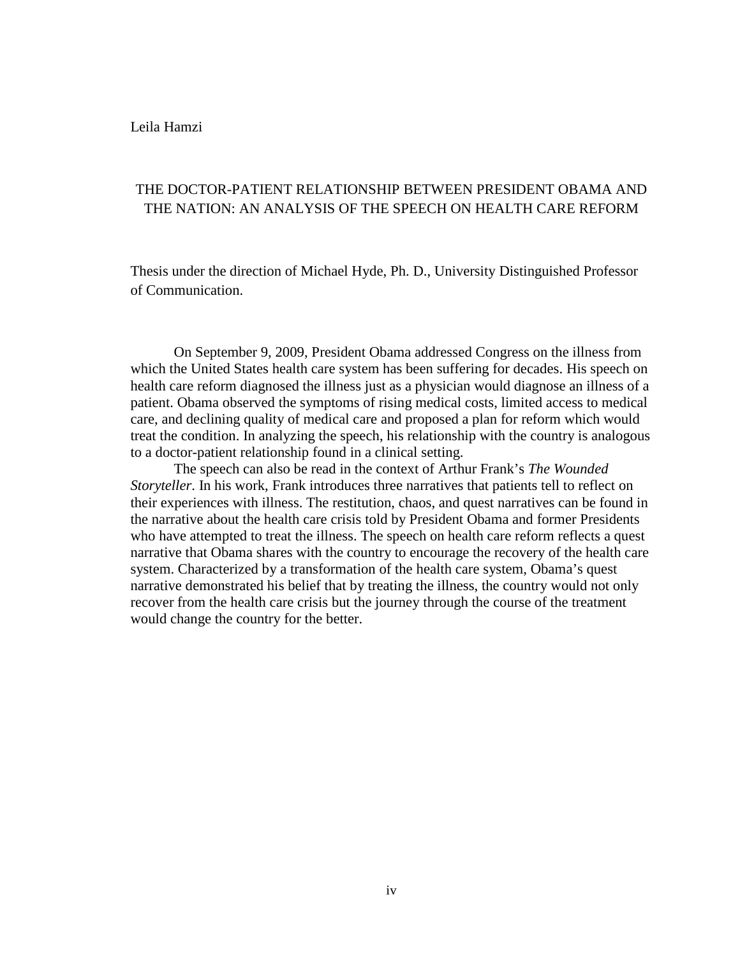# THE DOCTOR-PATIENT RELATIONSHIP BETWEEN PRESIDENT OBAMA AND THE NATION: AN ANALYSIS OF THE SPEECH ON HEALTH CARE REFORM

Thesis under the direction of Michael Hyde, Ph. D., University Distinguished Professor of Communication.

On September 9, 2009, President Obama addressed Congress on the illness from which the United States health care system has been suffering for decades. His speech on health care reform diagnosed the illness just as a physician would diagnose an illness of a patient. Obama observed the symptoms of rising medical costs, limited access to medical care, and declining quality of medical care and proposed a plan for reform which would treat the condition. In analyzing the speech, his relationship with the country is analogous to a doctor-patient relationship found in a clinical setting.

The speech can also be read in the context of Arthur Frank's *The Wounded Storyteller*. In his work, Frank introduces three narratives that patients tell to reflect on their experiences with illness. The restitution, chaos, and quest narratives can be found in the narrative about the health care crisis told by President Obama and former Presidents who have attempted to treat the illness. The speech on health care reform reflects a quest narrative that Obama shares with the country to encourage the recovery of the health care system. Characterized by a transformation of the health care system, Obama's quest narrative demonstrated his belief that by treating the illness, the country would not only recover from the health care crisis but the journey through the course of the treatment would change the country for the better.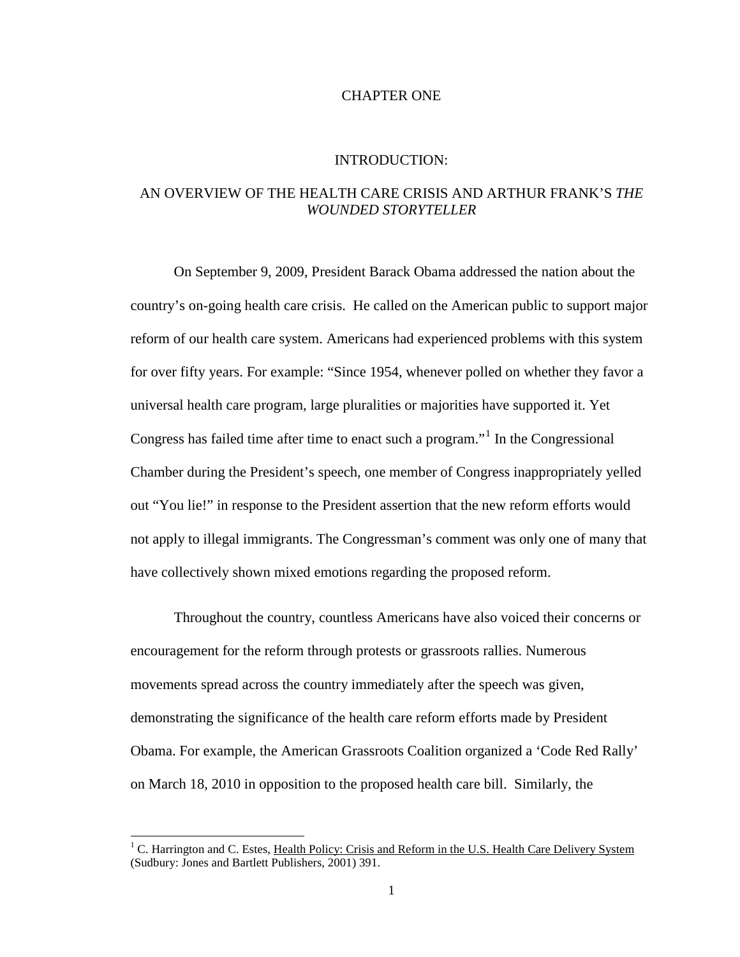### CHAPTER ONE

### INTRODUCTION:

## AN OVERVIEW OF THE HEALTH CARE CRISIS AND ARTHUR FRANK'S *THE WOUNDED STORYTELLER*

On September 9, 2009, President Barack Obama addressed the nation about the country's on-going health care crisis. He called on the American public to support major reform of our health care system. Americans had experienced problems with this system for over fifty years. For example: "Since 1954, whenever polled on whether they favor a universal health care program, large pluralities or majorities have supported it. Yet Congress has failed time after time to enact such a program."<sup>[1](#page-4-0)</sup> In the Congressional Chamber during the President's speech, one member of Congress inappropriately yelled out "You lie!" in response to the President assertion that the new reform efforts would not apply to illegal immigrants. The Congressman's comment was only one of many that have collectively shown mixed emotions regarding the proposed reform.

Throughout the country, countless Americans have also voiced their concerns or encouragement for the reform through protests or grassroots rallies. Numerous movements spread across the country immediately after the speech was given, demonstrating the significance of the health care reform efforts made by President Obama. For example, the American Grassroots Coalition organized a 'Code Red Rally' on March 18, 2010 in opposition to the proposed health care bill. Similarly, the

<span id="page-4-0"></span><sup>&</sup>lt;sup>1</sup> C. Harrington and C. Estes, Health Policy: Crisis and Reform in the U.S. Health Care Delivery System (Sudbury: Jones and Bartlett Publishers, 2001) 391.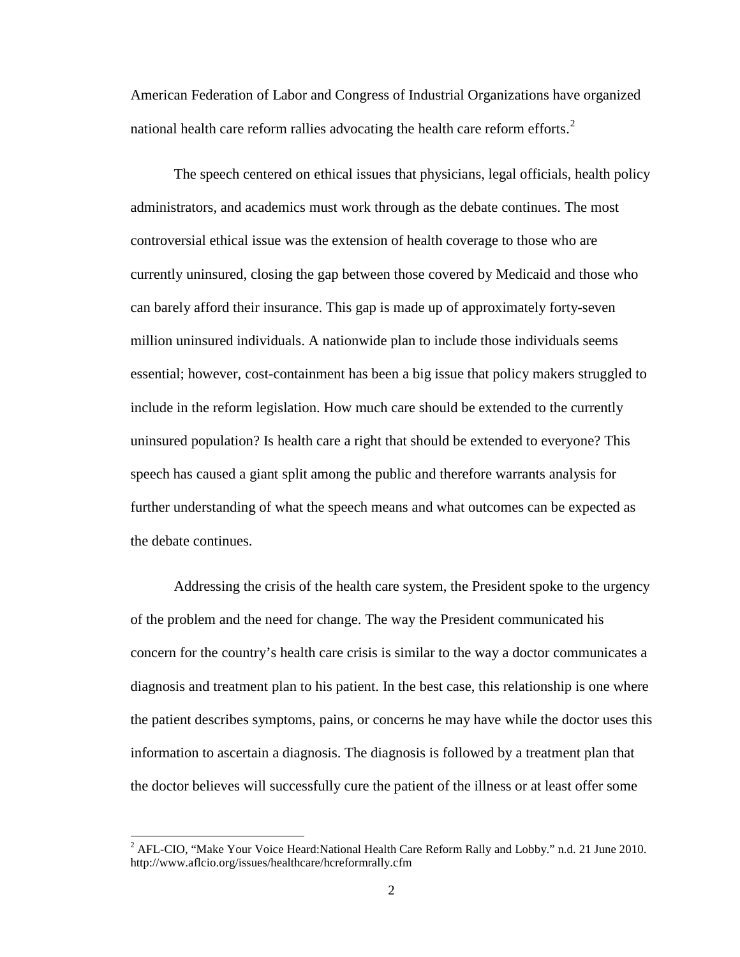American Federation of Labor and Congress of Industrial Organizations have organized national health care reform rallies advocating the health care reform efforts.<sup>[2](#page-5-0)</sup>

The speech centered on ethical issues that physicians, legal officials, health policy administrators, and academics must work through as the debate continues. The most controversial ethical issue was the extension of health coverage to those who are currently uninsured, closing the gap between those covered by Medicaid and those who can barely afford their insurance. This gap is made up of approximately forty-seven million uninsured individuals. A nationwide plan to include those individuals seems essential; however, cost-containment has been a big issue that policy makers struggled to include in the reform legislation. How much care should be extended to the currently uninsured population? Is health care a right that should be extended to everyone? This speech has caused a giant split among the public and therefore warrants analysis for further understanding of what the speech means and what outcomes can be expected as the debate continues.

Addressing the crisis of the health care system, the President spoke to the urgency of the problem and the need for change. The way the President communicated his concern for the country's health care crisis is similar to the way a doctor communicates a diagnosis and treatment plan to his patient. In the best case, this relationship is one where the patient describes symptoms, pains, or concerns he may have while the doctor uses this information to ascertain a diagnosis. The diagnosis is followed by a treatment plan that the doctor believes will successfully cure the patient of the illness or at least offer some

<span id="page-5-0"></span> $2^2$  AFL-CIO, "Make Your Voice Heard:National Health Care Reform Rally and Lobby." n.d. 21 June 2010. http://www.aflcio.org/issues/healthcare/hcreformrally.cfm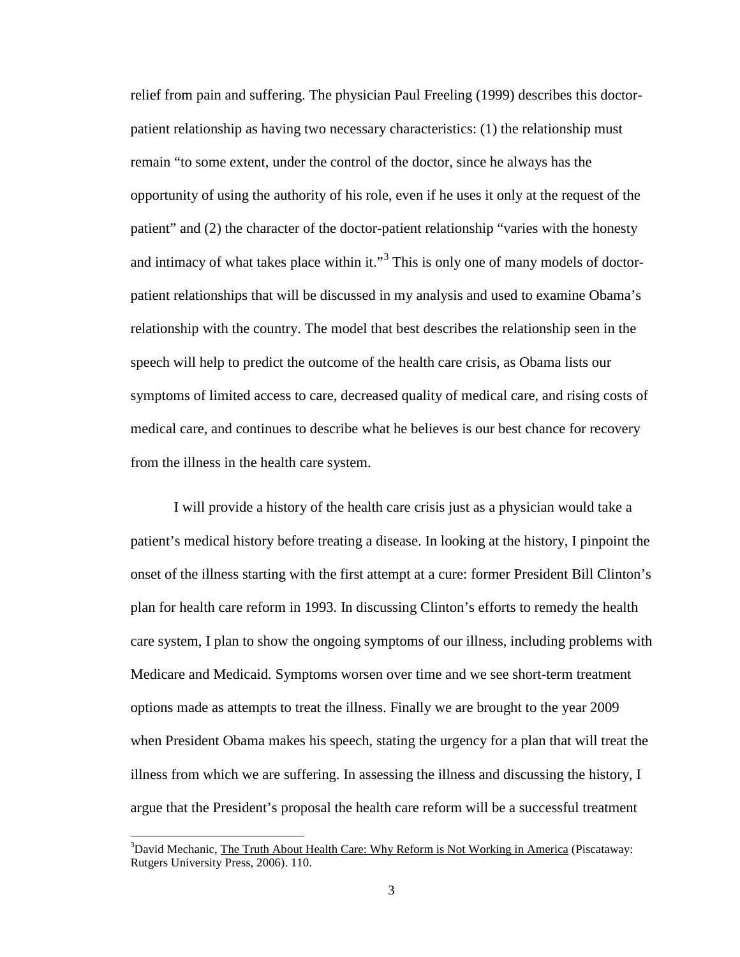relief from pain and suffering. The physician Paul Freeling (1999) describes this doctorpatient relationship as having two necessary characteristics: (1) the relationship must remain "to some extent, under the control of the doctor, since he always has the opportunity of using the authority of his role, even if he uses it only at the request of the patient" and (2) the character of the doctor-patient relationship "varies with the honesty and intimacy of what takes place within it."<sup>[3](#page-6-0)</sup> This is only one of many models of doctorpatient relationships that will be discussed in my analysis and used to examine Obama's relationship with the country. The model that best describes the relationship seen in the speech will help to predict the outcome of the health care crisis, as Obama lists our symptoms of limited access to care, decreased quality of medical care, and rising costs of medical care, and continues to describe what he believes is our best chance for recovery from the illness in the health care system.

I will provide a history of the health care crisis just as a physician would take a patient's medical history before treating a disease. In looking at the history, I pinpoint the onset of the illness starting with the first attempt at a cure: former President Bill Clinton's plan for health care reform in 1993. In discussing Clinton's efforts to remedy the health care system, I plan to show the ongoing symptoms of our illness, including problems with Medicare and Medicaid. Symptoms worsen over time and we see short-term treatment options made as attempts to treat the illness. Finally we are brought to the year 2009 when President Obama makes his speech, stating the urgency for a plan that will treat the illness from which we are suffering. In assessing the illness and discussing the history, I argue that the President's proposal the health care reform will be a successful treatment

<span id="page-6-0"></span> <sup>3</sup>  $3$ David Mechanic, The Truth About Health Care: Why Reform is Not Working in America (Piscataway: Rutgers University Press, 2006). 110.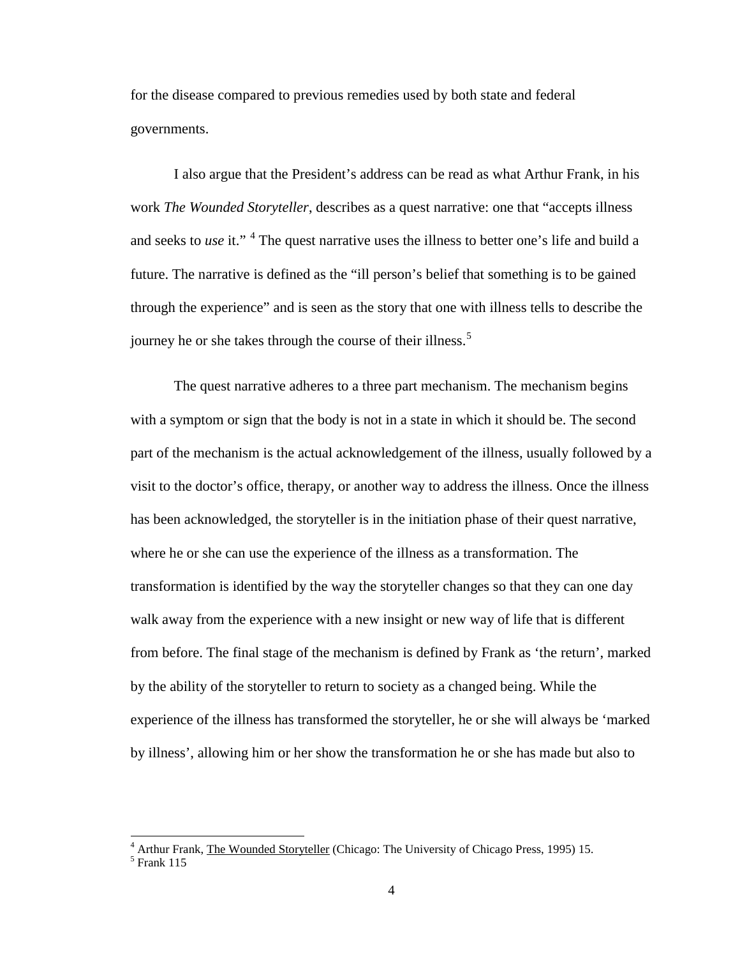for the disease compared to previous remedies used by both state and federal governments.

I also argue that the President's address can be read as what Arthur Frank, in his work *The Wounded Storyteller*, describes as a quest narrative: one that "accepts illness and seeks to *use* it."<sup>[4](#page-7-0)</sup> The quest narrative uses the illness to better one's life and build a future. The narrative is defined as the "ill person's belief that something is to be gained through the experience" and is seen as the story that one with illness tells to describe the journey he or she takes through the course of their illness.<sup>[5](#page-7-1)</sup>

The quest narrative adheres to a three part mechanism. The mechanism begins with a symptom or sign that the body is not in a state in which it should be. The second part of the mechanism is the actual acknowledgement of the illness, usually followed by a visit to the doctor's office, therapy, or another way to address the illness. Once the illness has been acknowledged, the storyteller is in the initiation phase of their quest narrative, where he or she can use the experience of the illness as a transformation. The transformation is identified by the way the storyteller changes so that they can one day walk away from the experience with a new insight or new way of life that is different from before. The final stage of the mechanism is defined by Frank as 'the return', marked by the ability of the storyteller to return to society as a changed being. While the experience of the illness has transformed the storyteller, he or she will always be 'marked by illness', allowing him or her show the transformation he or she has made but also to

<span id="page-7-0"></span> $^4$  Arthur Frank, <u>The Wounded Storyteller</u> (Chicago: The University of Chicago Press, 1995) 15.  $^5$  Frank 115

<span id="page-7-1"></span>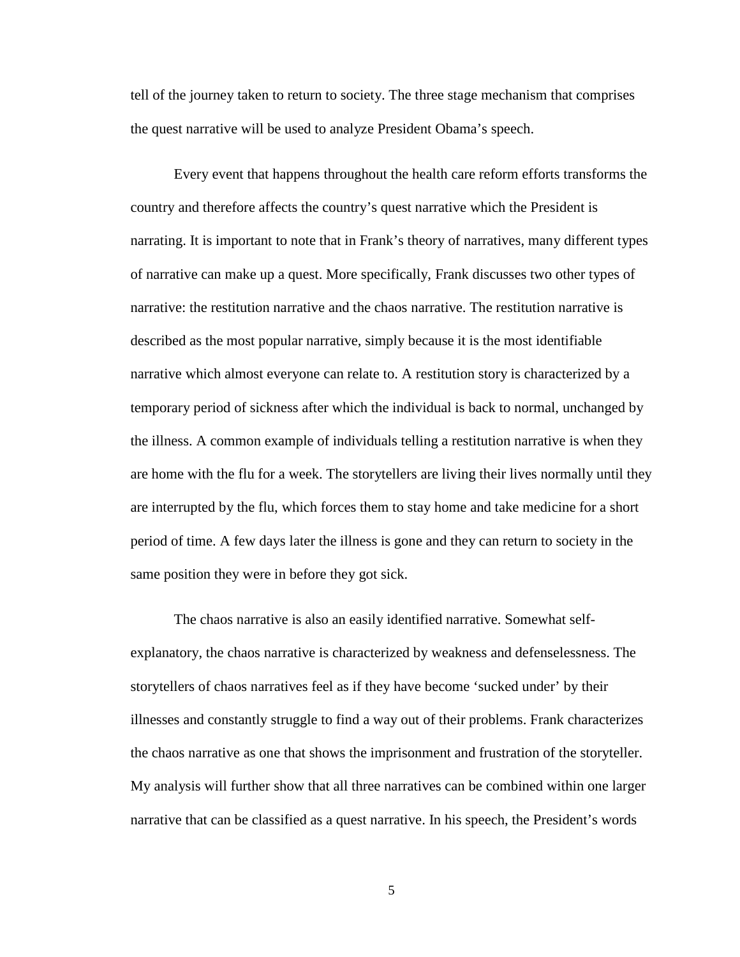tell of the journey taken to return to society. The three stage mechanism that comprises the quest narrative will be used to analyze President Obama's speech.

Every event that happens throughout the health care reform efforts transforms the country and therefore affects the country's quest narrative which the President is narrating. It is important to note that in Frank's theory of narratives, many different types of narrative can make up a quest. More specifically, Frank discusses two other types of narrative: the restitution narrative and the chaos narrative. The restitution narrative is described as the most popular narrative, simply because it is the most identifiable narrative which almost everyone can relate to. A restitution story is characterized by a temporary period of sickness after which the individual is back to normal, unchanged by the illness. A common example of individuals telling a restitution narrative is when they are home with the flu for a week. The storytellers are living their lives normally until they are interrupted by the flu, which forces them to stay home and take medicine for a short period of time. A few days later the illness is gone and they can return to society in the same position they were in before they got sick.

The chaos narrative is also an easily identified narrative. Somewhat selfexplanatory, the chaos narrative is characterized by weakness and defenselessness. The storytellers of chaos narratives feel as if they have become 'sucked under' by their illnesses and constantly struggle to find a way out of their problems. Frank characterizes the chaos narrative as one that shows the imprisonment and frustration of the storyteller. My analysis will further show that all three narratives can be combined within one larger narrative that can be classified as a quest narrative. In his speech, the President's words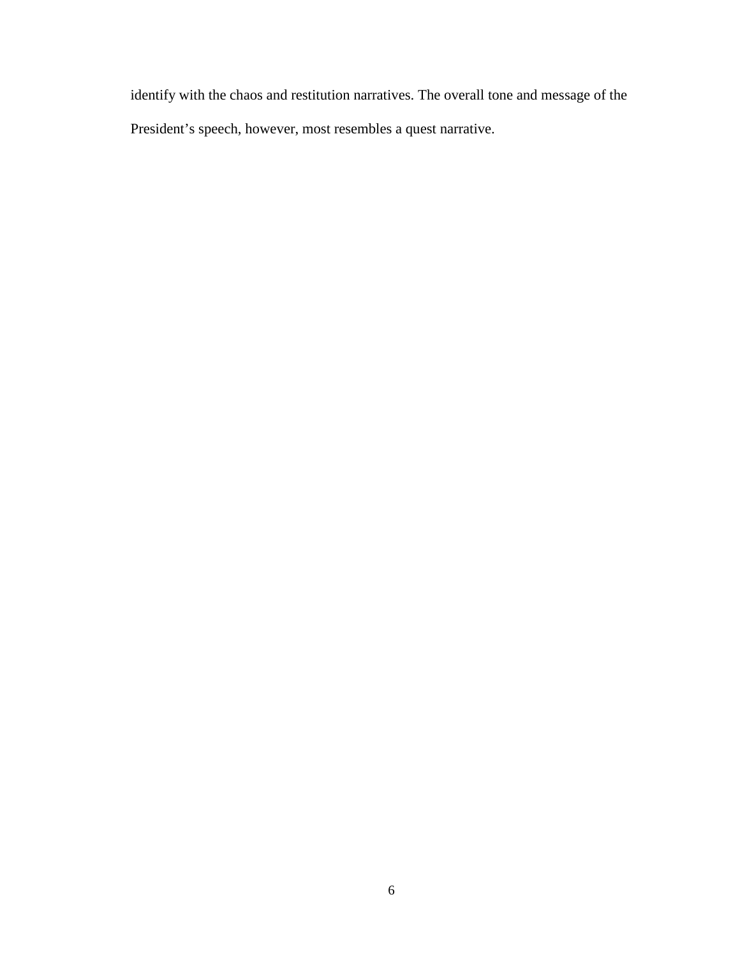identify with the chaos and restitution narratives. The overall tone and message of the President's speech, however, most resembles a quest narrative.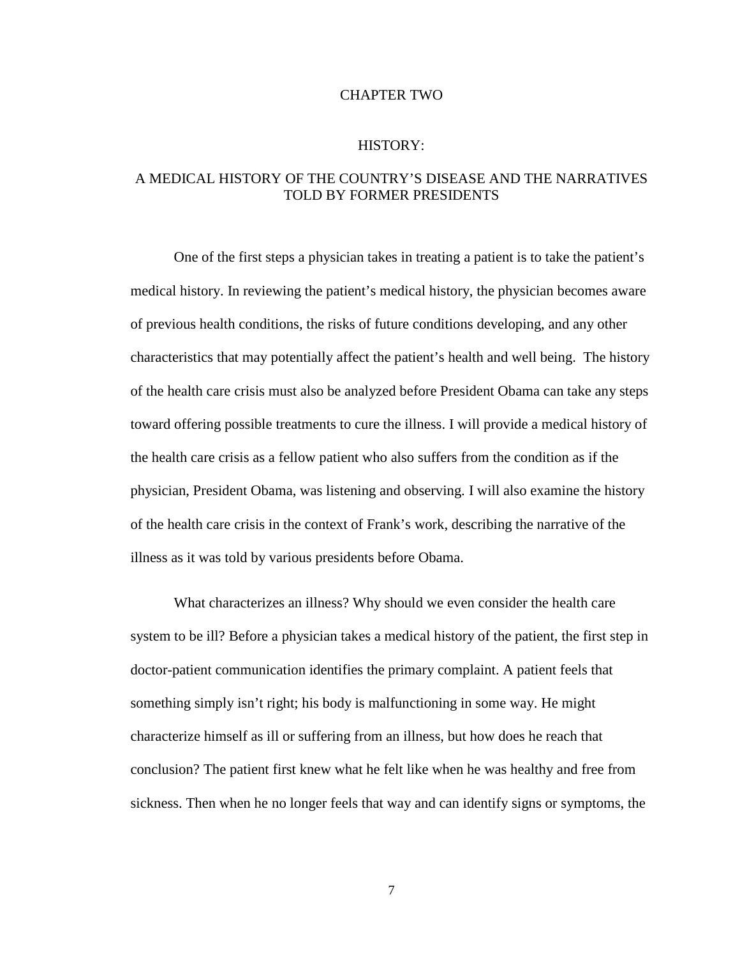### CHAPTER TWO

#### HISTORY:

## A MEDICAL HISTORY OF THE COUNTRY'S DISEASE AND THE NARRATIVES TOLD BY FORMER PRESIDENTS

One of the first steps a physician takes in treating a patient is to take the patient's medical history. In reviewing the patient's medical history, the physician becomes aware of previous health conditions, the risks of future conditions developing, and any other characteristics that may potentially affect the patient's health and well being. The history of the health care crisis must also be analyzed before President Obama can take any steps toward offering possible treatments to cure the illness. I will provide a medical history of the health care crisis as a fellow patient who also suffers from the condition as if the physician, President Obama, was listening and observing. I will also examine the history of the health care crisis in the context of Frank's work, describing the narrative of the illness as it was told by various presidents before Obama.

What characterizes an illness? Why should we even consider the health care system to be ill? Before a physician takes a medical history of the patient, the first step in doctor-patient communication identifies the primary complaint. A patient feels that something simply isn't right; his body is malfunctioning in some way. He might characterize himself as ill or suffering from an illness, but how does he reach that conclusion? The patient first knew what he felt like when he was healthy and free from sickness. Then when he no longer feels that way and can identify signs or symptoms, the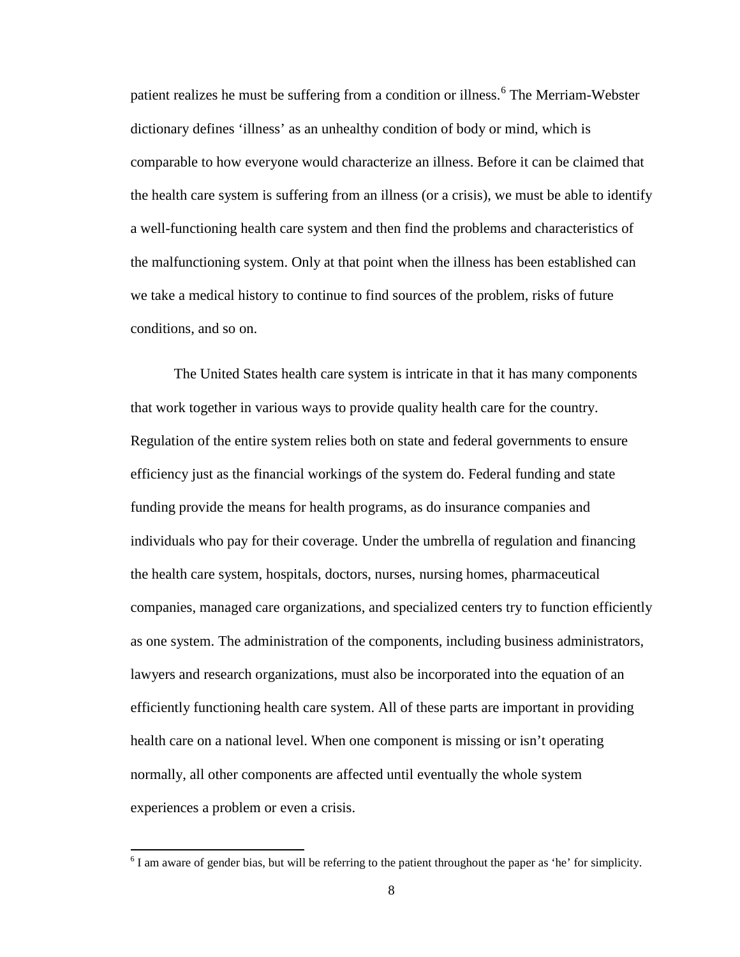patient realizes he must be suffering from a condition or illness.<sup>[6](#page-11-0)</sup> The Merriam-Webster dictionary defines 'illness' as an unhealthy condition of body or mind, which is comparable to how everyone would characterize an illness. Before it can be claimed that the health care system is suffering from an illness (or a crisis), we must be able to identify a well-functioning health care system and then find the problems and characteristics of the malfunctioning system. Only at that point when the illness has been established can we take a medical history to continue to find sources of the problem, risks of future conditions, and so on.

The United States health care system is intricate in that it has many components that work together in various ways to provide quality health care for the country. Regulation of the entire system relies both on state and federal governments to ensure efficiency just as the financial workings of the system do. Federal funding and state funding provide the means for health programs, as do insurance companies and individuals who pay for their coverage. Under the umbrella of regulation and financing the health care system, hospitals, doctors, nurses, nursing homes, pharmaceutical companies, managed care organizations, and specialized centers try to function efficiently as one system. The administration of the components, including business administrators, lawyers and research organizations, must also be incorporated into the equation of an efficiently functioning health care system. All of these parts are important in providing health care on a national level. When one component is missing or isn't operating normally, all other components are affected until eventually the whole system experiences a problem or even a crisis.

<span id="page-11-0"></span> <sup>6</sup> I am aware of gender bias, but will be referring to the patient throughout the paper as 'he' for simplicity.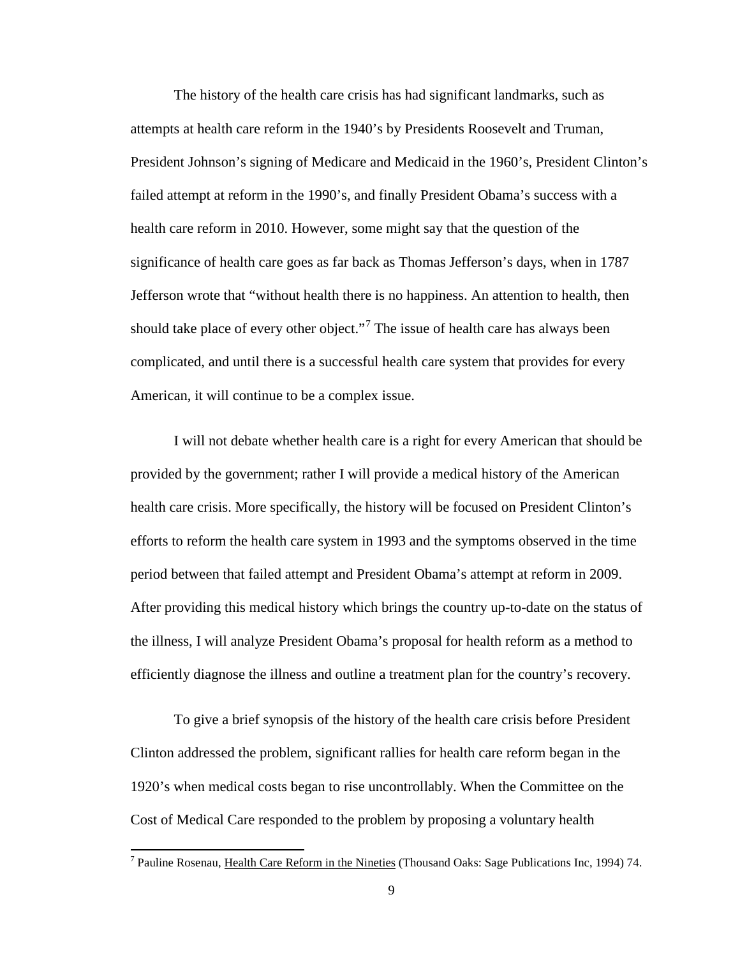The history of the health care crisis has had significant landmarks, such as attempts at health care reform in the 1940's by Presidents Roosevelt and Truman, President Johnson's signing of Medicare and Medicaid in the 1960's, President Clinton's failed attempt at reform in the 1990's, and finally President Obama's success with a health care reform in 2010. However, some might say that the question of the significance of health care goes as far back as Thomas Jefferson's days, when in 1787 Jefferson wrote that "without health there is no happiness. An attention to health, then should take place of every other object."<sup>[7](#page-12-0)</sup> The issue of health care has always been complicated, and until there is a successful health care system that provides for every American, it will continue to be a complex issue.

I will not debate whether health care is a right for every American that should be provided by the government; rather I will provide a medical history of the American health care crisis. More specifically, the history will be focused on President Clinton's efforts to reform the health care system in 1993 and the symptoms observed in the time period between that failed attempt and President Obama's attempt at reform in 2009. After providing this medical history which brings the country up-to-date on the status of the illness, I will analyze President Obama's proposal for health reform as a method to efficiently diagnose the illness and outline a treatment plan for the country's recovery.

To give a brief synopsis of the history of the health care crisis before President Clinton addressed the problem, significant rallies for health care reform began in the 1920's when medical costs began to rise uncontrollably. When the Committee on the Cost of Medical Care responded to the problem by proposing a voluntary health

<span id="page-12-0"></span><sup>&</sup>lt;sup>7</sup> Pauline Rosenau, Health Care Reform in the Nineties (Thousand Oaks: Sage Publications Inc, 1994) 74.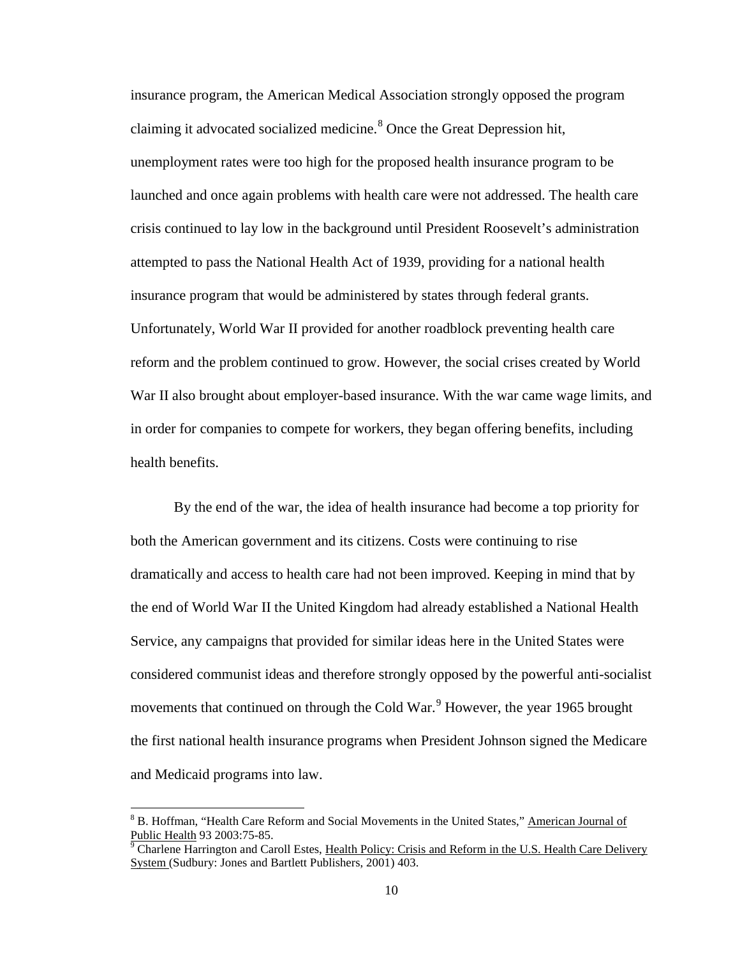insurance program, the American Medical Association strongly opposed the program claiming it advocated socialized medicine.<sup>[8](#page-13-0)</sup> Once the Great Depression hit, unemployment rates were too high for the proposed health insurance program to be launched and once again problems with health care were not addressed. The health care crisis continued to lay low in the background until President Roosevelt's administration attempted to pass the National Health Act of 1939, providing for a national health insurance program that would be administered by states through federal grants. Unfortunately, World War II provided for another roadblock preventing health care reform and the problem continued to grow. However, the social crises created by World War II also brought about employer-based insurance. With the war came wage limits, and in order for companies to compete for workers, they began offering benefits, including health benefits.

By the end of the war, the idea of health insurance had become a top priority for both the American government and its citizens. Costs were continuing to rise dramatically and access to health care had not been improved. Keeping in mind that by the end of World War II the United Kingdom had already established a National Health Service, any campaigns that provided for similar ideas here in the United States were considered communist ideas and therefore strongly opposed by the powerful anti-socialist movements that continued on through the Cold War.<sup>[9](#page-13-1)</sup> However, the year 1965 brought the first national health insurance programs when President Johnson signed the Medicare and Medicaid programs into law.

<span id="page-13-0"></span><sup>&</sup>lt;sup>8</sup> B. Hoffman, "Health Care Reform and Social Movements in the United States," American Journal of Public Health 93 2003:75-85.

<span id="page-13-1"></span><sup>&</sup>lt;sup>9</sup> Charlene Harrington and Caroll Estes, Health Policy: Crisis and Reform in the U.S. Health Care Delivery System (Sudbury: Jones and Bartlett Publishers, 2001) 403.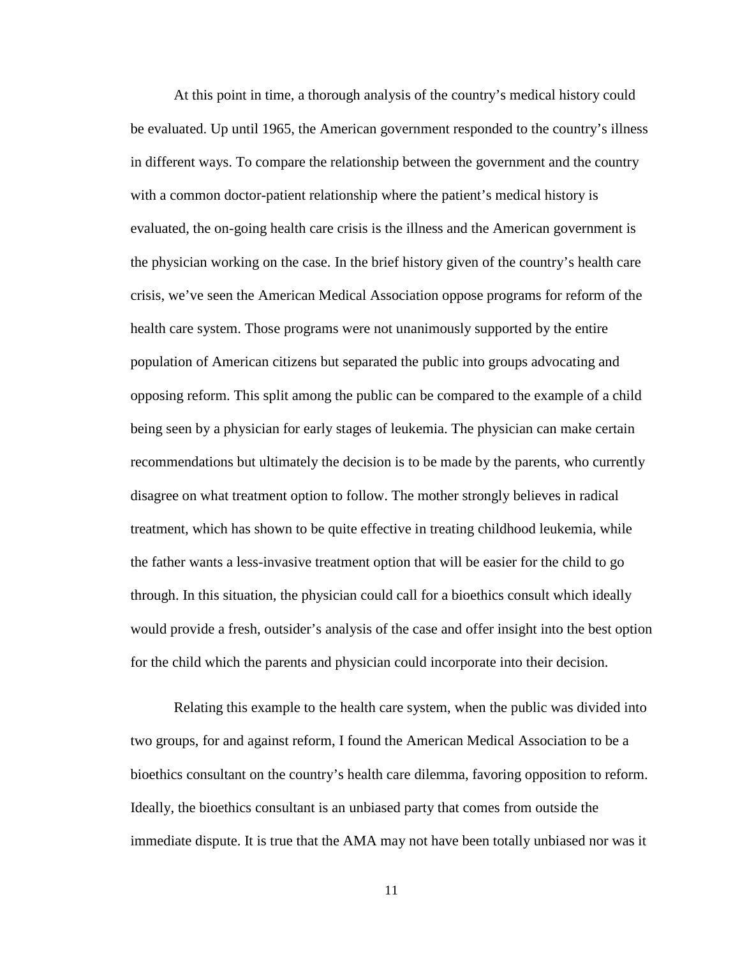At this point in time, a thorough analysis of the country's medical history could be evaluated. Up until 1965, the American government responded to the country's illness in different ways. To compare the relationship between the government and the country with a common doctor-patient relationship where the patient's medical history is evaluated, the on-going health care crisis is the illness and the American government is the physician working on the case. In the brief history given of the country's health care crisis, we've seen the American Medical Association oppose programs for reform of the health care system. Those programs were not unanimously supported by the entire population of American citizens but separated the public into groups advocating and opposing reform. This split among the public can be compared to the example of a child being seen by a physician for early stages of leukemia. The physician can make certain recommendations but ultimately the decision is to be made by the parents, who currently disagree on what treatment option to follow. The mother strongly believes in radical treatment, which has shown to be quite effective in treating childhood leukemia, while the father wants a less-invasive treatment option that will be easier for the child to go through. In this situation, the physician could call for a bioethics consult which ideally would provide a fresh, outsider's analysis of the case and offer insight into the best option for the child which the parents and physician could incorporate into their decision.

Relating this example to the health care system, when the public was divided into two groups, for and against reform, I found the American Medical Association to be a bioethics consultant on the country's health care dilemma, favoring opposition to reform. Ideally, the bioethics consultant is an unbiased party that comes from outside the immediate dispute. It is true that the AMA may not have been totally unbiased nor was it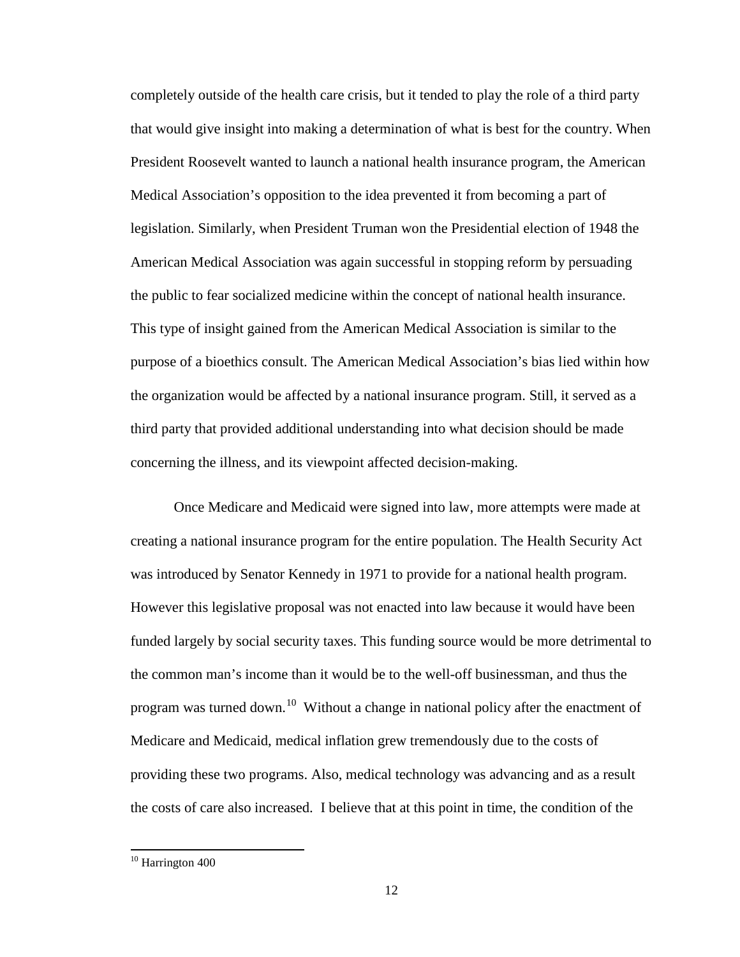completely outside of the health care crisis, but it tended to play the role of a third party that would give insight into making a determination of what is best for the country. When President Roosevelt wanted to launch a national health insurance program, the American Medical Association's opposition to the idea prevented it from becoming a part of legislation. Similarly, when President Truman won the Presidential election of 1948 the American Medical Association was again successful in stopping reform by persuading the public to fear socialized medicine within the concept of national health insurance. This type of insight gained from the American Medical Association is similar to the purpose of a bioethics consult. The American Medical Association's bias lied within how the organization would be affected by a national insurance program. Still, it served as a third party that provided additional understanding into what decision should be made concerning the illness, and its viewpoint affected decision-making.

Once Medicare and Medicaid were signed into law, more attempts were made at creating a national insurance program for the entire population. The Health Security Act was introduced by Senator Kennedy in 1971 to provide for a national health program. However this legislative proposal was not enacted into law because it would have been funded largely by social security taxes. This funding source would be more detrimental to the common man's income than it would be to the well-off businessman, and thus the program was turned down.<sup>[10](#page-15-0)</sup> Without a change in national policy after the enactment of Medicare and Medicaid, medical inflation grew tremendously due to the costs of providing these two programs. Also, medical technology was advancing and as a result the costs of care also increased. I believe that at this point in time, the condition of the

<span id="page-15-0"></span><sup>&</sup>lt;sup>10</sup> Harrington 400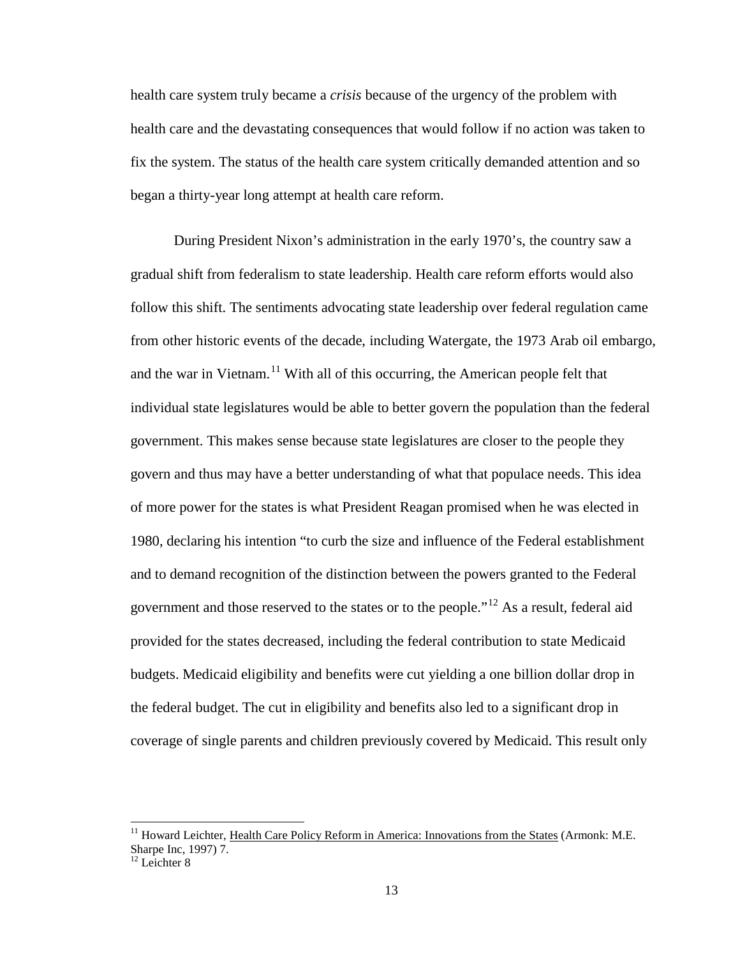health care system truly became a *crisis* because of the urgency of the problem with health care and the devastating consequences that would follow if no action was taken to fix the system. The status of the health care system critically demanded attention and so began a thirty-year long attempt at health care reform.

During President Nixon's administration in the early 1970's, the country saw a gradual shift from federalism to state leadership. Health care reform efforts would also follow this shift. The sentiments advocating state leadership over federal regulation came from other historic events of the decade, including Watergate, the 1973 Arab oil embargo, and the war in Vietnam.<sup>[11](#page-16-0)</sup> With all of this occurring, the American people felt that individual state legislatures would be able to better govern the population than the federal government. This makes sense because state legislatures are closer to the people they govern and thus may have a better understanding of what that populace needs. This idea of more power for the states is what President Reagan promised when he was elected in 1980, declaring his intention "to curb the size and influence of the Federal establishment and to demand recognition of the distinction between the powers granted to the Federal government and those reserved to the states or to the people."<sup>[12](#page-16-1)</sup> As a result, federal aid provided for the states decreased, including the federal contribution to state Medicaid budgets. Medicaid eligibility and benefits were cut yielding a one billion dollar drop in the federal budget. The cut in eligibility and benefits also led to a significant drop in coverage of single parents and children previously covered by Medicaid. This result only

<span id="page-16-0"></span> $<sup>11</sup>$  Howard Leichter, Health Care Policy Reform in America: Innovations from the States (Armonk: M.E.</sup> Sharpe Inc, 1997) 7.

<span id="page-16-1"></span> $12$  Leichter 8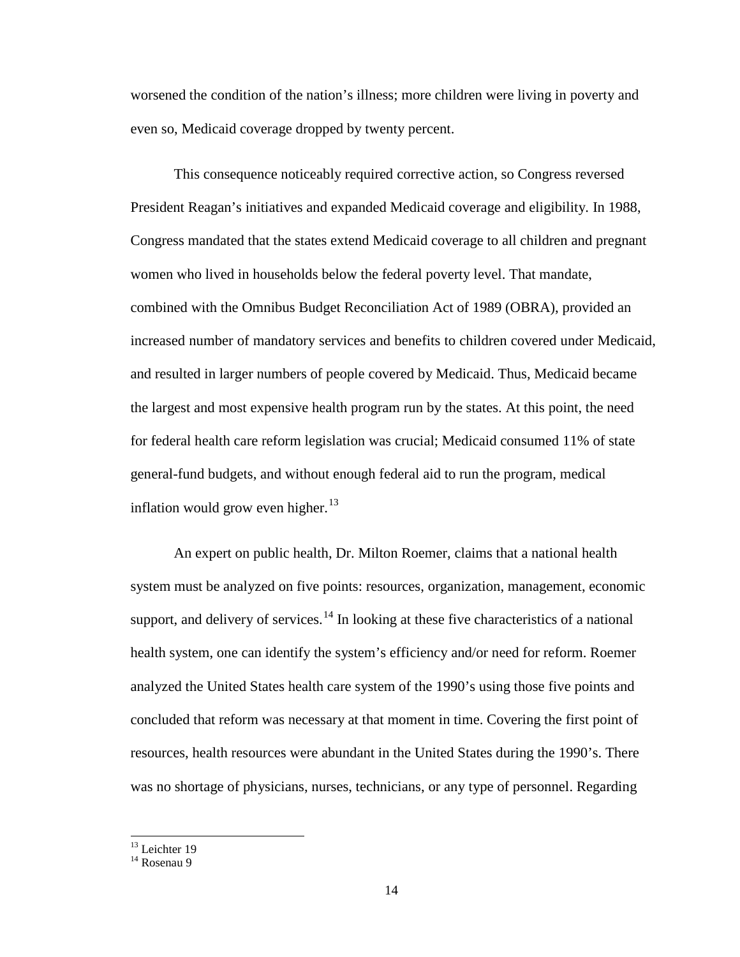worsened the condition of the nation's illness; more children were living in poverty and even so, Medicaid coverage dropped by twenty percent.

This consequence noticeably required corrective action, so Congress reversed President Reagan's initiatives and expanded Medicaid coverage and eligibility. In 1988, Congress mandated that the states extend Medicaid coverage to all children and pregnant women who lived in households below the federal poverty level. That mandate, combined with the Omnibus Budget Reconciliation Act of 1989 (OBRA), provided an increased number of mandatory services and benefits to children covered under Medicaid, and resulted in larger numbers of people covered by Medicaid. Thus, Medicaid became the largest and most expensive health program run by the states. At this point, the need for federal health care reform legislation was crucial; Medicaid consumed 11% of state general-fund budgets, and without enough federal aid to run the program, medical inflation would grow even higher.<sup>[13](#page-17-0)</sup>

An expert on public health, Dr. Milton Roemer, claims that a national health system must be analyzed on five points: resources, organization, management, economic support, and delivery of services.<sup>[14](#page-17-1)</sup> In looking at these five characteristics of a national health system, one can identify the system's efficiency and/or need for reform. Roemer analyzed the United States health care system of the 1990's using those five points and concluded that reform was necessary at that moment in time. Covering the first point of resources, health resources were abundant in the United States during the 1990's. There was no shortage of physicians, nurses, technicians, or any type of personnel. Regarding

<span id="page-17-0"></span> $13$  Leichter 19

<span id="page-17-1"></span><sup>&</sup>lt;sup>14</sup> Rosenau 9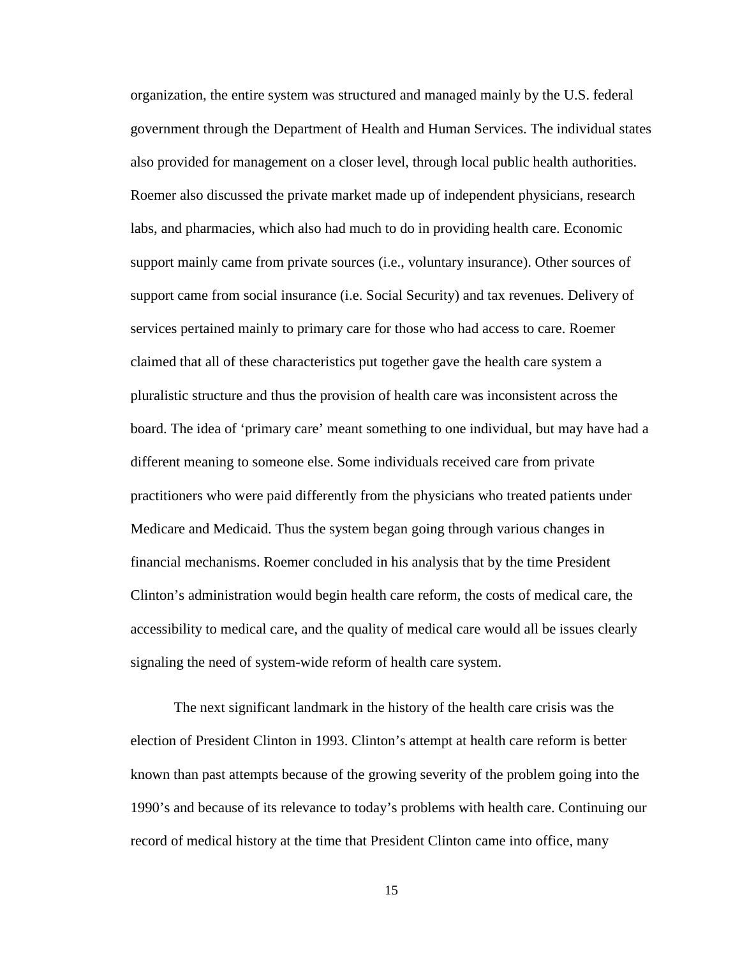organization, the entire system was structured and managed mainly by the U.S. federal government through the Department of Health and Human Services. The individual states also provided for management on a closer level, through local public health authorities. Roemer also discussed the private market made up of independent physicians, research labs, and pharmacies, which also had much to do in providing health care. Economic support mainly came from private sources (i.e., voluntary insurance). Other sources of support came from social insurance (i.e. Social Security) and tax revenues. Delivery of services pertained mainly to primary care for those who had access to care. Roemer claimed that all of these characteristics put together gave the health care system a pluralistic structure and thus the provision of health care was inconsistent across the board. The idea of 'primary care' meant something to one individual, but may have had a different meaning to someone else. Some individuals received care from private practitioners who were paid differently from the physicians who treated patients under Medicare and Medicaid. Thus the system began going through various changes in financial mechanisms. Roemer concluded in his analysis that by the time President Clinton's administration would begin health care reform, the costs of medical care, the accessibility to medical care, and the quality of medical care would all be issues clearly signaling the need of system-wide reform of health care system.

The next significant landmark in the history of the health care crisis was the election of President Clinton in 1993. Clinton's attempt at health care reform is better known than past attempts because of the growing severity of the problem going into the 1990's and because of its relevance to today's problems with health care. Continuing our record of medical history at the time that President Clinton came into office, many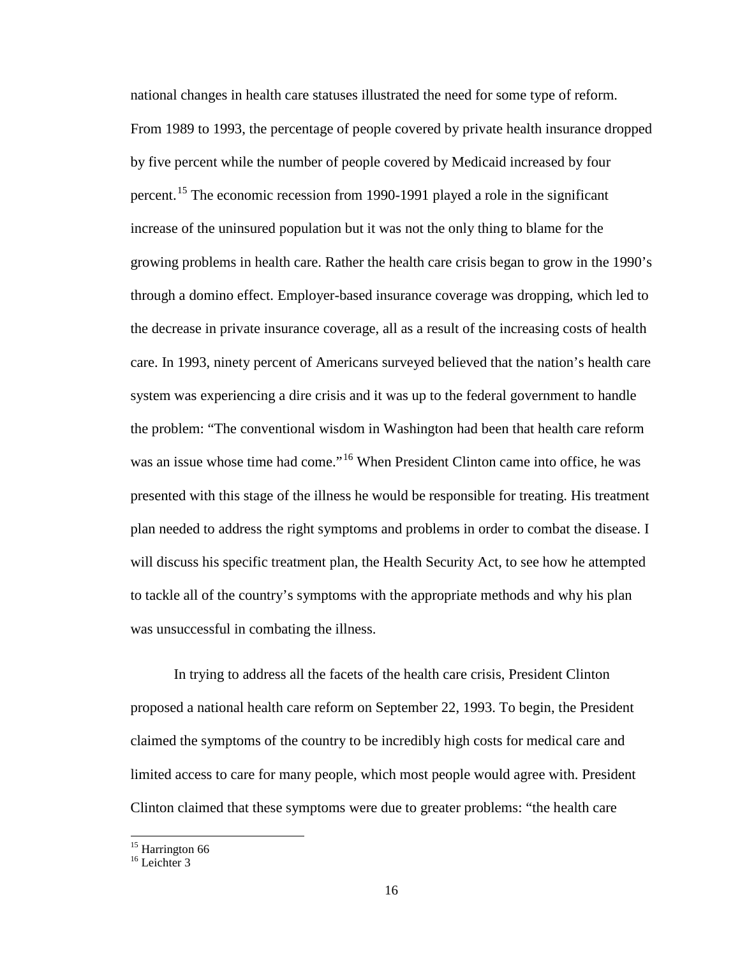national changes in health care statuses illustrated the need for some type of reform. From 1989 to 1993, the percentage of people covered by private health insurance dropped by five percent while the number of people covered by Medicaid increased by four percent.[15](#page-19-0) The economic recession from 1990-1991 played a role in the significant increase of the uninsured population but it was not the only thing to blame for the growing problems in health care. Rather the health care crisis began to grow in the 1990's through a domino effect. Employer-based insurance coverage was dropping, which led to the decrease in private insurance coverage, all as a result of the increasing costs of health care. In 1993, ninety percent of Americans surveyed believed that the nation's health care system was experiencing a dire crisis and it was up to the federal government to handle the problem: "The conventional wisdom in Washington had been that health care reform was an issue whose time had come."<sup>[16](#page-19-1)</sup> When President Clinton came into office, he was presented with this stage of the illness he would be responsible for treating. His treatment plan needed to address the right symptoms and problems in order to combat the disease. I will discuss his specific treatment plan, the Health Security Act, to see how he attempted to tackle all of the country's symptoms with the appropriate methods and why his plan was unsuccessful in combating the illness.

In trying to address all the facets of the health care crisis, President Clinton proposed a national health care reform on September 22, 1993. To begin, the President claimed the symptoms of the country to be incredibly high costs for medical care and limited access to care for many people, which most people would agree with. President Clinton claimed that these symptoms were due to greater problems: "the health care

<span id="page-19-1"></span><span id="page-19-0"></span> $^{15}$  Harrington 66<br> $^{16}$  Leichter 3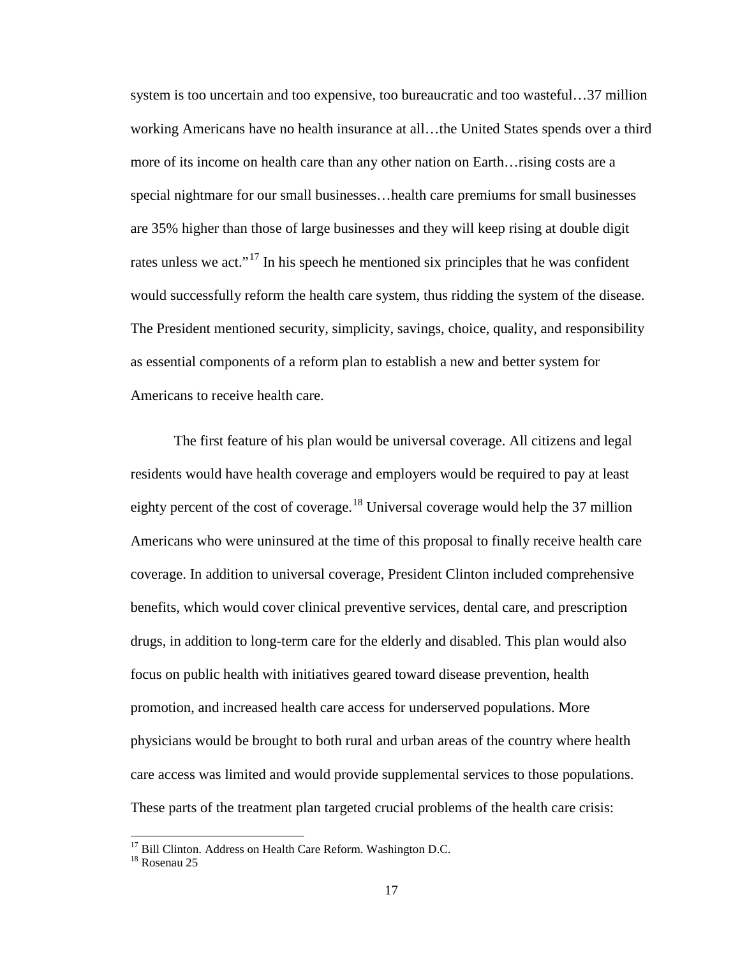system is too uncertain and too expensive, too bureaucratic and too wasteful…37 million working Americans have no health insurance at all...the United States spends over a third more of its income on health care than any other nation on Earth…rising costs are a special nightmare for our small businesses…health care premiums for small businesses are 35% higher than those of large businesses and they will keep rising at double digit rates unless we act."<sup>[17](#page-20-0)</sup> In his speech he mentioned six principles that he was confident would successfully reform the health care system, thus ridding the system of the disease. The President mentioned security, simplicity, savings, choice, quality, and responsibility as essential components of a reform plan to establish a new and better system for Americans to receive health care.

The first feature of his plan would be universal coverage. All citizens and legal residents would have health coverage and employers would be required to pay at least eighty percent of the cost of coverage.<sup>[18](#page-20-1)</sup> Universal coverage would help the 37 million Americans who were uninsured at the time of this proposal to finally receive health care coverage. In addition to universal coverage, President Clinton included comprehensive benefits, which would cover clinical preventive services, dental care, and prescription drugs, in addition to long-term care for the elderly and disabled. This plan would also focus on public health with initiatives geared toward disease prevention, health promotion, and increased health care access for underserved populations. More physicians would be brought to both rural and urban areas of the country where health care access was limited and would provide supplemental services to those populations. These parts of the treatment plan targeted crucial problems of the health care crisis:

<span id="page-20-0"></span> $17$  Bill Clinton. Address on Health Care Reform. Washington D.C.

<span id="page-20-1"></span><sup>18</sup> Rosenau 25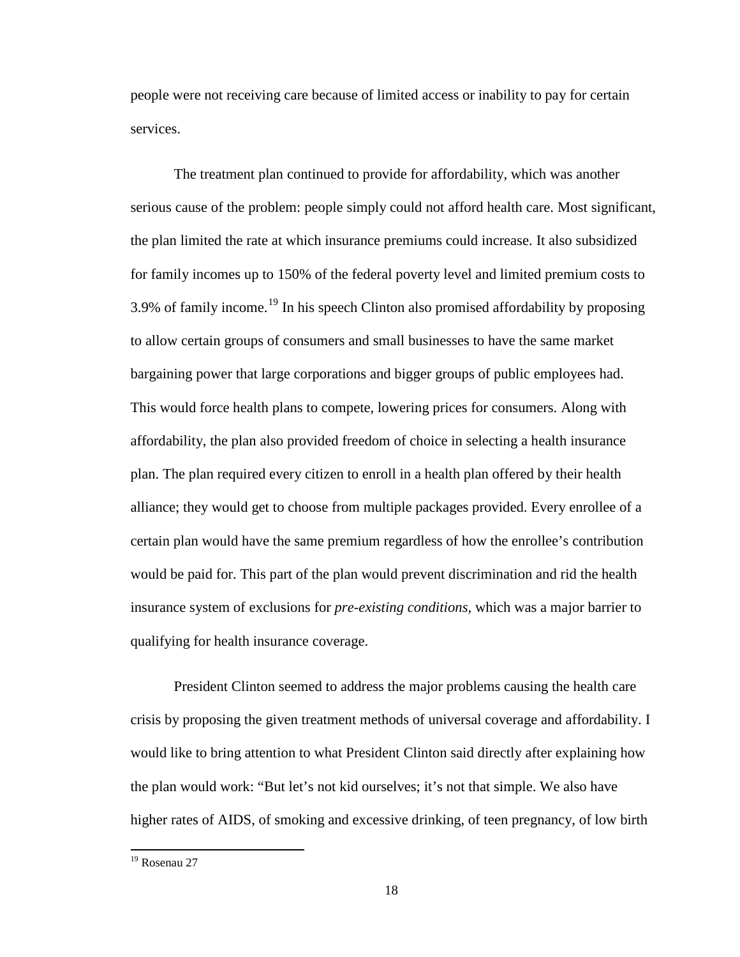people were not receiving care because of limited access or inability to pay for certain services.

The treatment plan continued to provide for affordability, which was another serious cause of the problem: people simply could not afford health care. Most significant, the plan limited the rate at which insurance premiums could increase. It also subsidized for family incomes up to 150% of the federal poverty level and limited premium costs to 3.9% of family income.<sup>[19](#page-21-0)</sup> In his speech Clinton also promised affordability by proposing to allow certain groups of consumers and small businesses to have the same market bargaining power that large corporations and bigger groups of public employees had. This would force health plans to compete, lowering prices for consumers. Along with affordability, the plan also provided freedom of choice in selecting a health insurance plan. The plan required every citizen to enroll in a health plan offered by their health alliance; they would get to choose from multiple packages provided. Every enrollee of a certain plan would have the same premium regardless of how the enrollee's contribution would be paid for. This part of the plan would prevent discrimination and rid the health insurance system of exclusions for *pre-existing conditions,* which was a major barrier to qualifying for health insurance coverage.

President Clinton seemed to address the major problems causing the health care crisis by proposing the given treatment methods of universal coverage and affordability. I would like to bring attention to what President Clinton said directly after explaining how the plan would work: "But let's not kid ourselves; it's not that simple. We also have higher rates of AIDS, of smoking and excessive drinking, of teen pregnancy, of low birth

<span id="page-21-0"></span> $19$  Rosenau 27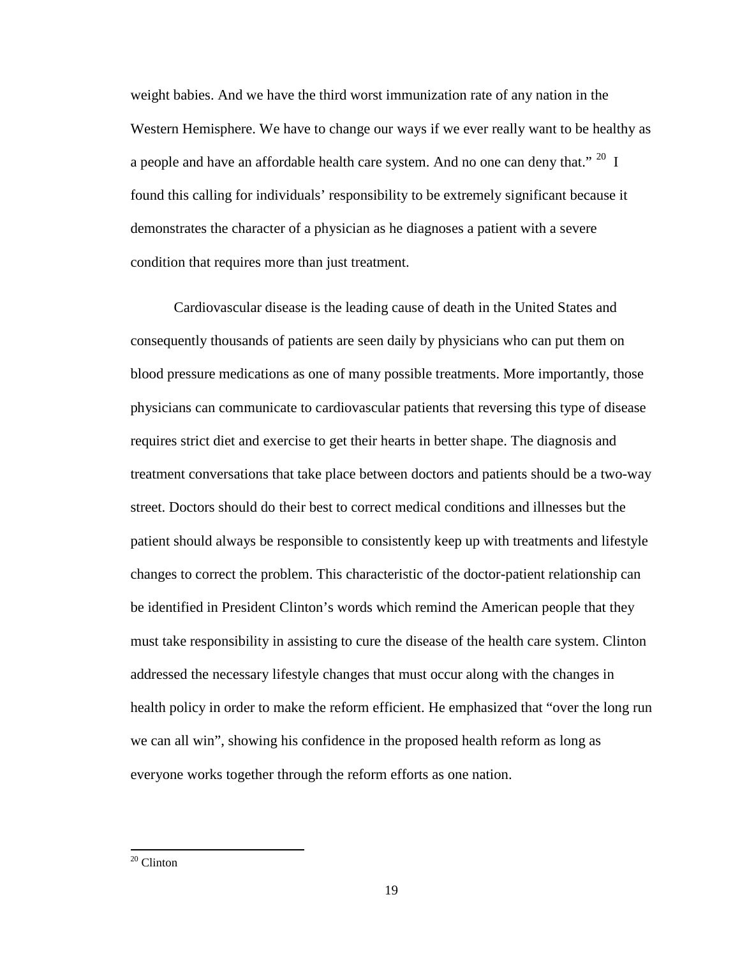weight babies. And we have the third worst immunization rate of any nation in the Western Hemisphere. We have to change our ways if we ever really want to be healthy as a people and have an affordable health care system. And no one can deny that."  $^{20}$  $^{20}$  $^{20}$  I found this calling for individuals' responsibility to be extremely significant because it demonstrates the character of a physician as he diagnoses a patient with a severe condition that requires more than just treatment.

Cardiovascular disease is the leading cause of death in the United States and consequently thousands of patients are seen daily by physicians who can put them on blood pressure medications as one of many possible treatments. More importantly, those physicians can communicate to cardiovascular patients that reversing this type of disease requires strict diet and exercise to get their hearts in better shape. The diagnosis and treatment conversations that take place between doctors and patients should be a two-way street. Doctors should do their best to correct medical conditions and illnesses but the patient should always be responsible to consistently keep up with treatments and lifestyle changes to correct the problem. This characteristic of the doctor-patient relationship can be identified in President Clinton's words which remind the American people that they must take responsibility in assisting to cure the disease of the health care system. Clinton addressed the necessary lifestyle changes that must occur along with the changes in health policy in order to make the reform efficient. He emphasized that "over the long run we can all win", showing his confidence in the proposed health reform as long as everyone works together through the reform efforts as one nation.

<span id="page-22-0"></span>20 Clinton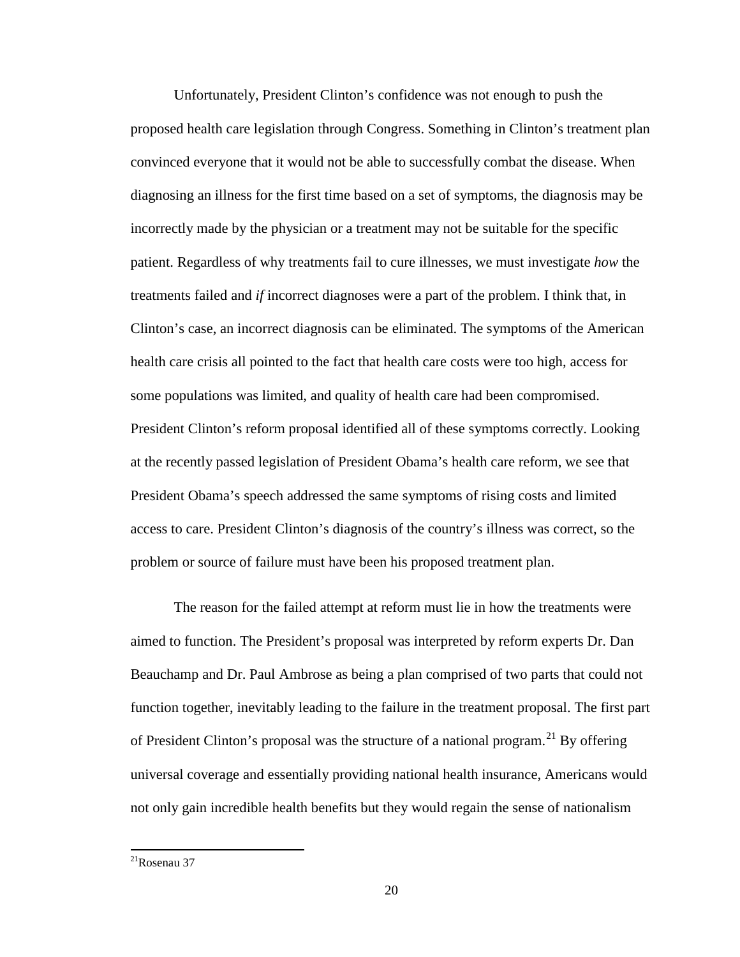Unfortunately, President Clinton's confidence was not enough to push the proposed health care legislation through Congress. Something in Clinton's treatment plan convinced everyone that it would not be able to successfully combat the disease. When diagnosing an illness for the first time based on a set of symptoms, the diagnosis may be incorrectly made by the physician or a treatment may not be suitable for the specific patient. Regardless of why treatments fail to cure illnesses, we must investigate *how* the treatments failed and *if* incorrect diagnoses were a part of the problem. I think that, in Clinton's case, an incorrect diagnosis can be eliminated. The symptoms of the American health care crisis all pointed to the fact that health care costs were too high, access for some populations was limited, and quality of health care had been compromised. President Clinton's reform proposal identified all of these symptoms correctly. Looking at the recently passed legislation of President Obama's health care reform, we see that President Obama's speech addressed the same symptoms of rising costs and limited access to care. President Clinton's diagnosis of the country's illness was correct, so the problem or source of failure must have been his proposed treatment plan.

The reason for the failed attempt at reform must lie in how the treatments were aimed to function. The President's proposal was interpreted by reform experts Dr. Dan Beauchamp and Dr. Paul Ambrose as being a plan comprised of two parts that could not function together, inevitably leading to the failure in the treatment proposal. The first part of President Clinton's proposal was the structure of a national program.<sup>[21](#page-23-0)</sup> By offering universal coverage and essentially providing national health insurance, Americans would not only gain incredible health benefits but they would regain the sense of nationalism

<span id="page-23-0"></span> $^{21}$ Rosenau 37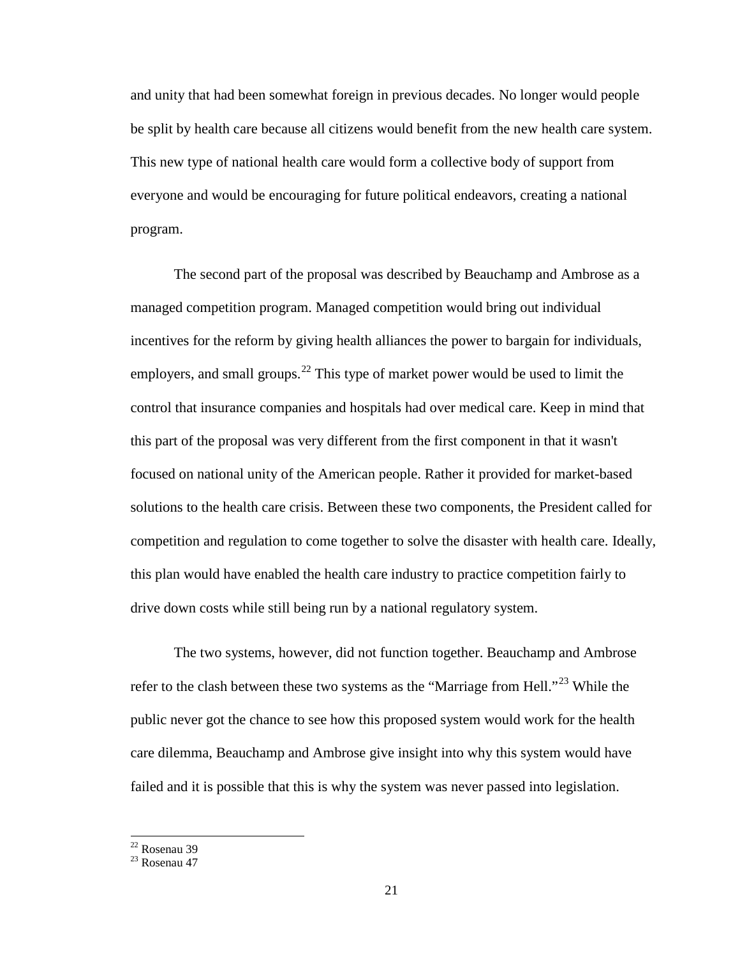and unity that had been somewhat foreign in previous decades. No longer would people be split by health care because all citizens would benefit from the new health care system. This new type of national health care would form a collective body of support from everyone and would be encouraging for future political endeavors, creating a national program.

The second part of the proposal was described by Beauchamp and Ambrose as a managed competition program. Managed competition would bring out individual incentives for the reform by giving health alliances the power to bargain for individuals, employers, and small groups.<sup>[22](#page-24-0)</sup> This type of market power would be used to limit the control that insurance companies and hospitals had over medical care. Keep in mind that this part of the proposal was very different from the first component in that it wasn't focused on national unity of the American people. Rather it provided for market-based solutions to the health care crisis. Between these two components, the President called for competition and regulation to come together to solve the disaster with health care. Ideally, this plan would have enabled the health care industry to practice competition fairly to drive down costs while still being run by a national regulatory system.

The two systems, however, did not function together. Beauchamp and Ambrose refer to the clash between these two systems as the "Marriage from Hell."<sup>[23](#page-24-1)</sup> While the public never got the chance to see how this proposed system would work for the health care dilemma, Beauchamp and Ambrose give insight into why this system would have failed and it is possible that this is why the system was never passed into legislation.

 $22$  Rosenau 39

<span id="page-24-1"></span><span id="page-24-0"></span><sup>23</sup> Rosenau 47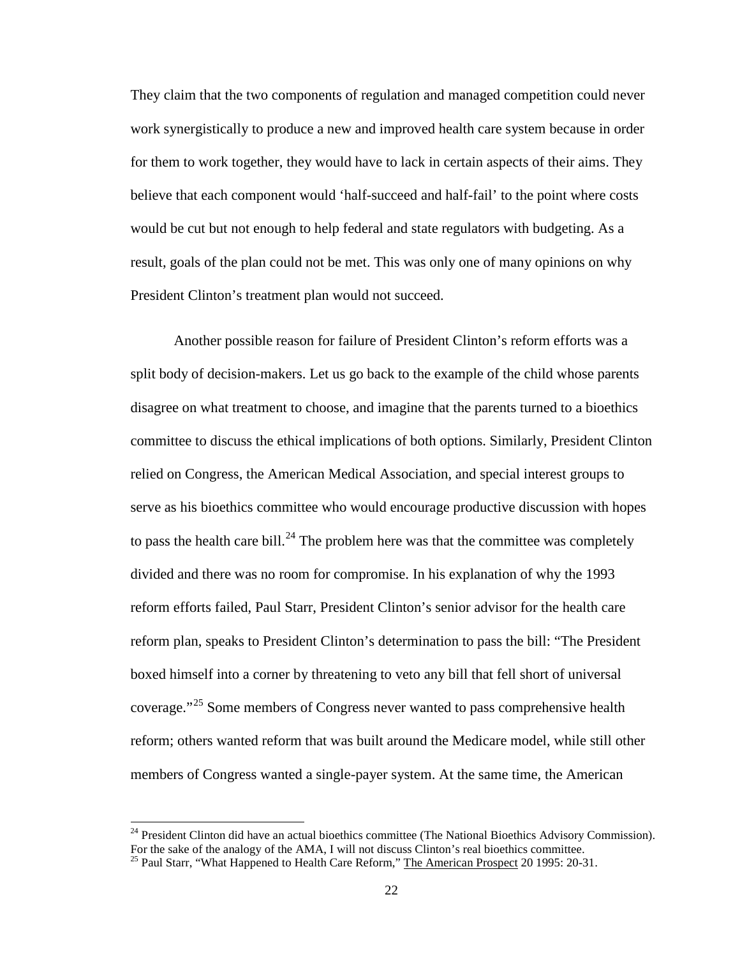They claim that the two components of regulation and managed competition could never work synergistically to produce a new and improved health care system because in order for them to work together, they would have to lack in certain aspects of their aims. They believe that each component would 'half-succeed and half-fail' to the point where costs would be cut but not enough to help federal and state regulators with budgeting. As a result, goals of the plan could not be met. This was only one of many opinions on why President Clinton's treatment plan would not succeed.

Another possible reason for failure of President Clinton's reform efforts was a split body of decision-makers. Let us go back to the example of the child whose parents disagree on what treatment to choose, and imagine that the parents turned to a bioethics committee to discuss the ethical implications of both options. Similarly, President Clinton relied on Congress, the American Medical Association, and special interest groups to serve as his bioethics committee who would encourage productive discussion with hopes to pass the health care bill.<sup>[24](#page-25-0)</sup> The problem here was that the committee was completely divided and there was no room for compromise. In his explanation of why the 1993 reform efforts failed, Paul Starr, President Clinton's senior advisor for the health care reform plan, speaks to President Clinton's determination to pass the bill: "The President boxed himself into a corner by threatening to veto any bill that fell short of universal coverage."<sup>[25](#page-25-1)</sup> Some members of Congress never wanted to pass comprehensive health reform; others wanted reform that was built around the Medicare model, while still other members of Congress wanted a single-payer system. At the same time, the American

<span id="page-25-0"></span> $^{24}$  President Clinton did have an actual bioethics committee (The National Bioethics Advisory Commission). For the sake of the analogy of the AMA, I will not discuss Clinton's real bioethics committee.

<span id="page-25-1"></span><sup>&</sup>lt;sup>25</sup> Paul Starr, "What Happened to Health Care Reform," The American Prospect 20 1995: 20-31.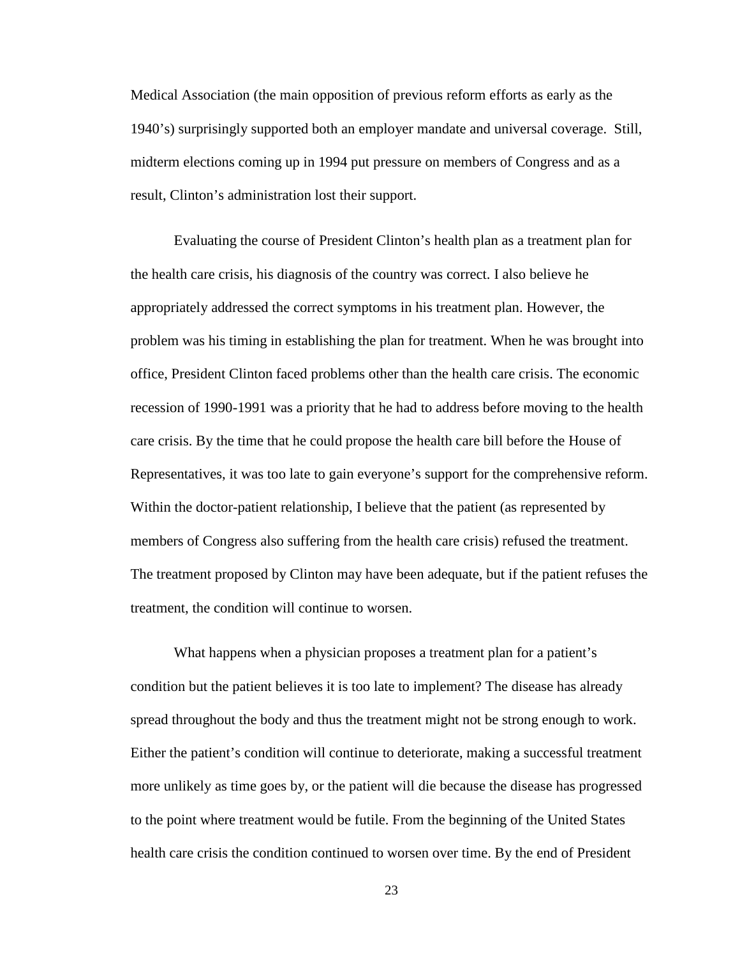Medical Association (the main opposition of previous reform efforts as early as the 1940's) surprisingly supported both an employer mandate and universal coverage. Still, midterm elections coming up in 1994 put pressure on members of Congress and as a result, Clinton's administration lost their support.

Evaluating the course of President Clinton's health plan as a treatment plan for the health care crisis, his diagnosis of the country was correct. I also believe he appropriately addressed the correct symptoms in his treatment plan. However, the problem was his timing in establishing the plan for treatment. When he was brought into office, President Clinton faced problems other than the health care crisis. The economic recession of 1990-1991 was a priority that he had to address before moving to the health care crisis. By the time that he could propose the health care bill before the House of Representatives, it was too late to gain everyone's support for the comprehensive reform. Within the doctor-patient relationship, I believe that the patient (as represented by members of Congress also suffering from the health care crisis) refused the treatment. The treatment proposed by Clinton may have been adequate, but if the patient refuses the treatment, the condition will continue to worsen.

What happens when a physician proposes a treatment plan for a patient's condition but the patient believes it is too late to implement? The disease has already spread throughout the body and thus the treatment might not be strong enough to work. Either the patient's condition will continue to deteriorate, making a successful treatment more unlikely as time goes by, or the patient will die because the disease has progressed to the point where treatment would be futile. From the beginning of the United States health care crisis the condition continued to worsen over time. By the end of President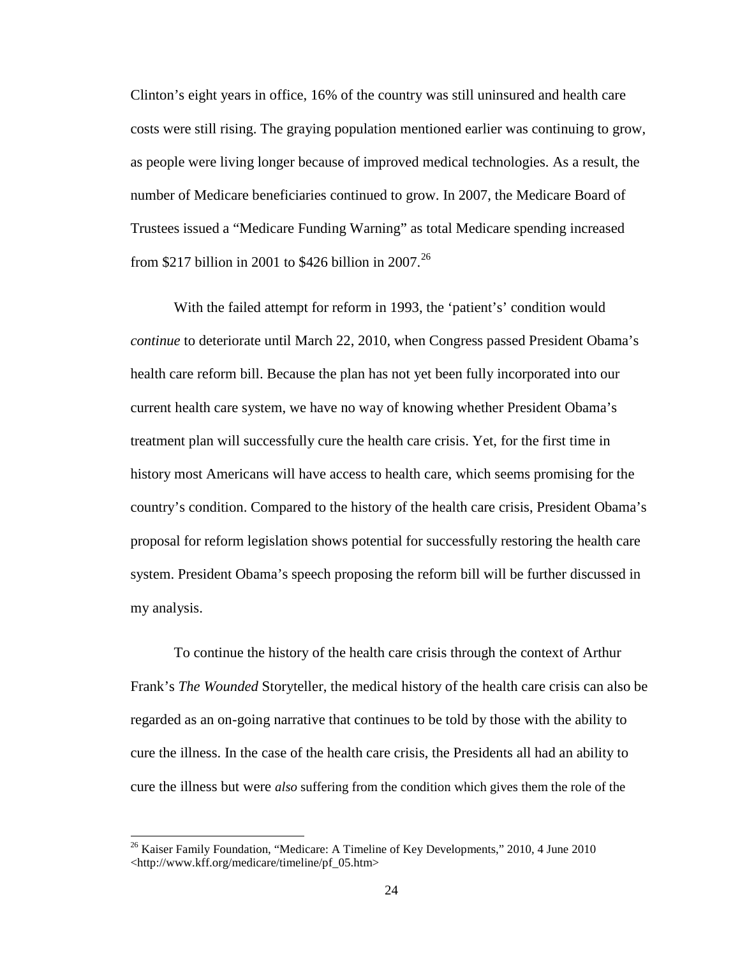Clinton's eight years in office, 16% of the country was still uninsured and health care costs were still rising. The graying population mentioned earlier was continuing to grow, as people were living longer because of improved medical technologies. As a result, the number of Medicare beneficiaries continued to grow. In 2007, the Medicare Board of Trustees issued a "Medicare Funding Warning" as total Medicare spending increased from \$217 billion in 2001 to \$4[26](#page-27-0) billion in 2007.<sup>26</sup>

With the failed attempt for reform in 1993, the 'patient's' condition would *continue* to deteriorate until March 22, 2010, when Congress passed President Obama's health care reform bill. Because the plan has not yet been fully incorporated into our current health care system, we have no way of knowing whether President Obama's treatment plan will successfully cure the health care crisis. Yet, for the first time in history most Americans will have access to health care, which seems promising for the country's condition. Compared to the history of the health care crisis, President Obama's proposal for reform legislation shows potential for successfully restoring the health care system. President Obama's speech proposing the reform bill will be further discussed in my analysis.

To continue the history of the health care crisis through the context of Arthur Frank's *The Wounded* Storyteller, the medical history of the health care crisis can also be regarded as an on-going narrative that continues to be told by those with the ability to cure the illness. In the case of the health care crisis, the Presidents all had an ability to cure the illness but were *also* suffering from the condition which gives them the role of the

<span id="page-27-0"></span><sup>&</sup>lt;sup>26</sup> Kaiser Family Foundation, "Medicare: A Timeline of Key Developments," 2010, 4 June 2010 <http://www.kff.org/medicare/timeline/pf\_05.htm>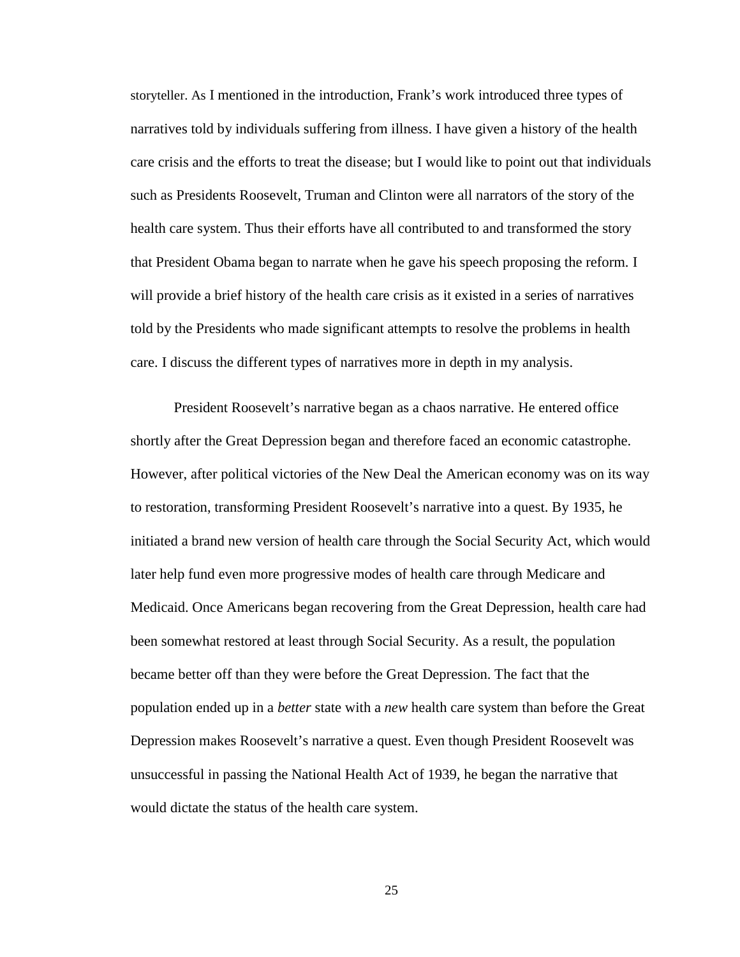storyteller. As I mentioned in the introduction, Frank's work introduced three types of narratives told by individuals suffering from illness. I have given a history of the health care crisis and the efforts to treat the disease; but I would like to point out that individuals such as Presidents Roosevelt, Truman and Clinton were all narrators of the story of the health care system. Thus their efforts have all contributed to and transformed the story that President Obama began to narrate when he gave his speech proposing the reform. I will provide a brief history of the health care crisis as it existed in a series of narratives told by the Presidents who made significant attempts to resolve the problems in health care. I discuss the different types of narratives more in depth in my analysis.

President Roosevelt's narrative began as a chaos narrative. He entered office shortly after the Great Depression began and therefore faced an economic catastrophe. However, after political victories of the New Deal the American economy was on its way to restoration, transforming President Roosevelt's narrative into a quest. By 1935, he initiated a brand new version of health care through the Social Security Act, which would later help fund even more progressive modes of health care through Medicare and Medicaid. Once Americans began recovering from the Great Depression, health care had been somewhat restored at least through Social Security. As a result, the population became better off than they were before the Great Depression. The fact that the population ended up in a *better* state with a *new* health care system than before the Great Depression makes Roosevelt's narrative a quest. Even though President Roosevelt was unsuccessful in passing the National Health Act of 1939, he began the narrative that would dictate the status of the health care system.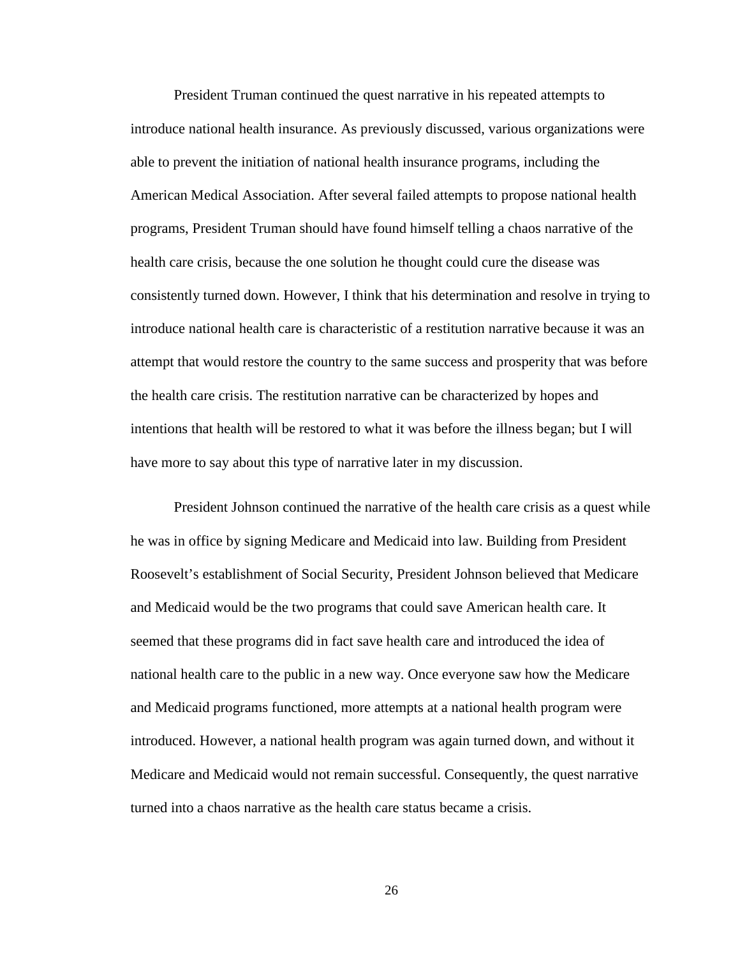President Truman continued the quest narrative in his repeated attempts to introduce national health insurance. As previously discussed, various organizations were able to prevent the initiation of national health insurance programs, including the American Medical Association. After several failed attempts to propose national health programs, President Truman should have found himself telling a chaos narrative of the health care crisis, because the one solution he thought could cure the disease was consistently turned down. However, I think that his determination and resolve in trying to introduce national health care is characteristic of a restitution narrative because it was an attempt that would restore the country to the same success and prosperity that was before the health care crisis. The restitution narrative can be characterized by hopes and intentions that health will be restored to what it was before the illness began; but I will have more to say about this type of narrative later in my discussion.

President Johnson continued the narrative of the health care crisis as a quest while he was in office by signing Medicare and Medicaid into law. Building from President Roosevelt's establishment of Social Security, President Johnson believed that Medicare and Medicaid would be the two programs that could save American health care. It seemed that these programs did in fact save health care and introduced the idea of national health care to the public in a new way. Once everyone saw how the Medicare and Medicaid programs functioned, more attempts at a national health program were introduced. However, a national health program was again turned down, and without it Medicare and Medicaid would not remain successful. Consequently, the quest narrative turned into a chaos narrative as the health care status became a crisis.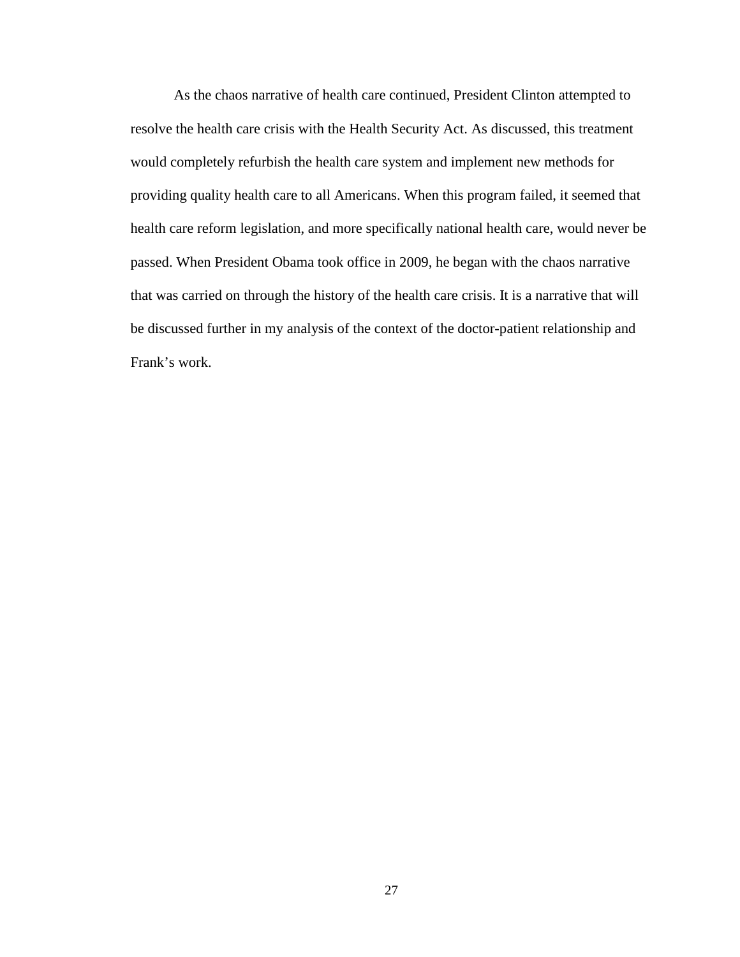As the chaos narrative of health care continued, President Clinton attempted to resolve the health care crisis with the Health Security Act. As discussed, this treatment would completely refurbish the health care system and implement new methods for providing quality health care to all Americans. When this program failed, it seemed that health care reform legislation, and more specifically national health care, would never be passed. When President Obama took office in 2009, he began with the chaos narrative that was carried on through the history of the health care crisis. It is a narrative that will be discussed further in my analysis of the context of the doctor-patient relationship and Frank's work.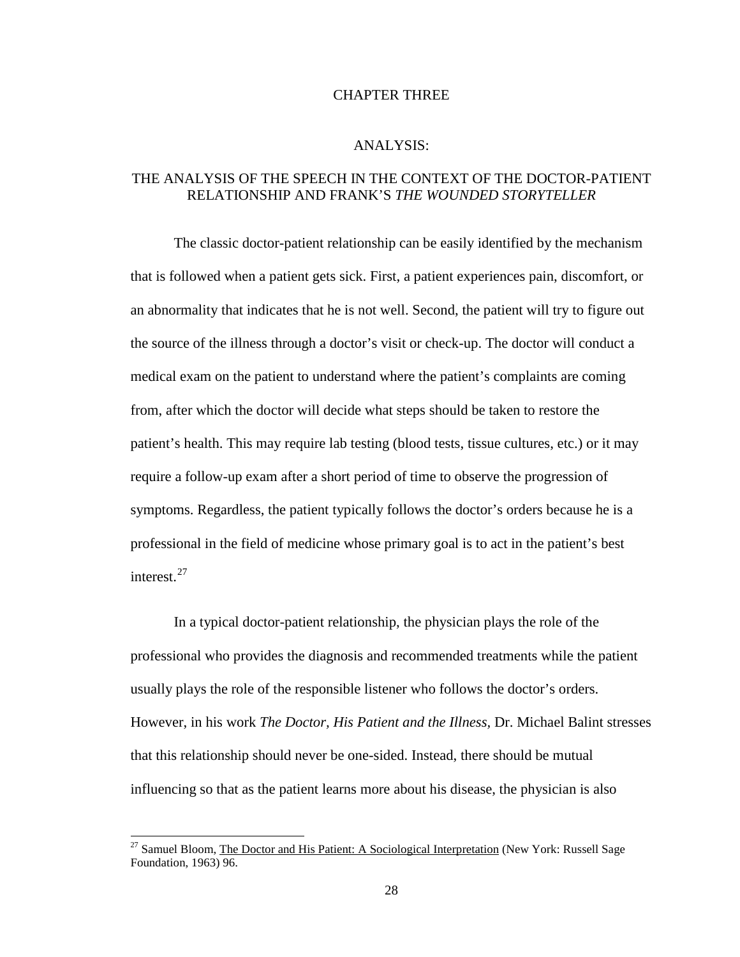### CHAPTER THREE

### ANALYSIS:

## THE ANALYSIS OF THE SPEECH IN THE CONTEXT OF THE DOCTOR-PATIENT RELATIONSHIP AND FRANK'S *THE WOUNDED STORYTELLER*

The classic doctor-patient relationship can be easily identified by the mechanism that is followed when a patient gets sick. First, a patient experiences pain, discomfort, or an abnormality that indicates that he is not well. Second, the patient will try to figure out the source of the illness through a doctor's visit or check-up. The doctor will conduct a medical exam on the patient to understand where the patient's complaints are coming from, after which the doctor will decide what steps should be taken to restore the patient's health. This may require lab testing (blood tests, tissue cultures, etc.) or it may require a follow-up exam after a short period of time to observe the progression of symptoms. Regardless, the patient typically follows the doctor's orders because he is a professional in the field of medicine whose primary goal is to act in the patient's best interest.<sup>[27](#page-31-0)</sup>

In a typical doctor-patient relationship, the physician plays the role of the professional who provides the diagnosis and recommended treatments while the patient usually plays the role of the responsible listener who follows the doctor's orders. However, in his work *The Doctor, His Patient and the Illness,* Dr. Michael Balint stresses that this relationship should never be one-sided. Instead, there should be mutual influencing so that as the patient learns more about his disease, the physician is also

<span id="page-31-0"></span> $27$  Samuel Bloom, The Doctor and His Patient: A Sociological Interpretation (New York: Russell Sage) Foundation, 1963) 96.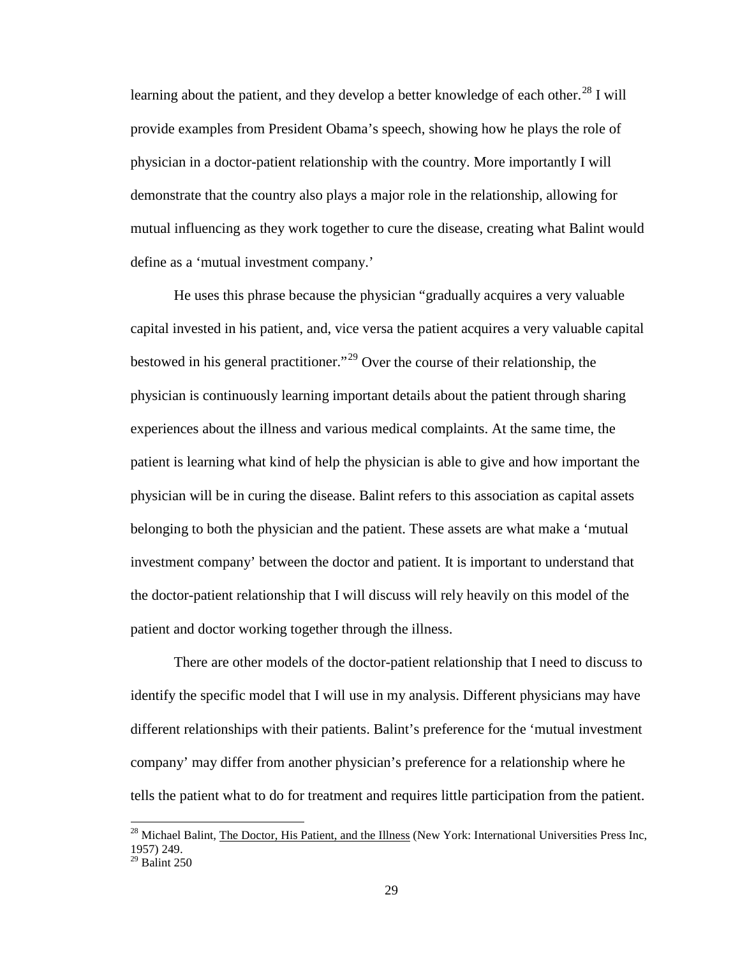learning about the patient, and they develop a better knowledge of each other.<sup>[28](#page-32-0)</sup> I will provide examples from President Obama's speech, showing how he plays the role of physician in a doctor-patient relationship with the country. More importantly I will demonstrate that the country also plays a major role in the relationship, allowing for mutual influencing as they work together to cure the disease, creating what Balint would define as a 'mutual investment company.'

He uses this phrase because the physician "gradually acquires a very valuable capital invested in his patient, and, vice versa the patient acquires a very valuable capital bestowed in his general practitioner."<sup>[29](#page-32-1)</sup> Over the course of their relationship, the physician is continuously learning important details about the patient through sharing experiences about the illness and various medical complaints. At the same time, the patient is learning what kind of help the physician is able to give and how important the physician will be in curing the disease. Balint refers to this association as capital assets belonging to both the physician and the patient. These assets are what make a 'mutual investment company' between the doctor and patient. It is important to understand that the doctor-patient relationship that I will discuss will rely heavily on this model of the patient and doctor working together through the illness.

There are other models of the doctor-patient relationship that I need to discuss to identify the specific model that I will use in my analysis. Different physicians may have different relationships with their patients. Balint's preference for the 'mutual investment company' may differ from another physician's preference for a relationship where he tells the patient what to do for treatment and requires little participation from the patient.

<span id="page-32-0"></span><sup>&</sup>lt;sup>28</sup> Michael Balint, The Doctor, His Patient, and the Illness (New York: International Universities Press Inc, 1957) 249.

<span id="page-32-1"></span> $^{29}$  Balint 250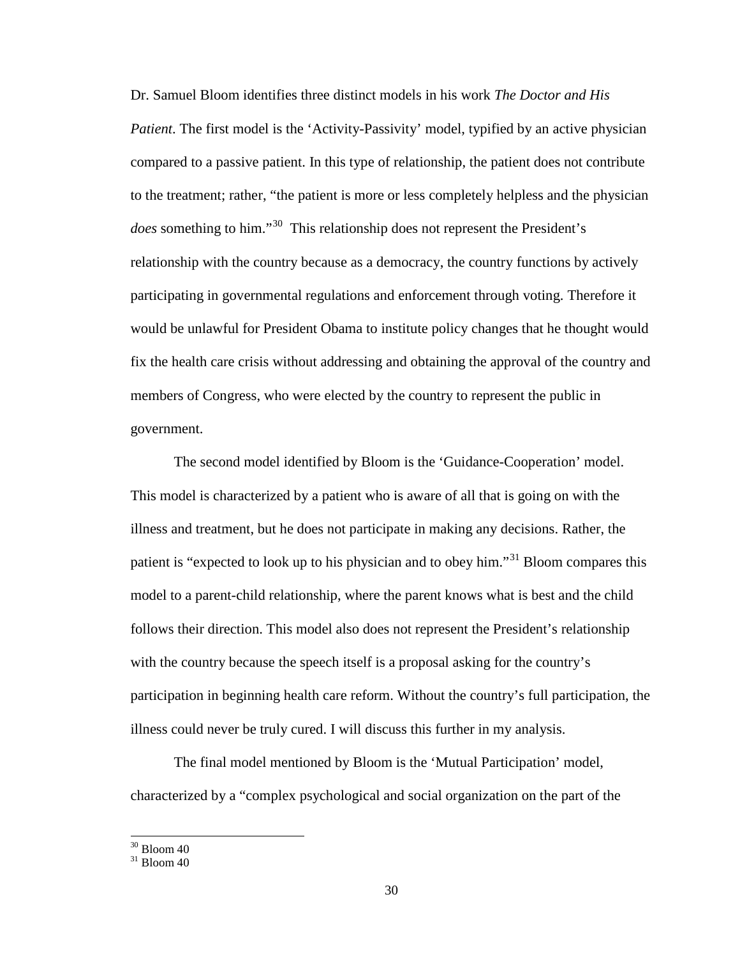Dr. Samuel Bloom identifies three distinct models in his work *The Doctor and His Patient*. The first model is the 'Activity-Passivity' model, typified by an active physician compared to a passive patient. In this type of relationship, the patient does not contribute to the treatment; rather, "the patient is more or less completely helpless and the physician does something to him."<sup>[30](#page-33-0)</sup> This relationship does not represent the President's relationship with the country because as a democracy, the country functions by actively participating in governmental regulations and enforcement through voting. Therefore it would be unlawful for President Obama to institute policy changes that he thought would fix the health care crisis without addressing and obtaining the approval of the country and members of Congress, who were elected by the country to represent the public in government.

The second model identified by Bloom is the 'Guidance-Cooperation' model. This model is characterized by a patient who is aware of all that is going on with the illness and treatment, but he does not participate in making any decisions. Rather, the patient is "expected to look up to his physician and to obey him."<sup>[31](#page-33-1)</sup> Bloom compares this model to a parent-child relationship, where the parent knows what is best and the child follows their direction. This model also does not represent the President's relationship with the country because the speech itself is a proposal asking for the country's participation in beginning health care reform. Without the country's full participation, the illness could never be truly cured. I will discuss this further in my analysis.

The final model mentioned by Bloom is the 'Mutual Participation' model, characterized by a "complex psychological and social organization on the part of the

<span id="page-33-0"></span> $\frac{30}{31}$  Bloom 40

<span id="page-33-1"></span>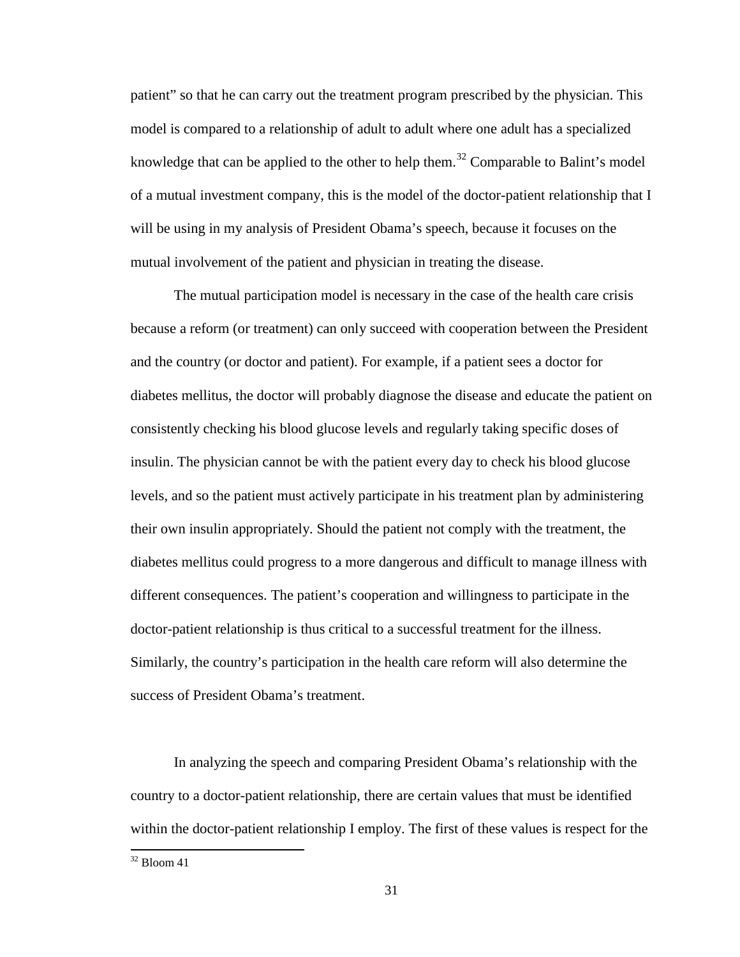patient" so that he can carry out the treatment program prescribed by the physician. This model is compared to a relationship of adult to adult where one adult has a specialized knowledge that can be applied to the other to help them.<sup>[32](#page-34-0)</sup> Comparable to Balint's model of a mutual investment company, this is the model of the doctor-patient relationship that I will be using in my analysis of President Obama's speech, because it focuses on the mutual involvement of the patient and physician in treating the disease.

The mutual participation model is necessary in the case of the health care crisis because a reform (or treatment) can only succeed with cooperation between the President and the country (or doctor and patient). For example, if a patient sees a doctor for diabetes mellitus, the doctor will probably diagnose the disease and educate the patient on consistently checking his blood glucose levels and regularly taking specific doses of insulin. The physician cannot be with the patient every day to check his blood glucose levels, and so the patient must actively participate in his treatment plan by administering their own insulin appropriately. Should the patient not comply with the treatment, the diabetes mellitus could progress to a more dangerous and difficult to manage illness with different consequences. The patient's cooperation and willingness to participate in the doctor-patient relationship is thus critical to a successful treatment for the illness. Similarly, the country's participation in the health care reform will also determine the success of President Obama's treatment.

In analyzing the speech and comparing President Obama's relationship with the country to a doctor-patient relationship, there are certain values that must be identified within the doctor-patient relationship I employ. The first of these values is respect for the

<span id="page-34-0"></span> $32$  Bloom 41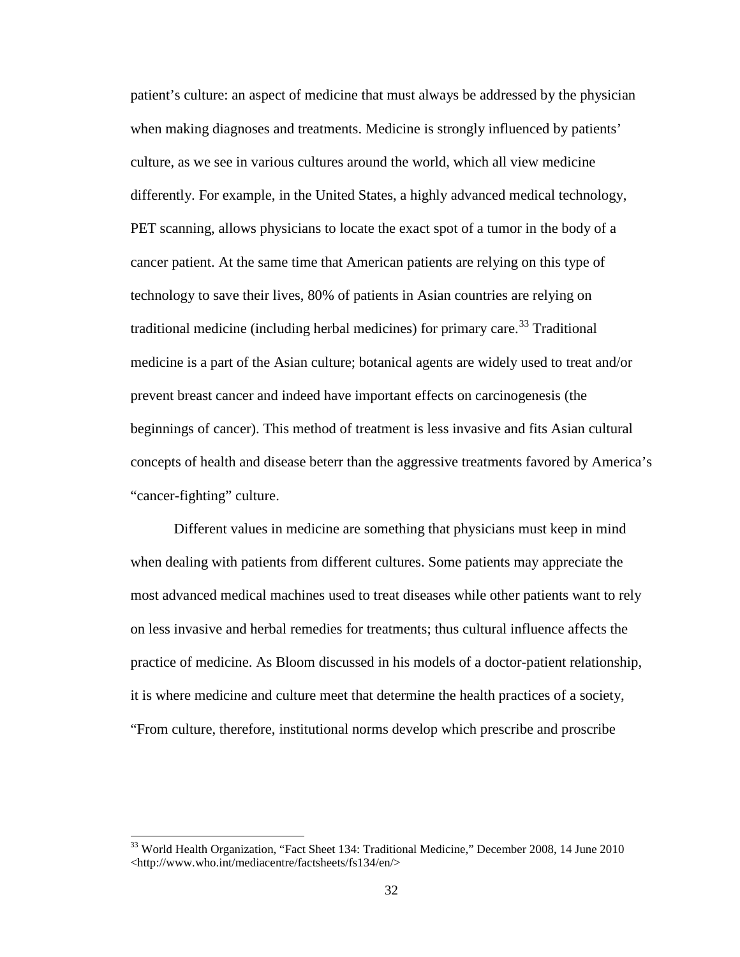patient's culture: an aspect of medicine that must always be addressed by the physician when making diagnoses and treatments. Medicine is strongly influenced by patients' culture, as we see in various cultures around the world, which all view medicine differently. For example, in the United States, a highly advanced medical technology, PET scanning, allows physicians to locate the exact spot of a tumor in the body of a cancer patient. At the same time that American patients are relying on this type of technology to save their lives, 80% of patients in Asian countries are relying on traditional medicine (including herbal medicines) for primary care.<sup>[33](#page-35-0)</sup> Traditional medicine is a part of the Asian culture; botanical agents are widely used to treat and/or prevent breast cancer and indeed have important effects on carcinogenesis (the beginnings of cancer). This method of treatment is less invasive and fits Asian cultural concepts of health and disease beterr than the aggressive treatments favored by America's "cancer-fighting" culture.

Different values in medicine are something that physicians must keep in mind when dealing with patients from different cultures. Some patients may appreciate the most advanced medical machines used to treat diseases while other patients want to rely on less invasive and herbal remedies for treatments; thus cultural influence affects the practice of medicine. As Bloom discussed in his models of a doctor-patient relationship, it is where medicine and culture meet that determine the health practices of a society, "From culture, therefore, institutional norms develop which prescribe and proscribe

<span id="page-35-0"></span> <sup>33</sup> World Health Organization, "Fact Sheet 134: Traditional Medicine," December 2008, 14 June <sup>2010</sup> <http://www.who.int/mediacentre/factsheets/fs134/en/>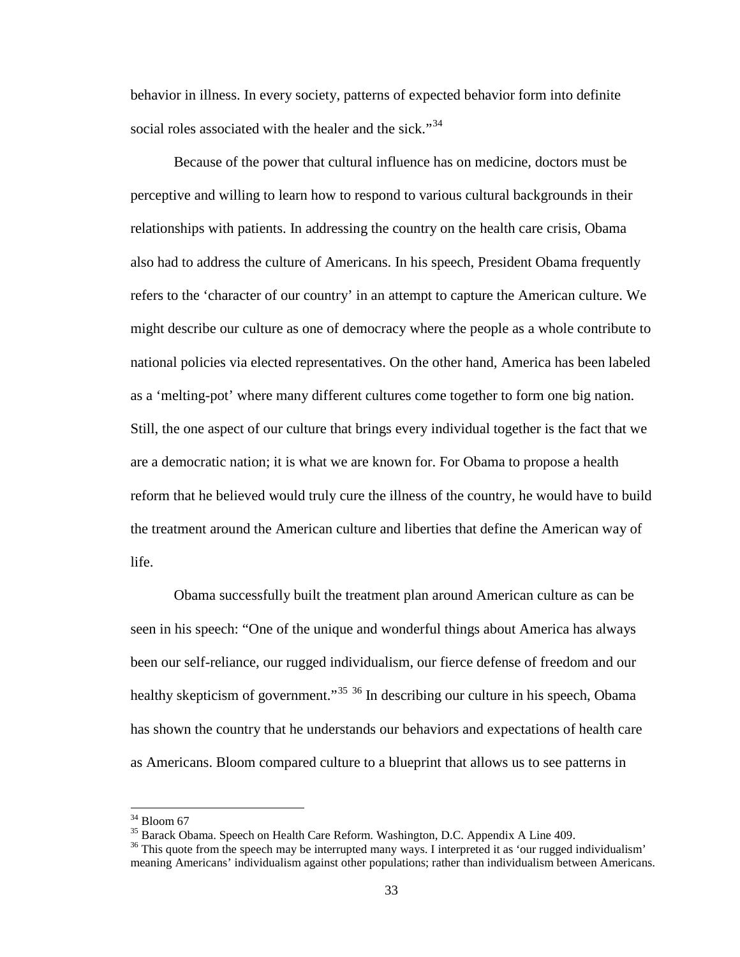behavior in illness. In every society, patterns of expected behavior form into definite social roles associated with the healer and the sick."<sup>[34](#page-36-0)</sup>

Because of the power that cultural influence has on medicine, doctors must be perceptive and willing to learn how to respond to various cultural backgrounds in their relationships with patients. In addressing the country on the health care crisis, Obama also had to address the culture of Americans. In his speech, President Obama frequently refers to the 'character of our country' in an attempt to capture the American culture. We might describe our culture as one of democracy where the people as a whole contribute to national policies via elected representatives. On the other hand, America has been labeled as a 'melting-pot' where many different cultures come together to form one big nation. Still, the one aspect of our culture that brings every individual together is the fact that we are a democratic nation; it is what we are known for. For Obama to propose a health reform that he believed would truly cure the illness of the country, he would have to build the treatment around the American culture and liberties that define the American way of life.

Obama successfully built the treatment plan around American culture as can be seen in his speech: "One of the unique and wonderful things about America has always been our self-reliance, our rugged individualism, our fierce defense of freedom and our healthy skepticism of government."<sup>[35](#page-36-1) [36](#page-36-2)</sup> In describing our culture in his speech, Obama has shown the country that he understands our behaviors and expectations of health care as Americans. Bloom compared culture to a blueprint that allows us to see patterns in

<span id="page-36-1"></span><span id="page-36-0"></span>

<sup>&</sup>lt;sup>34</sup> Bloom 67<br><sup>35</sup> Barack Obama. Speech on Health Care Reform. Washington, D.C. Appendix A Line 409.

<span id="page-36-2"></span> $36$  This quote from the speech may be interrupted many ways. I interpreted it as 'our rugged individualism' meaning Americans' individualism against other populations; rather than individualism between Americans.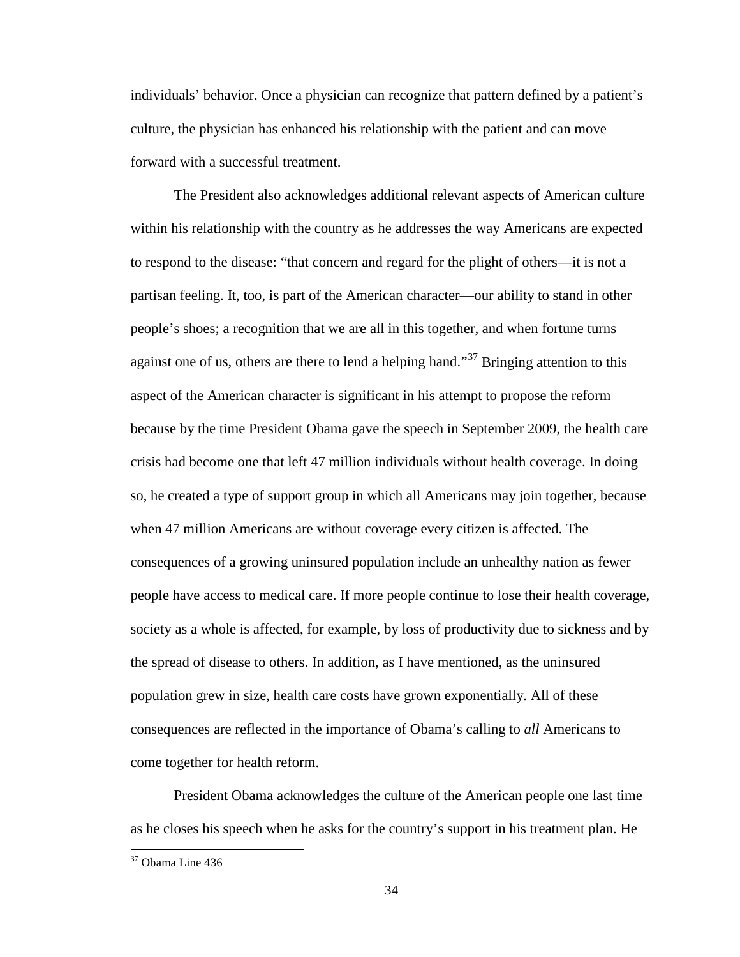individuals' behavior. Once a physician can recognize that pattern defined by a patient's culture, the physician has enhanced his relationship with the patient and can move forward with a successful treatment.

The President also acknowledges additional relevant aspects of American culture within his relationship with the country as he addresses the way Americans are expected to respond to the disease: "that concern and regard for the plight of others—it is not a partisan feeling. It, too, is part of the American character—our ability to stand in other people's shoes; a recognition that we are all in this together, and when fortune turns against one of us, others are there to lend a helping hand."<sup>[37](#page-37-0)</sup> Bringing attention to this aspect of the American character is significant in his attempt to propose the reform because by the time President Obama gave the speech in September 2009, the health care crisis had become one that left 47 million individuals without health coverage. In doing so, he created a type of support group in which all Americans may join together, because when 47 million Americans are without coverage every citizen is affected. The consequences of a growing uninsured population include an unhealthy nation as fewer people have access to medical care. If more people continue to lose their health coverage, society as a whole is affected, for example, by loss of productivity due to sickness and by the spread of disease to others. In addition, as I have mentioned, as the uninsured population grew in size, health care costs have grown exponentially. All of these consequences are reflected in the importance of Obama's calling to *all* Americans to come together for health reform.

President Obama acknowledges the culture of the American people one last time as he closes his speech when he asks for the country's support in his treatment plan. He

<span id="page-37-0"></span> $37$  Obama Line 436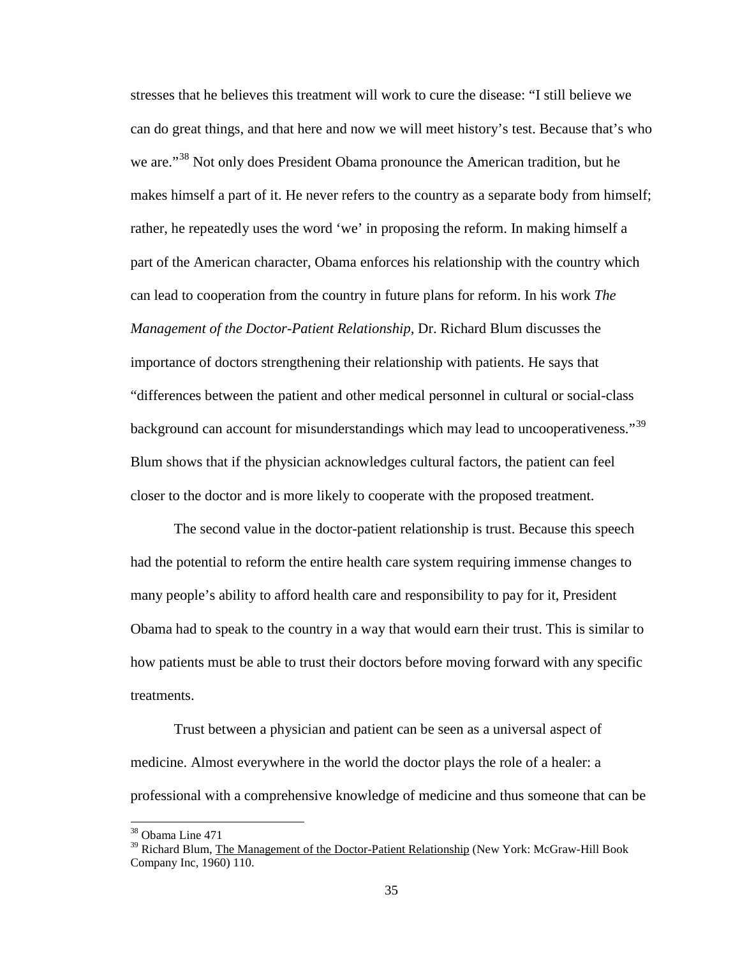stresses that he believes this treatment will work to cure the disease: "I still believe we can do great things, and that here and now we will meet history's test. Because that's who we are."<sup>[38](#page-38-0)</sup> Not only does President Obama pronounce the American tradition, but he makes himself a part of it. He never refers to the country as a separate body from himself; rather, he repeatedly uses the word 'we' in proposing the reform. In making himself a part of the American character, Obama enforces his relationship with the country which can lead to cooperation from the country in future plans for reform. In his work *The Management of the Doctor-Patient Relationship,* Dr. Richard Blum discusses the importance of doctors strengthening their relationship with patients. He says that "differences between the patient and other medical personnel in cultural or social-class background can account for misunderstandings which may lead to uncooperativeness."[39](#page-38-1) Blum shows that if the physician acknowledges cultural factors, the patient can feel closer to the doctor and is more likely to cooperate with the proposed treatment.

The second value in the doctor-patient relationship is trust. Because this speech had the potential to reform the entire health care system requiring immense changes to many people's ability to afford health care and responsibility to pay for it, President Obama had to speak to the country in a way that would earn their trust. This is similar to how patients must be able to trust their doctors before moving forward with any specific treatments.

Trust between a physician and patient can be seen as a universal aspect of medicine. Almost everywhere in the world the doctor plays the role of a healer: a professional with a comprehensive knowledge of medicine and thus someone that can be

<span id="page-38-0"></span> <sup>38</sup> Obama Line 471

<span id="page-38-1"></span> $39$  Richard Blum, The Management of the Doctor-Patient Relationship (New York: McGraw-Hill Book Company Inc, 1960) 110.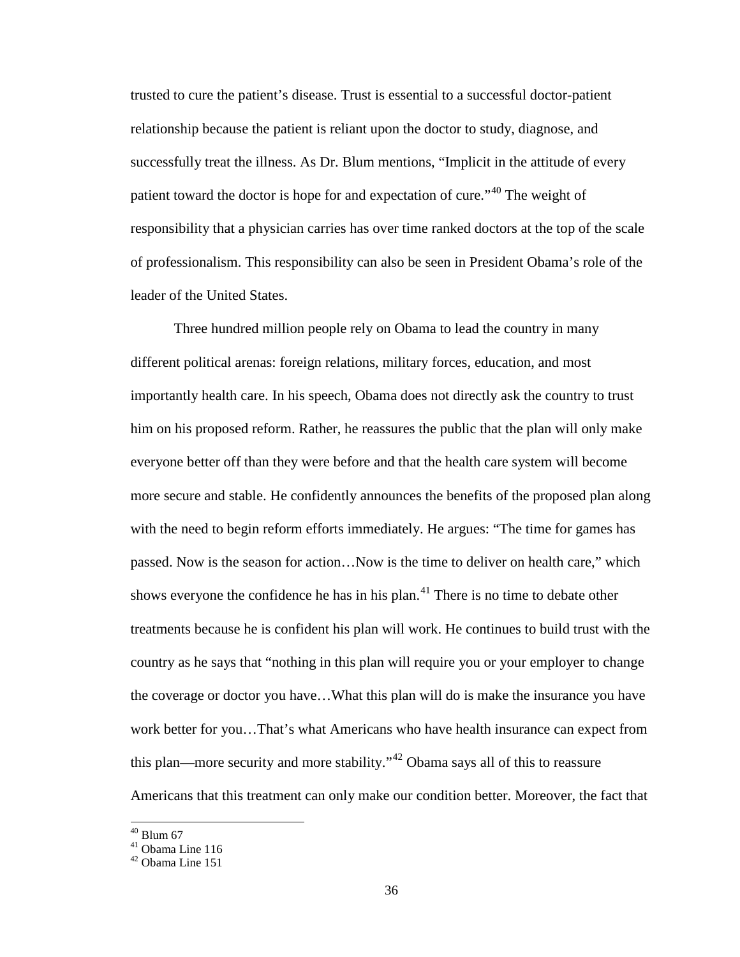trusted to cure the patient's disease. Trust is essential to a successful doctor-patient relationship because the patient is reliant upon the doctor to study, diagnose, and successfully treat the illness. As Dr. Blum mentions, "Implicit in the attitude of every patient toward the doctor is hope for and expectation of cure."<sup>[40](#page-39-0)</sup> The weight of responsibility that a physician carries has over time ranked doctors at the top of the scale of professionalism. This responsibility can also be seen in President Obama's role of the leader of the United States.

Three hundred million people rely on Obama to lead the country in many different political arenas: foreign relations, military forces, education, and most importantly health care. In his speech, Obama does not directly ask the country to trust him on his proposed reform. Rather, he reassures the public that the plan will only make everyone better off than they were before and that the health care system will become more secure and stable. He confidently announces the benefits of the proposed plan along with the need to begin reform efforts immediately. He argues: "The time for games has passed. Now is the season for action…Now is the time to deliver on health care," which shows everyone the confidence he has in his plan.<sup>[41](#page-39-1)</sup> There is no time to debate other treatments because he is confident his plan will work. He continues to build trust with the country as he says that "nothing in this plan will require you or your employer to change the coverage or doctor you have…What this plan will do is make the insurance you have work better for you…That's what Americans who have health insurance can expect from this plan—more security and more stability."<sup>[42](#page-39-2)</sup> Obama says all of this to reassure Americans that this treatment can only make our condition better. Moreover, the fact that

<span id="page-39-0"></span> $^{40}$  Blum 67<br> $^{41}$  Obama Line 116

<span id="page-39-2"></span><span id="page-39-1"></span> $42$  Obama Line 151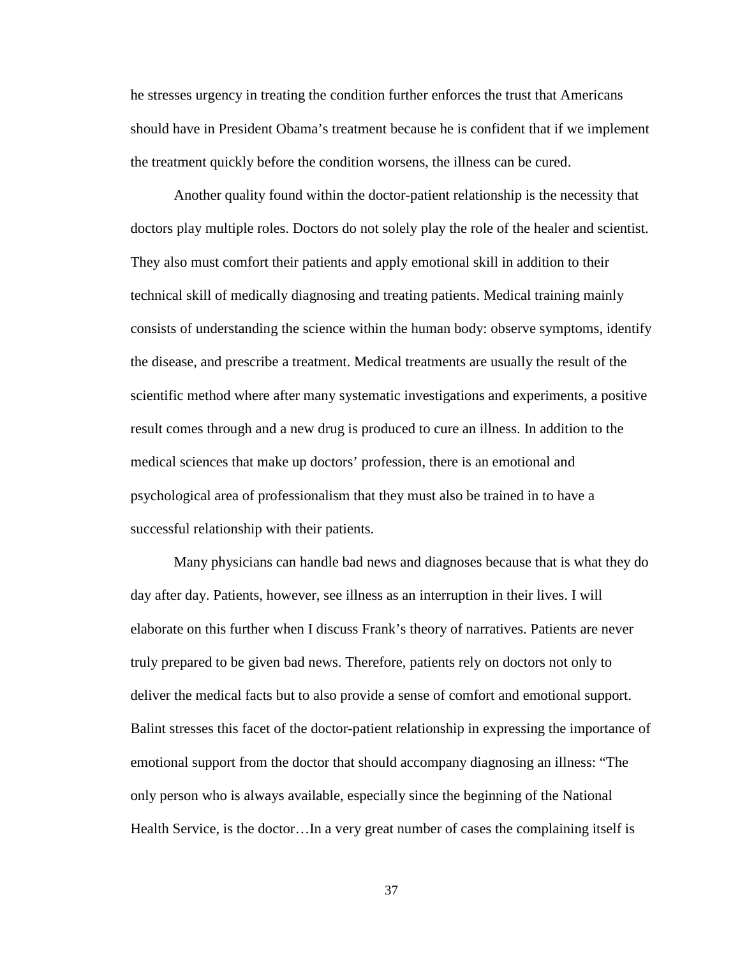he stresses urgency in treating the condition further enforces the trust that Americans should have in President Obama's treatment because he is confident that if we implement the treatment quickly before the condition worsens, the illness can be cured.

Another quality found within the doctor-patient relationship is the necessity that doctors play multiple roles. Doctors do not solely play the role of the healer and scientist. They also must comfort their patients and apply emotional skill in addition to their technical skill of medically diagnosing and treating patients. Medical training mainly consists of understanding the science within the human body: observe symptoms, identify the disease, and prescribe a treatment. Medical treatments are usually the result of the scientific method where after many systematic investigations and experiments, a positive result comes through and a new drug is produced to cure an illness. In addition to the medical sciences that make up doctors' profession, there is an emotional and psychological area of professionalism that they must also be trained in to have a successful relationship with their patients.

Many physicians can handle bad news and diagnoses because that is what they do day after day. Patients, however, see illness as an interruption in their lives. I will elaborate on this further when I discuss Frank's theory of narratives. Patients are never truly prepared to be given bad news. Therefore, patients rely on doctors not only to deliver the medical facts but to also provide a sense of comfort and emotional support. Balint stresses this facet of the doctor-patient relationship in expressing the importance of emotional support from the doctor that should accompany diagnosing an illness: "The only person who is always available, especially since the beginning of the National Health Service, is the doctor…In a very great number of cases the complaining itself is

37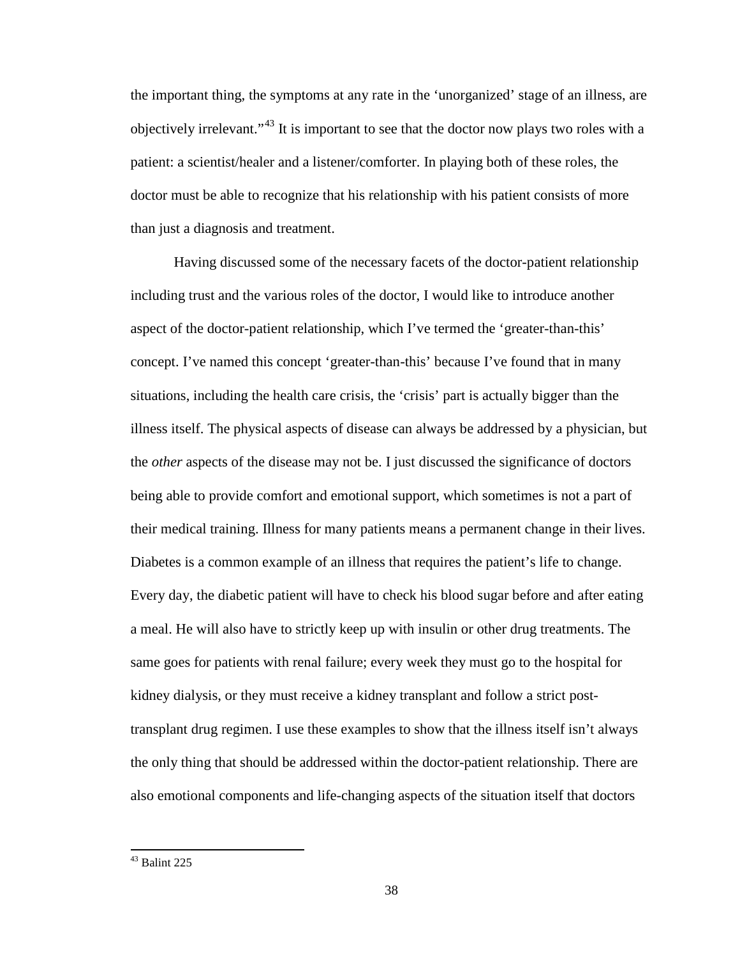the important thing, the symptoms at any rate in the 'unorganized' stage of an illness, are objectively irrelevant."<sup>[43](#page-41-0)</sup> It is important to see that the doctor now plays two roles with a patient: a scientist/healer and a listener/comforter. In playing both of these roles, the doctor must be able to recognize that his relationship with his patient consists of more than just a diagnosis and treatment.

Having discussed some of the necessary facets of the doctor-patient relationship including trust and the various roles of the doctor, I would like to introduce another aspect of the doctor-patient relationship, which I've termed the 'greater-than-this' concept. I've named this concept 'greater-than-this' because I've found that in many situations, including the health care crisis, the 'crisis' part is actually bigger than the illness itself. The physical aspects of disease can always be addressed by a physician, but the *other* aspects of the disease may not be. I just discussed the significance of doctors being able to provide comfort and emotional support, which sometimes is not a part of their medical training. Illness for many patients means a permanent change in their lives. Diabetes is a common example of an illness that requires the patient's life to change. Every day, the diabetic patient will have to check his blood sugar before and after eating a meal. He will also have to strictly keep up with insulin or other drug treatments. The same goes for patients with renal failure; every week they must go to the hospital for kidney dialysis, or they must receive a kidney transplant and follow a strict posttransplant drug regimen. I use these examples to show that the illness itself isn't always the only thing that should be addressed within the doctor-patient relationship. There are also emotional components and life-changing aspects of the situation itself that doctors

<span id="page-41-0"></span> $43$  Balint 225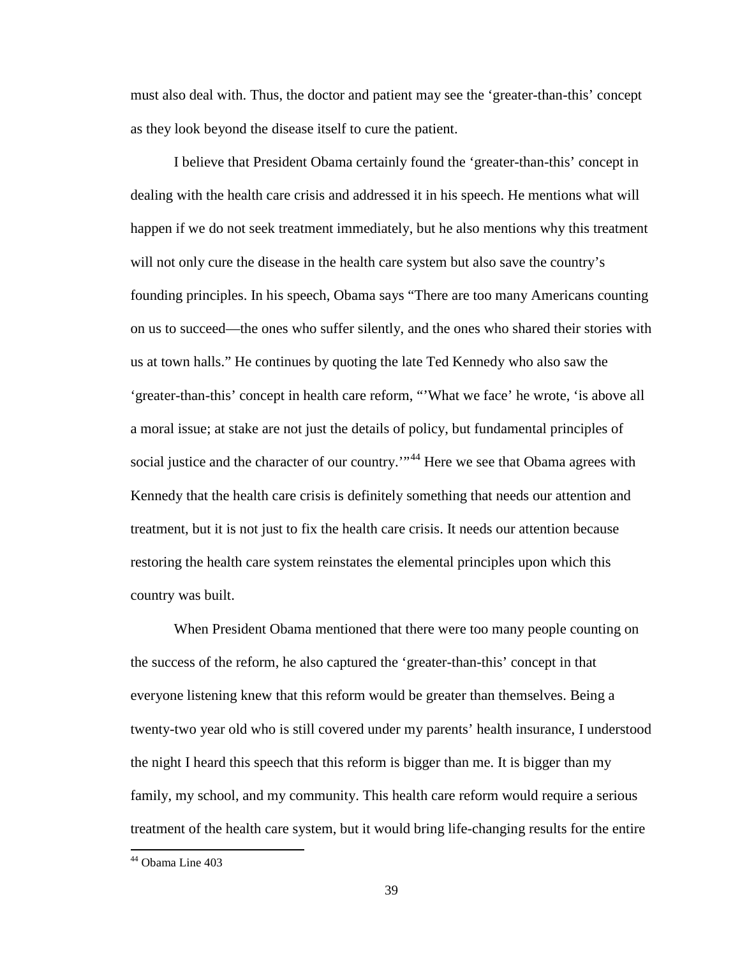must also deal with. Thus, the doctor and patient may see the 'greater-than-this' concept as they look beyond the disease itself to cure the patient.

I believe that President Obama certainly found the 'greater-than-this' concept in dealing with the health care crisis and addressed it in his speech. He mentions what will happen if we do not seek treatment immediately, but he also mentions why this treatment will not only cure the disease in the health care system but also save the country's founding principles. In his speech, Obama says "There are too many Americans counting on us to succeed—the ones who suffer silently, and the ones who shared their stories with us at town halls." He continues by quoting the late Ted Kennedy who also saw the 'greater-than-this' concept in health care reform, "'What we face' he wrote, 'is above all a moral issue; at stake are not just the details of policy, but fundamental principles of social justice and the character of our country."<sup>[44](#page-42-0)</sup> Here we see that Obama agrees with Kennedy that the health care crisis is definitely something that needs our attention and treatment, but it is not just to fix the health care crisis. It needs our attention because restoring the health care system reinstates the elemental principles upon which this country was built.

When President Obama mentioned that there were too many people counting on the success of the reform, he also captured the 'greater-than-this' concept in that everyone listening knew that this reform would be greater than themselves. Being a twenty-two year old who is still covered under my parents' health insurance, I understood the night I heard this speech that this reform is bigger than me. It is bigger than my family, my school, and my community. This health care reform would require a serious treatment of the health care system, but it would bring life-changing results for the entire

<span id="page-42-0"></span> $44$  Obama Line  $403$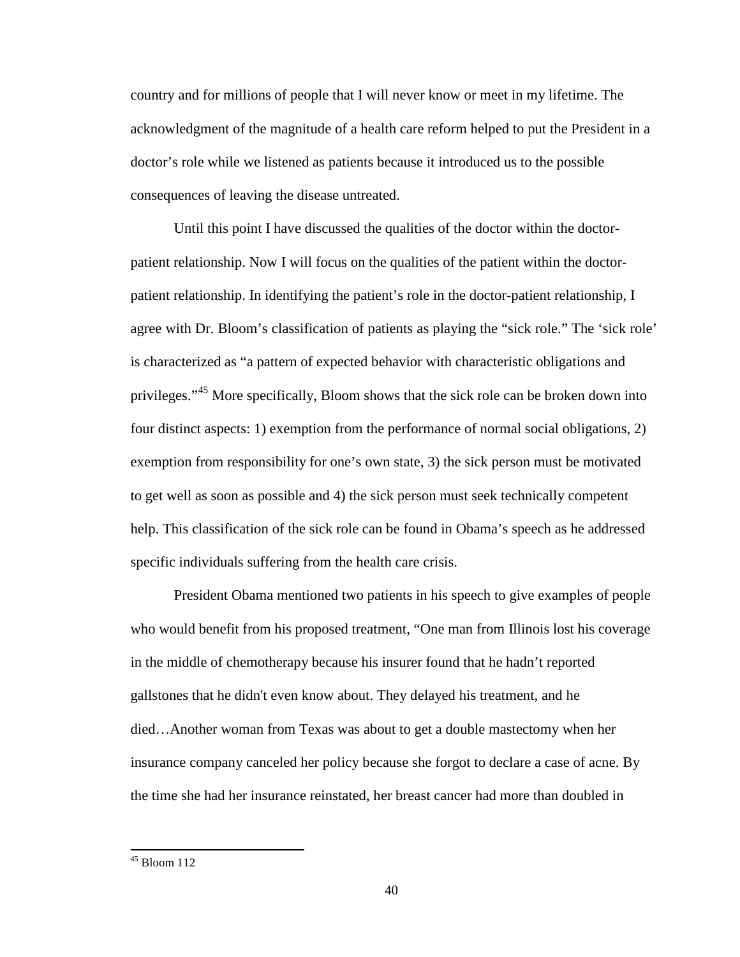country and for millions of people that I will never know or meet in my lifetime. The acknowledgment of the magnitude of a health care reform helped to put the President in a doctor's role while we listened as patients because it introduced us to the possible consequences of leaving the disease untreated.

Until this point I have discussed the qualities of the doctor within the doctorpatient relationship. Now I will focus on the qualities of the patient within the doctorpatient relationship. In identifying the patient's role in the doctor-patient relationship, I agree with Dr. Bloom's classification of patients as playing the "sick role." The 'sick role' is characterized as "a pattern of expected behavior with characteristic obligations and privileges."<sup>[45](#page-43-0)</sup> More specifically, Bloom shows that the sick role can be broken down into four distinct aspects: 1) exemption from the performance of normal social obligations, 2) exemption from responsibility for one's own state, 3) the sick person must be motivated to get well as soon as possible and 4) the sick person must seek technically competent help. This classification of the sick role can be found in Obama's speech as he addressed specific individuals suffering from the health care crisis.

President Obama mentioned two patients in his speech to give examples of people who would benefit from his proposed treatment, "One man from Illinois lost his coverage in the middle of chemotherapy because his insurer found that he hadn't reported gallstones that he didn't even know about. They delayed his treatment, and he died…Another woman from Texas was about to get a double mastectomy when her insurance company canceled her policy because she forgot to declare a case of acne. By the time she had her insurance reinstated, her breast cancer had more than doubled in

<span id="page-43-0"></span> $45$  Bloom 112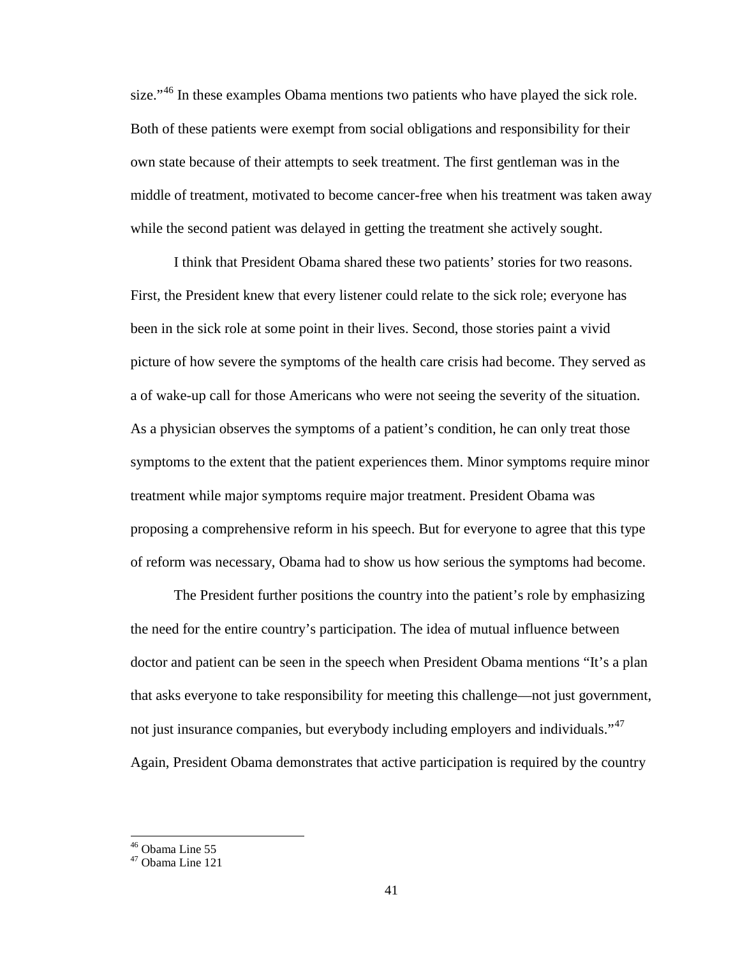size."<sup>[46](#page-44-0)</sup> In these examples Obama mentions two patients who have played the sick role. Both of these patients were exempt from social obligations and responsibility for their own state because of their attempts to seek treatment. The first gentleman was in the middle of treatment, motivated to become cancer-free when his treatment was taken away while the second patient was delayed in getting the treatment she actively sought.

I think that President Obama shared these two patients' stories for two reasons. First, the President knew that every listener could relate to the sick role; everyone has been in the sick role at some point in their lives. Second, those stories paint a vivid picture of how severe the symptoms of the health care crisis had become. They served as a of wake-up call for those Americans who were not seeing the severity of the situation. As a physician observes the symptoms of a patient's condition, he can only treat those symptoms to the extent that the patient experiences them. Minor symptoms require minor treatment while major symptoms require major treatment. President Obama was proposing a comprehensive reform in his speech. But for everyone to agree that this type of reform was necessary, Obama had to show us how serious the symptoms had become.

The President further positions the country into the patient's role by emphasizing the need for the entire country's participation. The idea of mutual influence between doctor and patient can be seen in the speech when President Obama mentions "It's a plan that asks everyone to take responsibility for meeting this challenge—not just government, not just insurance companies, but everybody including employers and individuals."<sup>[47](#page-44-1)</sup> Again, President Obama demonstrates that active participation is required by the country

<span id="page-44-0"></span> $46$  Obama Line 55

<span id="page-44-1"></span><sup>47</sup> Obama Line 121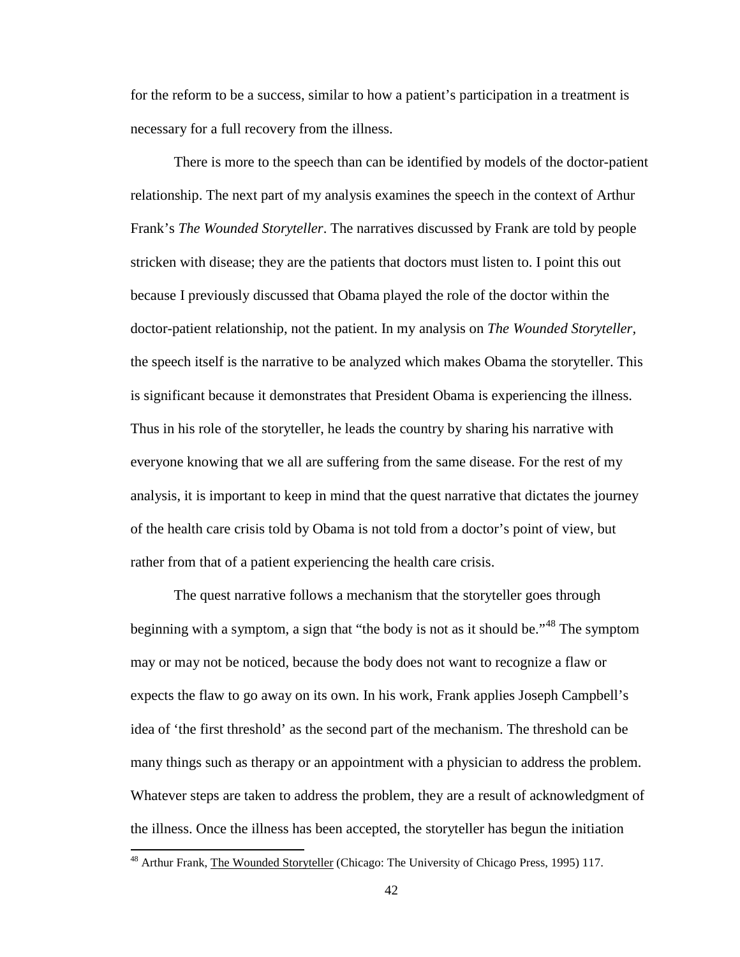for the reform to be a success, similar to how a patient's participation in a treatment is necessary for a full recovery from the illness.

There is more to the speech than can be identified by models of the doctor-patient relationship. The next part of my analysis examines the speech in the context of Arthur Frank's *The Wounded Storyteller*. The narratives discussed by Frank are told by people stricken with disease; they are the patients that doctors must listen to. I point this out because I previously discussed that Obama played the role of the doctor within the doctor-patient relationship, not the patient. In my analysis on *The Wounded Storyteller,*  the speech itself is the narrative to be analyzed which makes Obama the storyteller. This is significant because it demonstrates that President Obama is experiencing the illness. Thus in his role of the storyteller, he leads the country by sharing his narrative with everyone knowing that we all are suffering from the same disease. For the rest of my analysis, it is important to keep in mind that the quest narrative that dictates the journey of the health care crisis told by Obama is not told from a doctor's point of view, but rather from that of a patient experiencing the health care crisis.

The quest narrative follows a mechanism that the storyteller goes through beginning with a symptom, a sign that "the body is not as it should be."<sup>[48](#page-45-0)</sup> The symptom may or may not be noticed, because the body does not want to recognize a flaw or expects the flaw to go away on its own. In his work, Frank applies Joseph Campbell's idea of 'the first threshold' as the second part of the mechanism. The threshold can be many things such as therapy or an appointment with a physician to address the problem. Whatever steps are taken to address the problem, they are a result of acknowledgment of the illness. Once the illness has been accepted, the storyteller has begun the initiation

<span id="page-45-0"></span><sup>&</sup>lt;sup>48</sup> Arthur Frank, The Wounded Storyteller (Chicago: The University of Chicago Press, 1995) 117.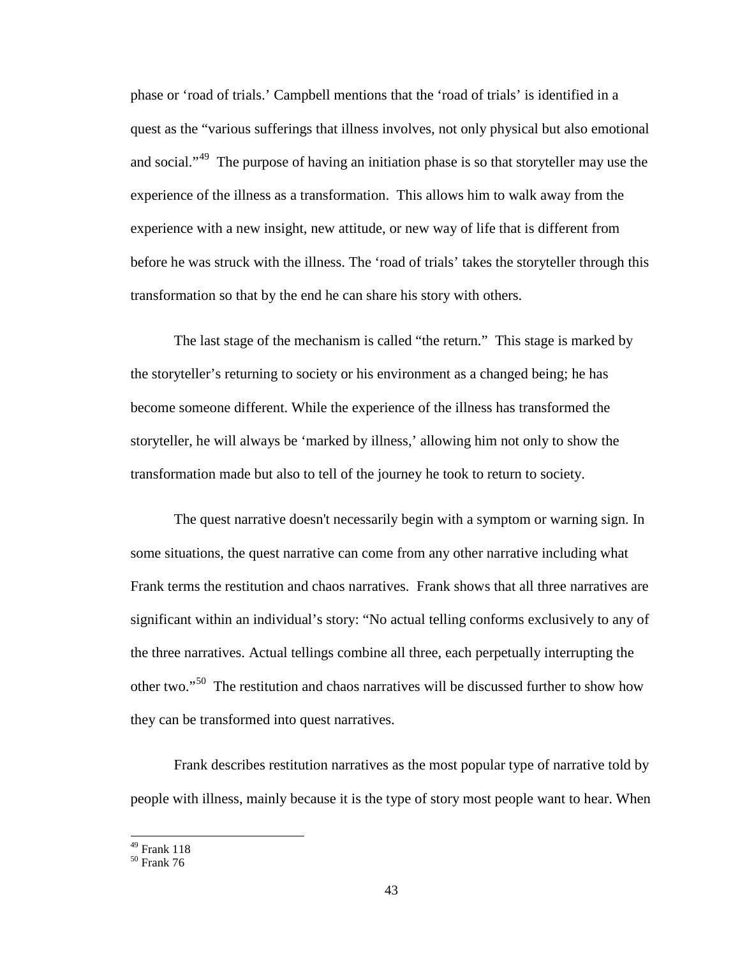phase or 'road of trials.' Campbell mentions that the 'road of trials' is identified in a quest as the "various sufferings that illness involves, not only physical but also emotional and social."<sup>[49](#page-46-0)</sup> The purpose of having an initiation phase is so that storyteller may use the experience of the illness as a transformation. This allows him to walk away from the experience with a new insight, new attitude, or new way of life that is different from before he was struck with the illness. The 'road of trials' takes the storyteller through this transformation so that by the end he can share his story with others.

The last stage of the mechanism is called "the return." This stage is marked by the storyteller's returning to society or his environment as a changed being; he has become someone different. While the experience of the illness has transformed the storyteller, he will always be 'marked by illness,' allowing him not only to show the transformation made but also to tell of the journey he took to return to society.

The quest narrative doesn't necessarily begin with a symptom or warning sign. In some situations, the quest narrative can come from any other narrative including what Frank terms the restitution and chaos narratives. Frank shows that all three narratives are significant within an individual's story: "No actual telling conforms exclusively to any of the three narratives. Actual tellings combine all three, each perpetually interrupting the other two."<sup>[50](#page-46-1)</sup> The restitution and chaos narratives will be discussed further to show how they can be transformed into quest narratives.

Frank describes restitution narratives as the most popular type of narrative told by people with illness, mainly because it is the type of story most people want to hear. When

<span id="page-46-0"></span> $^{49}$  Frank 118<br> $^{50}$  Frank 76

<span id="page-46-1"></span>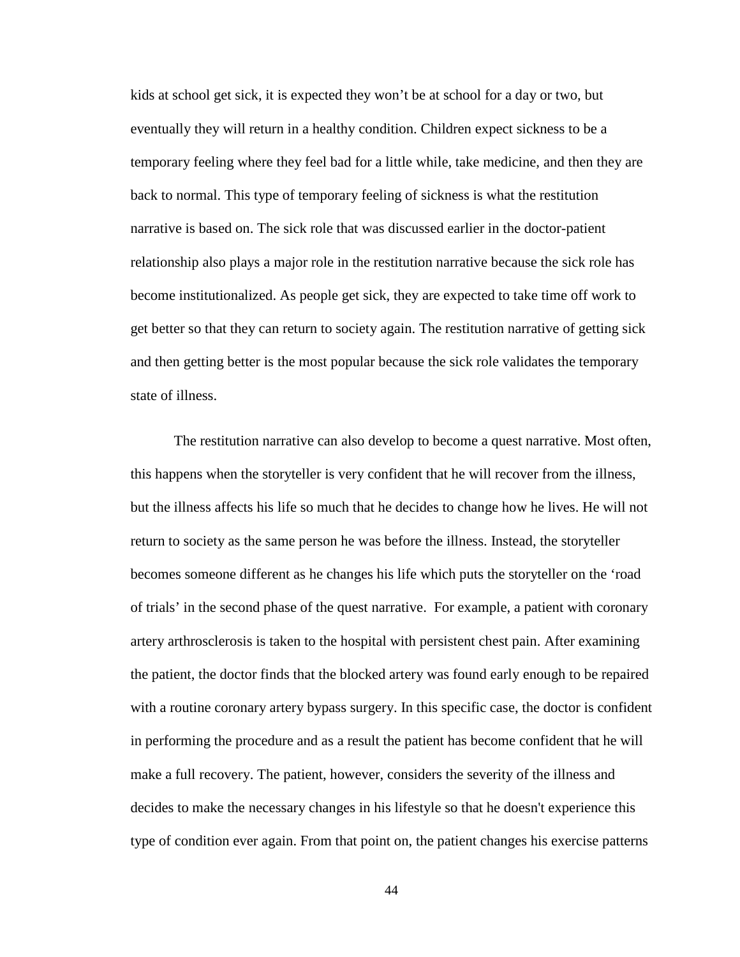kids at school get sick, it is expected they won't be at school for a day or two, but eventually they will return in a healthy condition. Children expect sickness to be a temporary feeling where they feel bad for a little while, take medicine, and then they are back to normal. This type of temporary feeling of sickness is what the restitution narrative is based on. The sick role that was discussed earlier in the doctor-patient relationship also plays a major role in the restitution narrative because the sick role has become institutionalized. As people get sick, they are expected to take time off work to get better so that they can return to society again. The restitution narrative of getting sick and then getting better is the most popular because the sick role validates the temporary state of illness.

The restitution narrative can also develop to become a quest narrative. Most often, this happens when the storyteller is very confident that he will recover from the illness, but the illness affects his life so much that he decides to change how he lives. He will not return to society as the same person he was before the illness. Instead, the storyteller becomes someone different as he changes his life which puts the storyteller on the 'road of trials' in the second phase of the quest narrative. For example, a patient with coronary artery arthrosclerosis is taken to the hospital with persistent chest pain. After examining the patient, the doctor finds that the blocked artery was found early enough to be repaired with a routine coronary artery bypass surgery. In this specific case, the doctor is confident in performing the procedure and as a result the patient has become confident that he will make a full recovery. The patient, however, considers the severity of the illness and decides to make the necessary changes in his lifestyle so that he doesn't experience this type of condition ever again. From that point on, the patient changes his exercise patterns

44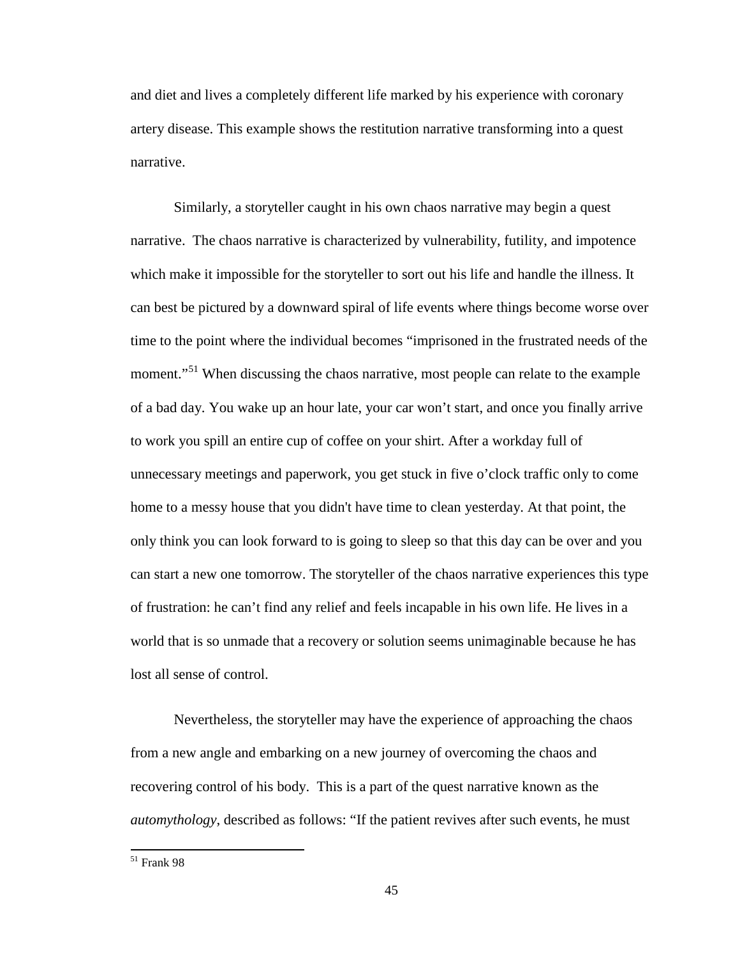and diet and lives a completely different life marked by his experience with coronary artery disease. This example shows the restitution narrative transforming into a quest narrative.

Similarly, a storyteller caught in his own chaos narrative may begin a quest narrative. The chaos narrative is characterized by vulnerability, futility, and impotence which make it impossible for the storyteller to sort out his life and handle the illness. It can best be pictured by a downward spiral of life events where things become worse over time to the point where the individual becomes "imprisoned in the frustrated needs of the moment."<sup>[51](#page-48-0)</sup> When discussing the chaos narrative, most people can relate to the example of a bad day. You wake up an hour late, your car won't start, and once you finally arrive to work you spill an entire cup of coffee on your shirt. After a workday full of unnecessary meetings and paperwork, you get stuck in five o'clock traffic only to come home to a messy house that you didn't have time to clean yesterday. At that point, the only think you can look forward to is going to sleep so that this day can be over and you can start a new one tomorrow. The storyteller of the chaos narrative experiences this type of frustration: he can't find any relief and feels incapable in his own life. He lives in a world that is so unmade that a recovery or solution seems unimaginable because he has lost all sense of control.

Nevertheless, the storyteller may have the experience of approaching the chaos from a new angle and embarking on a new journey of overcoming the chaos and recovering control of his body. This is a part of the quest narrative known as the *automythology*, described as follows: "If the patient revives after such events, he must

<span id="page-48-0"></span> <sup>51</sup> Frank 98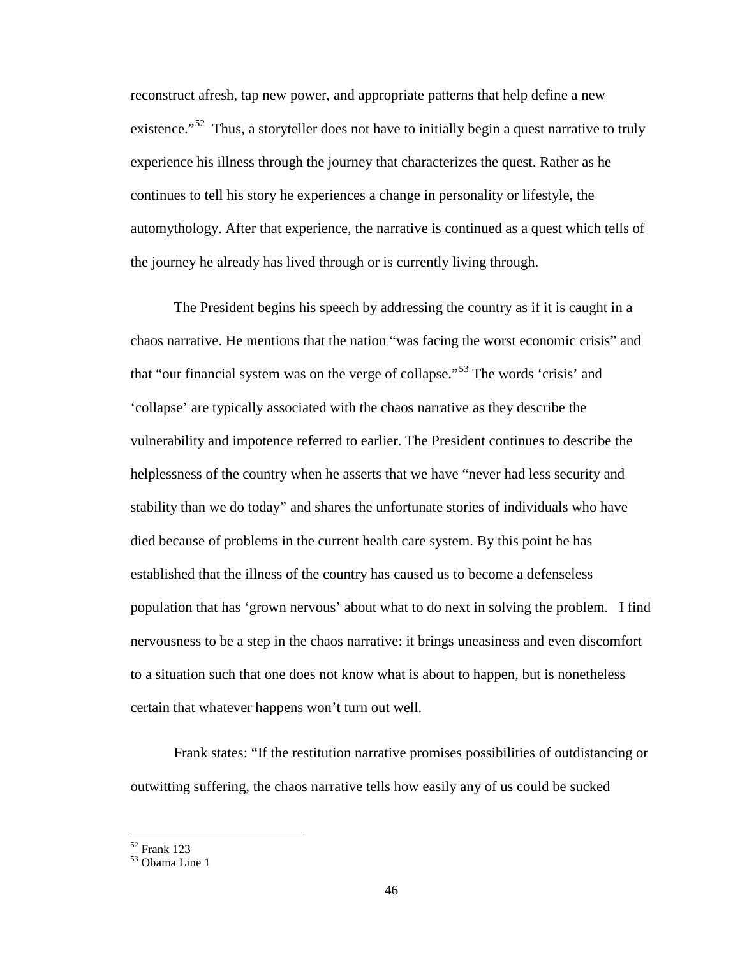reconstruct afresh, tap new power, and appropriate patterns that help define a new existence."<sup>[52](#page-49-0)</sup> Thus, a storyteller does not have to initially begin a quest narrative to truly experience his illness through the journey that characterizes the quest. Rather as he continues to tell his story he experiences a change in personality or lifestyle, the automythology. After that experience, the narrative is continued as a quest which tells of the journey he already has lived through or is currently living through.

The President begins his speech by addressing the country as if it is caught in a chaos narrative. He mentions that the nation "was facing the worst economic crisis" and that "our financial system was on the verge of collapse."<sup>[53](#page-49-1)</sup> The words 'crisis' and 'collapse' are typically associated with the chaos narrative as they describe the vulnerability and impotence referred to earlier. The President continues to describe the helplessness of the country when he asserts that we have "never had less security and stability than we do today" and shares the unfortunate stories of individuals who have died because of problems in the current health care system. By this point he has established that the illness of the country has caused us to become a defenseless population that has 'grown nervous' about what to do next in solving the problem. I find nervousness to be a step in the chaos narrative: it brings uneasiness and even discomfort to a situation such that one does not know what is about to happen, but is nonetheless certain that whatever happens won't turn out well.

Frank states: "If the restitution narrative promises possibilities of outdistancing or outwitting suffering, the chaos narrative tells how easily any of us could be sucked

<span id="page-49-1"></span><span id="page-49-0"></span> $52$  Frank 123<br> $53$  Obama Line 1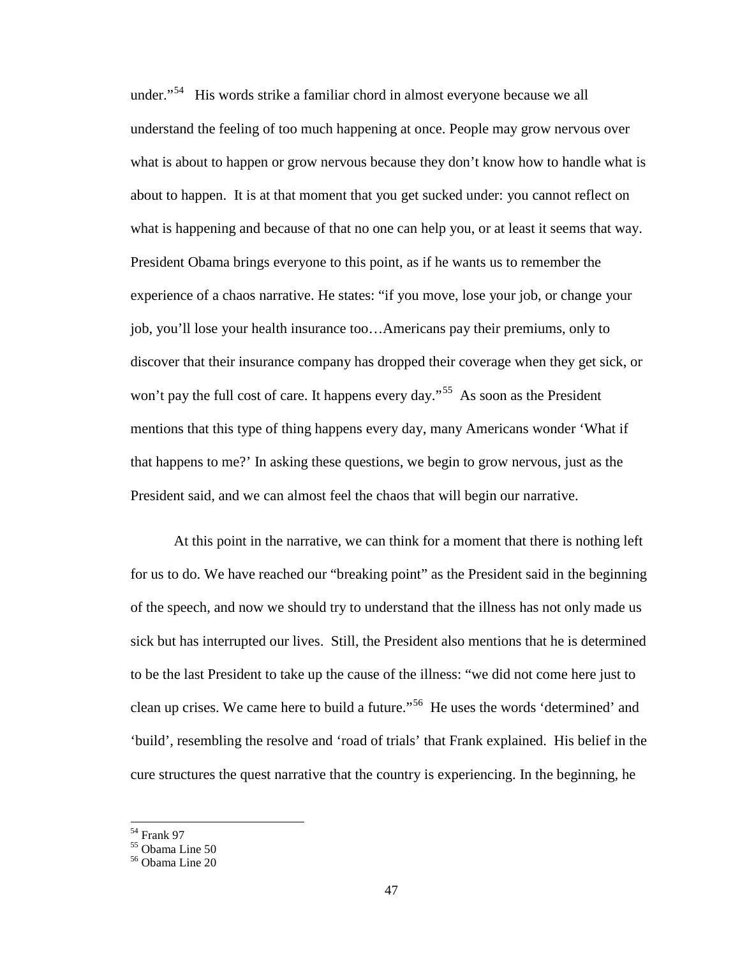under."<sup>[54](#page-50-0)</sup> His words strike a familiar chord in almost everyone because we all understand the feeling of too much happening at once. People may grow nervous over what is about to happen or grow nervous because they don't know how to handle what is about to happen. It is at that moment that you get sucked under: you cannot reflect on what is happening and because of that no one can help you, or at least it seems that way. President Obama brings everyone to this point, as if he wants us to remember the experience of a chaos narrative. He states: "if you move, lose your job, or change your job, you'll lose your health insurance too…Americans pay their premiums, only to discover that their insurance company has dropped their coverage when they get sick, or won't pay the full cost of care. It happens every day."<sup>[55](#page-50-1)</sup> As soon as the President mentions that this type of thing happens every day, many Americans wonder 'What if that happens to me?' In asking these questions, we begin to grow nervous, just as the President said, and we can almost feel the chaos that will begin our narrative.

At this point in the narrative, we can think for a moment that there is nothing left for us to do. We have reached our "breaking point" as the President said in the beginning of the speech, and now we should try to understand that the illness has not only made us sick but has interrupted our lives. Still, the President also mentions that he is determined to be the last President to take up the cause of the illness: "we did not come here just to clean up crises. We came here to build a future."<sup>[56](#page-50-2)</sup> He uses the words 'determined' and 'build', resembling the resolve and 'road of trials' that Frank explained. His belief in the cure structures the quest narrative that the country is experiencing. In the beginning, he

 <sup>54</sup> Frank 97

<span id="page-50-2"></span>

<span id="page-50-1"></span><span id="page-50-0"></span> $\frac{55}{56}$  Obama Line 50<br> $\frac{56}{56}$  Obama Line 20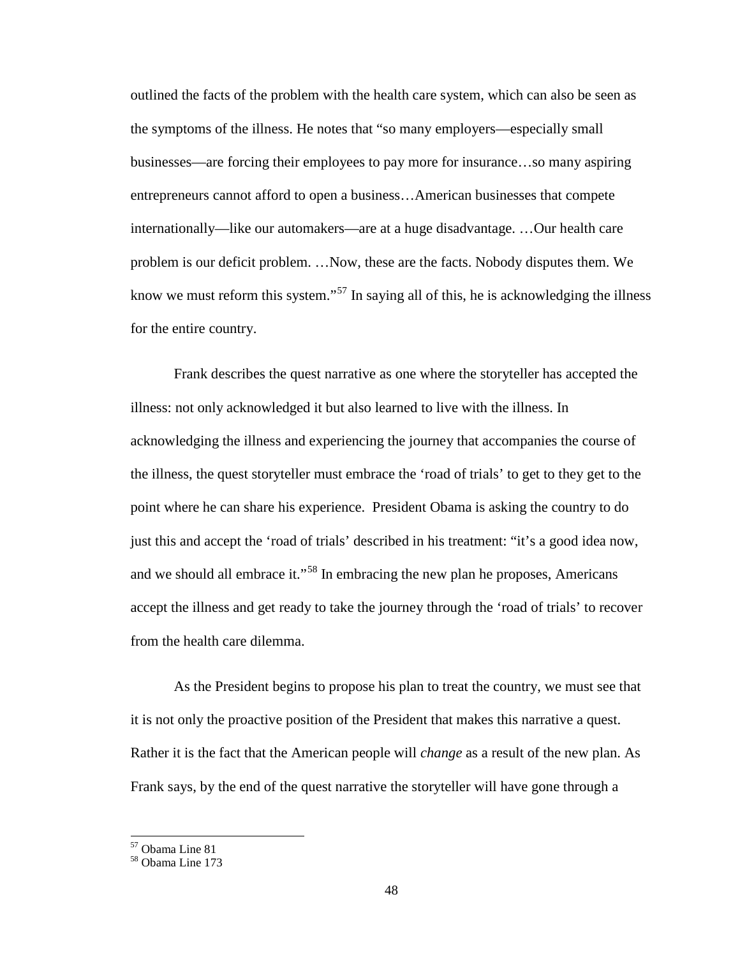outlined the facts of the problem with the health care system, which can also be seen as the symptoms of the illness. He notes that "so many employers—especially small businesses—are forcing their employees to pay more for insurance…so many aspiring entrepreneurs cannot afford to open a business…American businesses that compete internationally—like our automakers—are at a huge disadvantage. …Our health care problem is our deficit problem. …Now, these are the facts. Nobody disputes them. We know we must reform this system."<sup>[57](#page-51-0)</sup> In saying all of this, he is acknowledging the illness for the entire country.

Frank describes the quest narrative as one where the storyteller has accepted the illness: not only acknowledged it but also learned to live with the illness. In acknowledging the illness and experiencing the journey that accompanies the course of the illness, the quest storyteller must embrace the 'road of trials' to get to they get to the point where he can share his experience. President Obama is asking the country to do just this and accept the 'road of trials' described in his treatment: "it's a good idea now, and we should all embrace it."<sup>[58](#page-51-1)</sup> In embracing the new plan he proposes, Americans accept the illness and get ready to take the journey through the 'road of trials' to recover from the health care dilemma.

As the President begins to propose his plan to treat the country, we must see that it is not only the proactive position of the President that makes this narrative a quest. Rather it is the fact that the American people will *change* as a result of the new plan. As Frank says, by the end of the quest narrative the storyteller will have gone through a

<span id="page-51-0"></span> $57$  Obama Line 81<br> $58$  Obama Line 173

<span id="page-51-1"></span>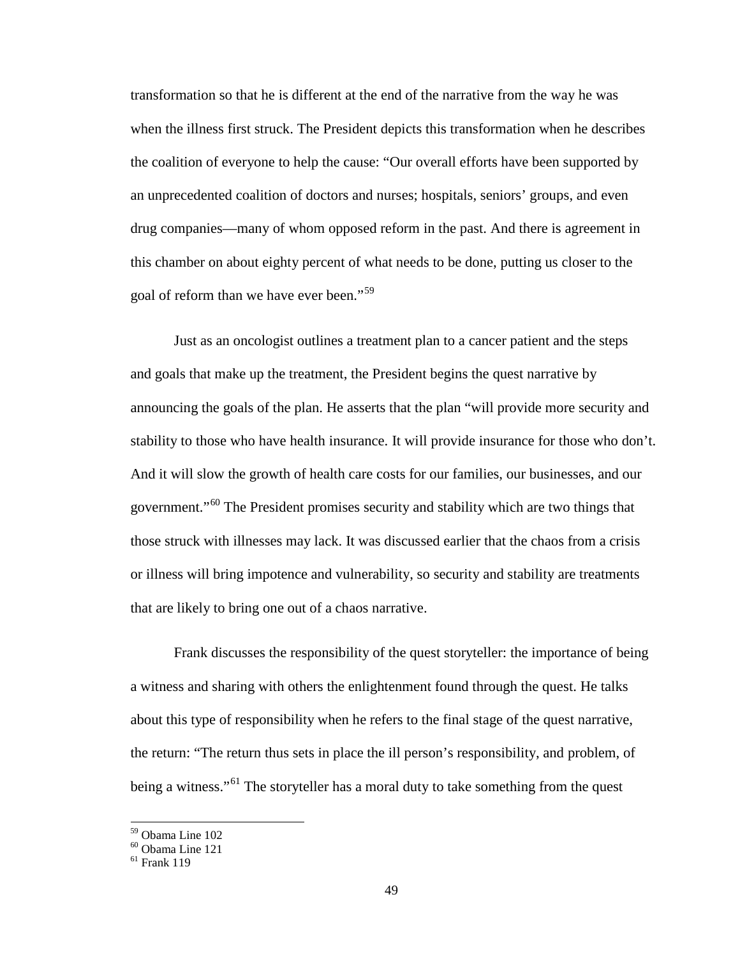transformation so that he is different at the end of the narrative from the way he was when the illness first struck. The President depicts this transformation when he describes the coalition of everyone to help the cause: "Our overall efforts have been supported by an unprecedented coalition of doctors and nurses; hospitals, seniors' groups, and even drug companies—many of whom opposed reform in the past. And there is agreement in this chamber on about eighty percent of what needs to be done, putting us closer to the goal of reform than we have ever been."[59](#page-52-0)

Just as an oncologist outlines a treatment plan to a cancer patient and the steps and goals that make up the treatment, the President begins the quest narrative by announcing the goals of the plan. He asserts that the plan "will provide more security and stability to those who have health insurance. It will provide insurance for those who don't. And it will slow the growth of health care costs for our families, our businesses, and our government."<sup>[60](#page-52-1)</sup> The President promises security and stability which are two things that those struck with illnesses may lack. It was discussed earlier that the chaos from a crisis or illness will bring impotence and vulnerability, so security and stability are treatments that are likely to bring one out of a chaos narrative.

Frank discusses the responsibility of the quest storyteller: the importance of being a witness and sharing with others the enlightenment found through the quest. He talks about this type of responsibility when he refers to the final stage of the quest narrative, the return: "The return thus sets in place the ill person's responsibility, and problem, of being a witness."<sup>[61](#page-52-2)</sup> The storyteller has a moral duty to take something from the quest

 <sup>59</sup> Obama Line 102

<span id="page-52-2"></span><span id="page-52-1"></span><span id="page-52-0"></span> $^{60}$  Obama Line 121<br> $^{61}$  Frank 119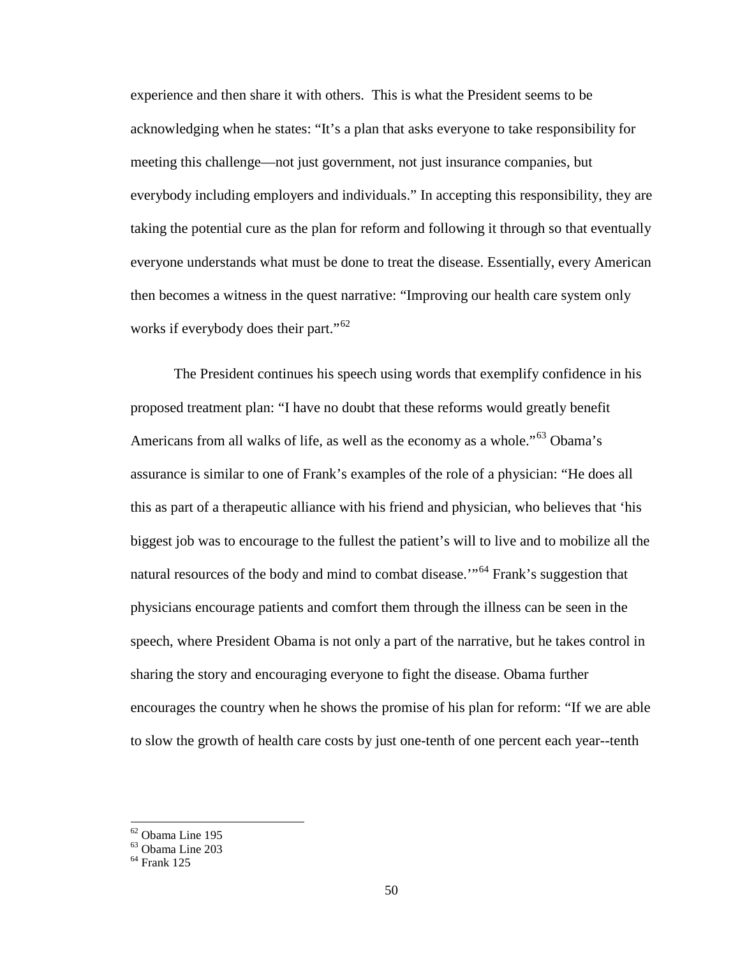experience and then share it with others. This is what the President seems to be acknowledging when he states: "It's a plan that asks everyone to take responsibility for meeting this challenge—not just government, not just insurance companies, but everybody including employers and individuals." In accepting this responsibility, they are taking the potential cure as the plan for reform and following it through so that eventually everyone understands what must be done to treat the disease. Essentially, every American then becomes a witness in the quest narrative: "Improving our health care system only works if everybody does their part."<sup>[62](#page-53-0)</sup>

The President continues his speech using words that exemplify confidence in his proposed treatment plan: "I have no doubt that these reforms would greatly benefit Americans from all walks of life, as well as the economy as a whole."<sup>[63](#page-53-1)</sup> Obama's assurance is similar to one of Frank's examples of the role of a physician: "He does all this as part of a therapeutic alliance with his friend and physician, who believes that 'his biggest job was to encourage to the fullest the patient's will to live and to mobilize all the natural resources of the body and mind to combat disease."<sup>[64](#page-53-2)</sup> Frank's suggestion that physicians encourage patients and comfort them through the illness can be seen in the speech, where President Obama is not only a part of the narrative, but he takes control in sharing the story and encouraging everyone to fight the disease. Obama further encourages the country when he shows the promise of his plan for reform: "If we are able to slow the growth of health care costs by just one-tenth of one percent each year--tenth

 <sup>62</sup> Obama Line 195

<span id="page-53-2"></span><span id="page-53-1"></span><span id="page-53-0"></span> $<sup>63</sup>$  Obama Line 203<br> $<sup>64</sup>$  Frank 125</sup></sup>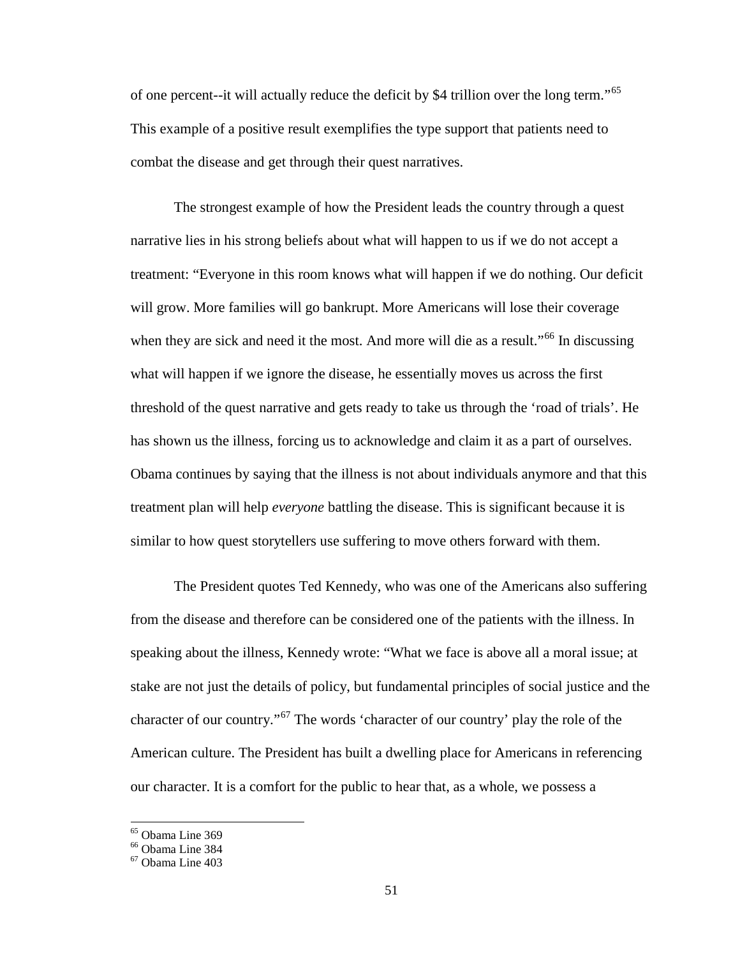of one percent--it will actually reduce the deficit by \$4 trillion over the long term."<sup>[65](#page-54-0)</sup> This example of a positive result exemplifies the type support that patients need to combat the disease and get through their quest narratives.

The strongest example of how the President leads the country through a quest narrative lies in his strong beliefs about what will happen to us if we do not accept a treatment: "Everyone in this room knows what will happen if we do nothing. Our deficit will grow. More families will go bankrupt. More Americans will lose their coverage when they are sick and need it the most. And more will die as a result."<sup>[66](#page-54-1)</sup> In discussing what will happen if we ignore the disease, he essentially moves us across the first threshold of the quest narrative and gets ready to take us through the 'road of trials'. He has shown us the illness, forcing us to acknowledge and claim it as a part of ourselves. Obama continues by saying that the illness is not about individuals anymore and that this treatment plan will help *everyone* battling the disease. This is significant because it is similar to how quest storytellers use suffering to move others forward with them.

The President quotes Ted Kennedy, who was one of the Americans also suffering from the disease and therefore can be considered one of the patients with the illness. In speaking about the illness, Kennedy wrote: "What we face is above all a moral issue; at stake are not just the details of policy, but fundamental principles of social justice and the character of our country."<sup>[67](#page-54-2)</sup> The words 'character of our country' play the role of the American culture. The President has built a dwelling place for Americans in referencing our character. It is a comfort for the public to hear that, as a whole, we possess a

<span id="page-54-0"></span> <sup>65</sup> Obama Line 369

<span id="page-54-1"></span> $66$  Obama Line 384<br> $67$  Obama Line 403

<span id="page-54-2"></span>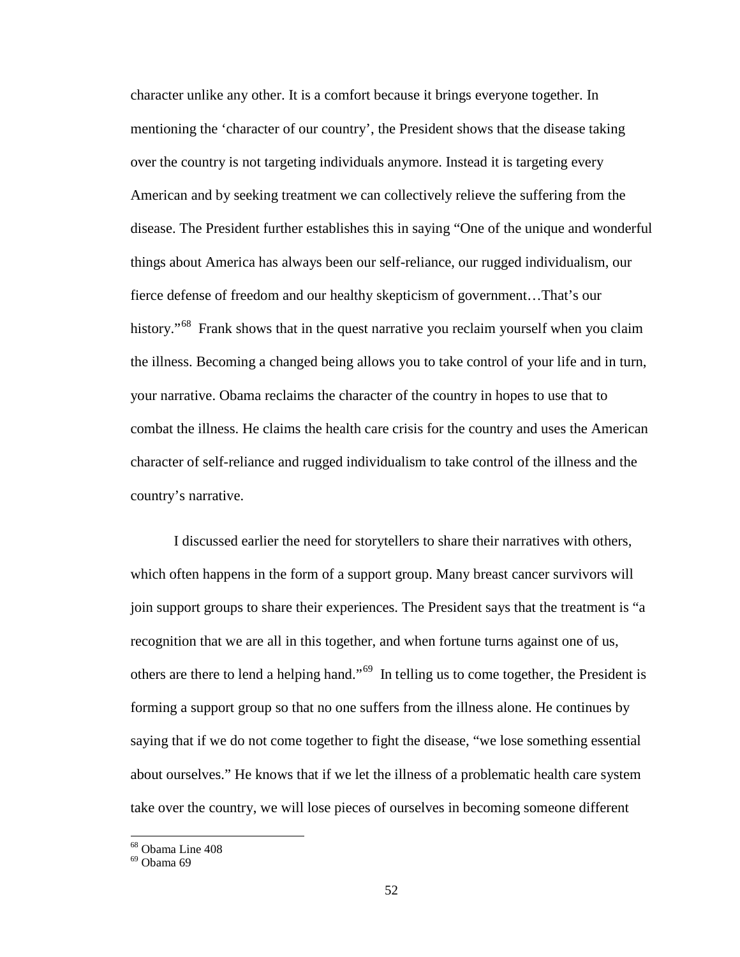character unlike any other. It is a comfort because it brings everyone together. In mentioning the 'character of our country', the President shows that the disease taking over the country is not targeting individuals anymore. Instead it is targeting every American and by seeking treatment we can collectively relieve the suffering from the disease. The President further establishes this in saying "One of the unique and wonderful things about America has always been our self-reliance, our rugged individualism, our fierce defense of freedom and our healthy skepticism of government…That's our history."<sup>[68](#page-55-0)</sup> Frank shows that in the quest narrative you reclaim yourself when you claim the illness. Becoming a changed being allows you to take control of your life and in turn, your narrative. Obama reclaims the character of the country in hopes to use that to combat the illness. He claims the health care crisis for the country and uses the American character of self-reliance and rugged individualism to take control of the illness and the country's narrative.

I discussed earlier the need for storytellers to share their narratives with others, which often happens in the form of a support group. Many breast cancer survivors will join support groups to share their experiences. The President says that the treatment is "a recognition that we are all in this together, and when fortune turns against one of us, others are there to lend a helping hand."<sup>[69](#page-55-1)</sup> In telling us to come together, the President is forming a support group so that no one suffers from the illness alone. He continues by saying that if we do not come together to fight the disease, "we lose something essential about ourselves." He knows that if we let the illness of a problematic health care system take over the country, we will lose pieces of ourselves in becoming someone different

<span id="page-55-0"></span> <sup>68</sup> Obama Line 408

<span id="page-55-1"></span> $69$  Obama 69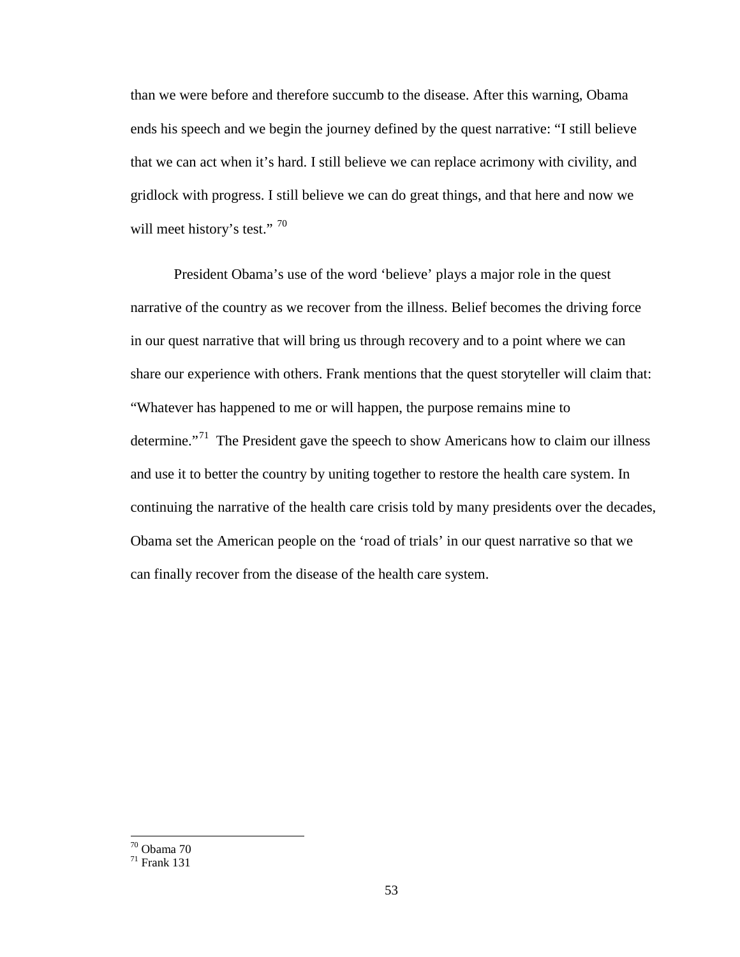than we were before and therefore succumb to the disease. After this warning, Obama ends his speech and we begin the journey defined by the quest narrative: "I still believe that we can act when it's hard. I still believe we can replace acrimony with civility, and gridlock with progress. I still believe we can do great things, and that here and now we will meet history's test." [70](#page-56-0)

President Obama's use of the word 'believe' plays a major role in the quest narrative of the country as we recover from the illness. Belief becomes the driving force in our quest narrative that will bring us through recovery and to a point where we can share our experience with others. Frank mentions that the quest storyteller will claim that: "Whatever has happened to me or will happen, the purpose remains mine to determine."<sup>71</sup> The President gave the speech to show Americans how to claim our illness and use it to better the country by uniting together to restore the health care system. In continuing the narrative of the health care crisis told by many presidents over the decades, Obama set the American people on the 'road of trials' in our quest narrative so that we can finally recover from the disease of the health care system.

<span id="page-56-0"></span> $\frac{70}{71}$  Obama 70<br><sup>71</sup> Frank 131

<span id="page-56-1"></span>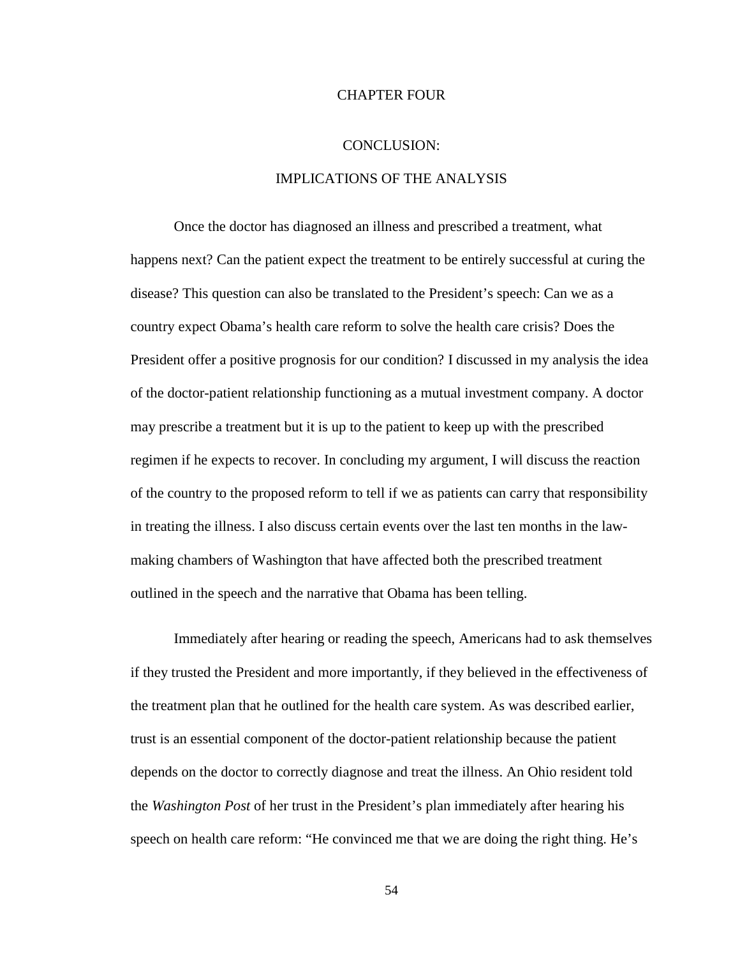## CHAPTER FOUR

## CONCLUSION:

## IMPLICATIONS OF THE ANALYSIS

Once the doctor has diagnosed an illness and prescribed a treatment, what happens next? Can the patient expect the treatment to be entirely successful at curing the disease? This question can also be translated to the President's speech: Can we as a country expect Obama's health care reform to solve the health care crisis? Does the President offer a positive prognosis for our condition? I discussed in my analysis the idea of the doctor-patient relationship functioning as a mutual investment company. A doctor may prescribe a treatment but it is up to the patient to keep up with the prescribed regimen if he expects to recover. In concluding my argument, I will discuss the reaction of the country to the proposed reform to tell if we as patients can carry that responsibility in treating the illness. I also discuss certain events over the last ten months in the lawmaking chambers of Washington that have affected both the prescribed treatment outlined in the speech and the narrative that Obama has been telling.

Immediately after hearing or reading the speech, Americans had to ask themselves if they trusted the President and more importantly, if they believed in the effectiveness of the treatment plan that he outlined for the health care system. As was described earlier, trust is an essential component of the doctor-patient relationship because the patient depends on the doctor to correctly diagnose and treat the illness. An Ohio resident told the *Washington Post* of her trust in the President's plan immediately after hearing his speech on health care reform: "He convinced me that we are doing the right thing. He's

54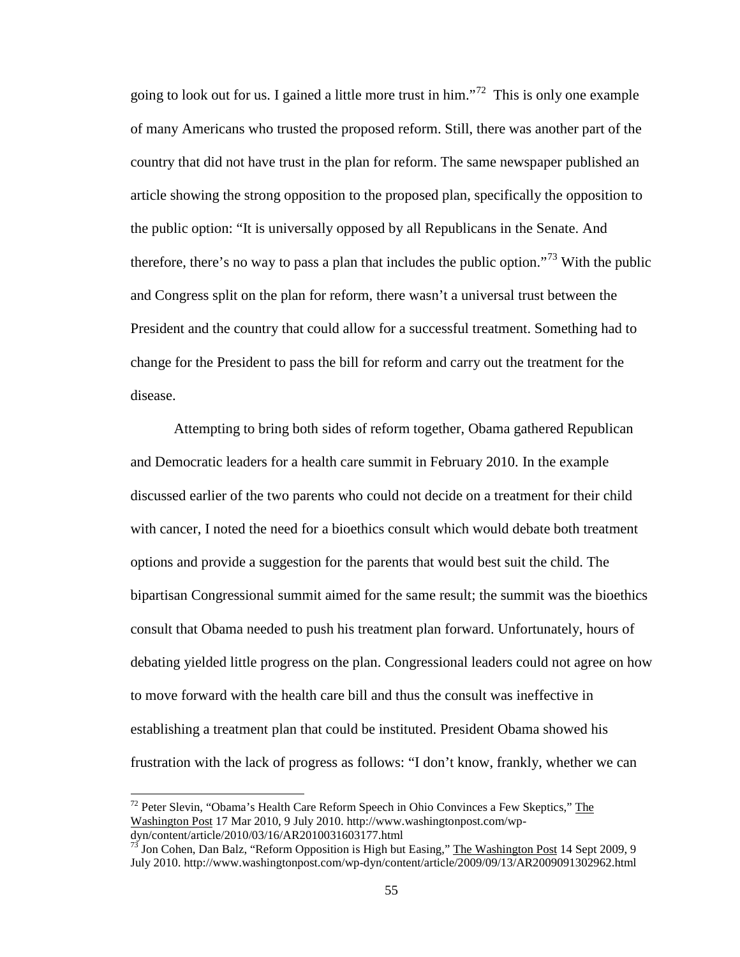going to look out for us. I gained a little more trust in him."<sup>[72](#page-58-0)</sup> This is only one example of many Americans who trusted the proposed reform. Still, there was another part of the country that did not have trust in the plan for reform. The same newspaper published an article showing the strong opposition to the proposed plan, specifically the opposition to the public option: "It is universally opposed by all Republicans in the Senate. And therefore, there's no way to pass a plan that includes the public option."<sup>[73](#page-58-1)</sup> With the public and Congress split on the plan for reform, there wasn't a universal trust between the President and the country that could allow for a successful treatment. Something had to change for the President to pass the bill for reform and carry out the treatment for the disease.

Attempting to bring both sides of reform together, Obama gathered Republican and Democratic leaders for a health care summit in February 2010. In the example discussed earlier of the two parents who could not decide on a treatment for their child with cancer, I noted the need for a bioethics consult which would debate both treatment options and provide a suggestion for the parents that would best suit the child. The bipartisan Congressional summit aimed for the same result; the summit was the bioethics consult that Obama needed to push his treatment plan forward. Unfortunately, hours of debating yielded little progress on the plan. Congressional leaders could not agree on how to move forward with the health care bill and thus the consult was ineffective in establishing a treatment plan that could be instituted. President Obama showed his frustration with the lack of progress as follows: "I don't know, frankly, whether we can

<span id="page-58-0"></span> $72$  Peter Slevin, "Obama's Health Care Reform Speech in Ohio Convinces a Few Skeptics," The Washington Post 17 Mar 2010, 9 July 2010. http://www.washingtonpost.com/wpdyn/content/article/2010/03/16/AR2010031603177.html

<span id="page-58-1"></span> $\frac{73}{73}$  Jon Cohen, Dan Balz, "Reform Opposition is High but Easing," The Washington Post 14 Sept 2009, 9 July 2010. http://www.washingtonpost.com/wp-dyn/content/article/2009/09/13/AR2009091302962.html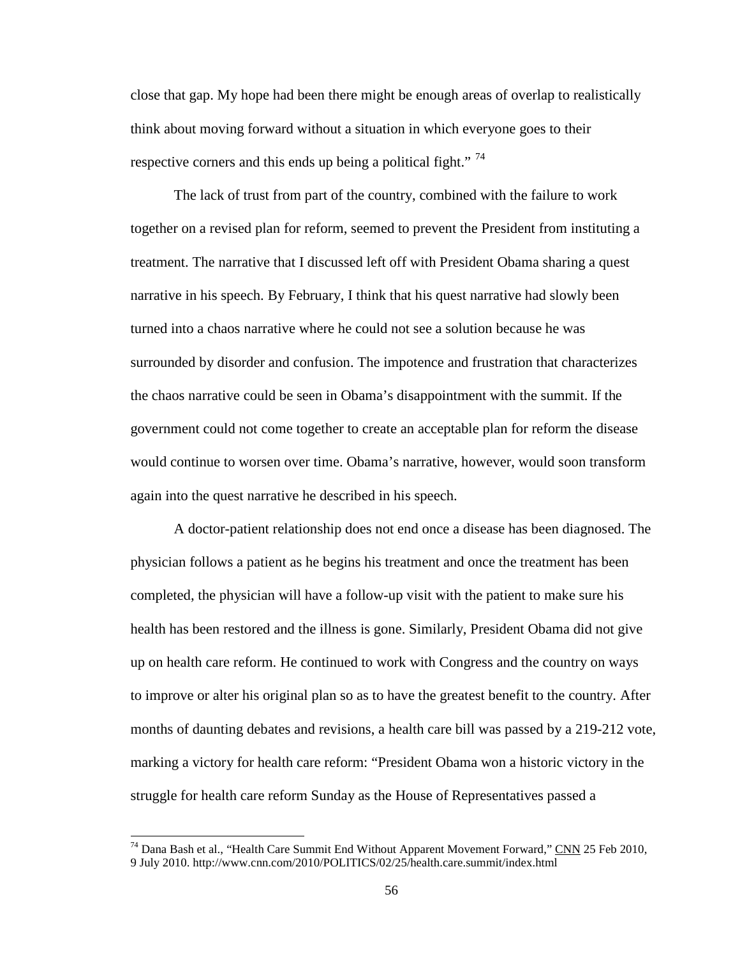close that gap. My hope had been there might be enough areas of overlap to realistically think about moving forward without a situation in which everyone goes to their respective corners and this ends up being a political fight."  $^{74}$  $^{74}$  $^{74}$ 

The lack of trust from part of the country, combined with the failure to work together on a revised plan for reform, seemed to prevent the President from instituting a treatment. The narrative that I discussed left off with President Obama sharing a quest narrative in his speech. By February, I think that his quest narrative had slowly been turned into a chaos narrative where he could not see a solution because he was surrounded by disorder and confusion. The impotence and frustration that characterizes the chaos narrative could be seen in Obama's disappointment with the summit. If the government could not come together to create an acceptable plan for reform the disease would continue to worsen over time. Obama's narrative, however, would soon transform again into the quest narrative he described in his speech.

A doctor-patient relationship does not end once a disease has been diagnosed. The physician follows a patient as he begins his treatment and once the treatment has been completed, the physician will have a follow-up visit with the patient to make sure his health has been restored and the illness is gone. Similarly, President Obama did not give up on health care reform. He continued to work with Congress and the country on ways to improve or alter his original plan so as to have the greatest benefit to the country. After months of daunting debates and revisions, a health care bill was passed by a 219-212 vote, marking a victory for health care reform: "President Obama won a historic victory in the struggle for health care reform Sunday as the House of Representatives passed a

<span id="page-59-0"></span> $^{74}$  Dana Bash et al., "Health Care Summit End Without Apparent Movement Forward," CNN 25 Feb 2010, 9 July 2010. http://www.cnn.com/2010/POLITICS/02/25/health.care.summit/index.html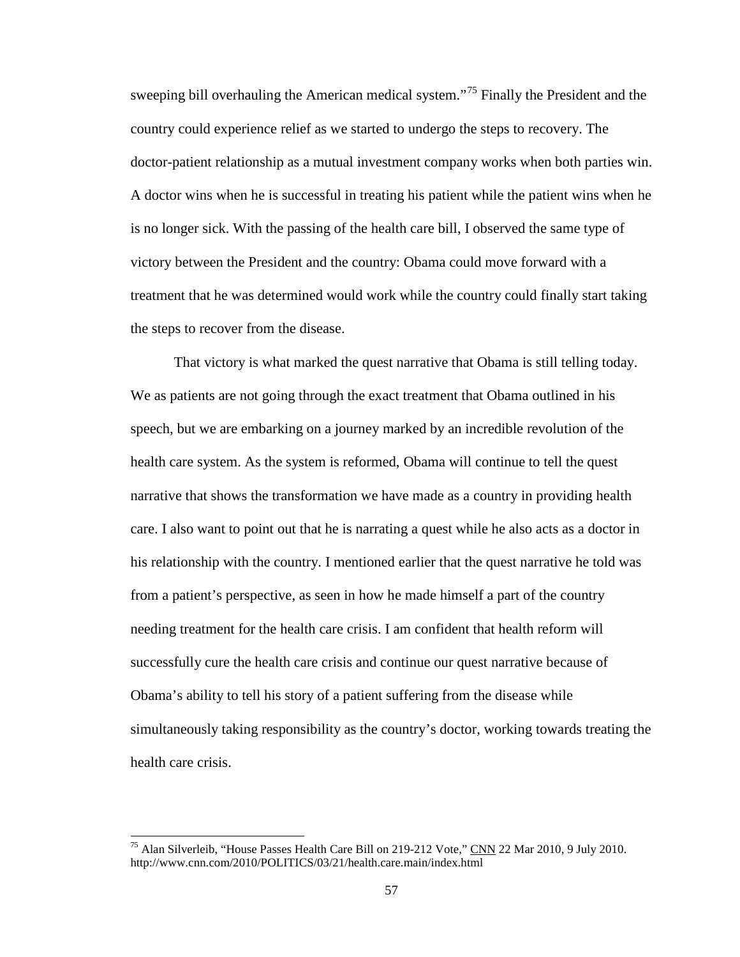sweeping bill overhauling the American medical system."<sup>[75](#page-60-0)</sup> Finally the President and the country could experience relief as we started to undergo the steps to recovery. The doctor-patient relationship as a mutual investment company works when both parties win. A doctor wins when he is successful in treating his patient while the patient wins when he is no longer sick. With the passing of the health care bill, I observed the same type of victory between the President and the country: Obama could move forward with a treatment that he was determined would work while the country could finally start taking the steps to recover from the disease.

That victory is what marked the quest narrative that Obama is still telling today. We as patients are not going through the exact treatment that Obama outlined in his speech, but we are embarking on a journey marked by an incredible revolution of the health care system. As the system is reformed, Obama will continue to tell the quest narrative that shows the transformation we have made as a country in providing health care. I also want to point out that he is narrating a quest while he also acts as a doctor in his relationship with the country. I mentioned earlier that the quest narrative he told was from a patient's perspective, as seen in how he made himself a part of the country needing treatment for the health care crisis. I am confident that health reform will successfully cure the health care crisis and continue our quest narrative because of Obama's ability to tell his story of a patient suffering from the disease while simultaneously taking responsibility as the country's doctor, working towards treating the health care crisis.

<span id="page-60-0"></span><sup>&</sup>lt;sup>75</sup> Alan Silverleib, "House Passes Health Care Bill on 219-212 Vote," CNN 22 Mar 2010, 9 July 2010. http://www.cnn.com/2010/POLITICS/03/21/health.care.main/index.html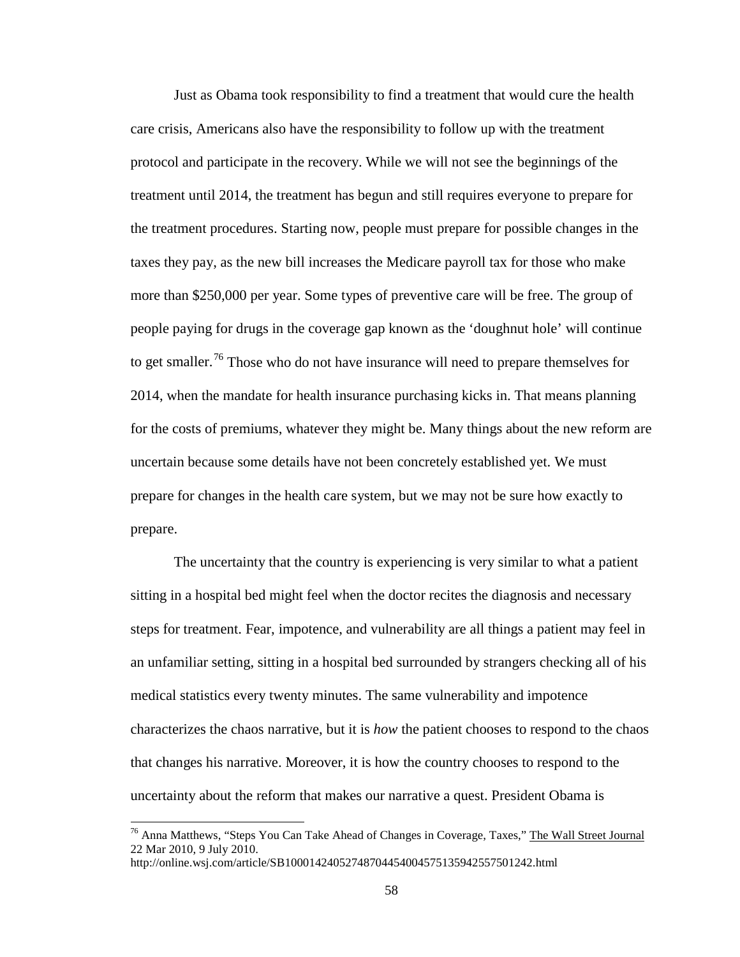Just as Obama took responsibility to find a treatment that would cure the health care crisis, Americans also have the responsibility to follow up with the treatment protocol and participate in the recovery. While we will not see the beginnings of the treatment until 2014, the treatment has begun and still requires everyone to prepare for the treatment procedures. Starting now, people must prepare for possible changes in the taxes they pay, as the new bill increases the Medicare payroll tax for those who make more than \$250,000 per year. Some types of preventive care will be free. The group of people paying for drugs in the coverage gap known as the 'doughnut hole' will continue to get smaller.<sup>[76](#page-61-0)</sup> Those who do not have insurance will need to prepare themselves for 2014, when the mandate for health insurance purchasing kicks in. That means planning for the costs of premiums, whatever they might be. Many things about the new reform are uncertain because some details have not been concretely established yet. We must prepare for changes in the health care system, but we may not be sure how exactly to prepare.

The uncertainty that the country is experiencing is very similar to what a patient sitting in a hospital bed might feel when the doctor recites the diagnosis and necessary steps for treatment. Fear, impotence, and vulnerability are all things a patient may feel in an unfamiliar setting, sitting in a hospital bed surrounded by strangers checking all of his medical statistics every twenty minutes. The same vulnerability and impotence characterizes the chaos narrative, but it is *how* the patient chooses to respond to the chaos that changes his narrative. Moreover, it is how the country chooses to respond to the uncertainty about the reform that makes our narrative a quest. President Obama is

<span id="page-61-0"></span><sup>&</sup>lt;sup>76</sup> Anna Matthews, "Steps You Can Take Ahead of Changes in Coverage, Taxes," The Wall Street Journal 22 Mar 2010, 9 July 2010.

http://online.wsj.com/article/SB10001424052748704454004575135942557501242.html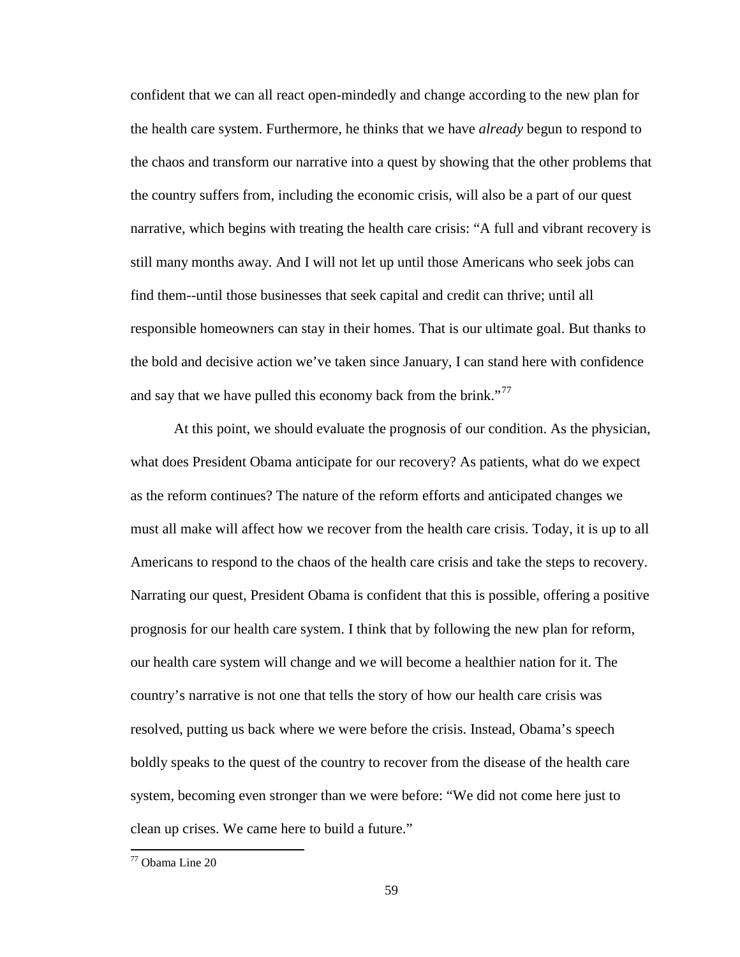confident that we can all react open-mindedly and change according to the new plan for the health care system. Furthermore, he thinks that we have *already* begun to respond to the chaos and transform our narrative into a quest by showing that the other problems that the country suffers from, including the economic crisis, will also be a part of our quest narrative, which begins with treating the health care crisis: "A full and vibrant recovery is still many months away. And I will not let up until those Americans who seek jobs can find them--until those businesses that seek capital and credit can thrive; until all responsible homeowners can stay in their homes. That is our ultimate goal. But thanks to the bold and decisive action we've taken since January, I can stand here with confidence and say that we have pulled this economy back from the brink."<sup>[77](#page-62-0)</sup>

At this point, we should evaluate the prognosis of our condition. As the physician, what does President Obama anticipate for our recovery? As patients, what do we expect as the reform continues? The nature of the reform efforts and anticipated changes we must all make will affect how we recover from the health care crisis. Today, it is up to all Americans to respond to the chaos of the health care crisis and take the steps to recovery. Narrating our quest, President Obama is confident that this is possible, offering a positive prognosis for our health care system. I think that by following the new plan for reform, our health care system will change and we will become a healthier nation for it. The country's narrative is not one that tells the story of how our health care crisis was resolved, putting us back where we were before the crisis. Instead, Obama's speech boldly speaks to the quest of the country to recover from the disease of the health care system, becoming even stronger than we were before: "We did not come here just to clean up crises. We came here to build a future."

<span id="page-62-0"></span> $77$  Obama Line 20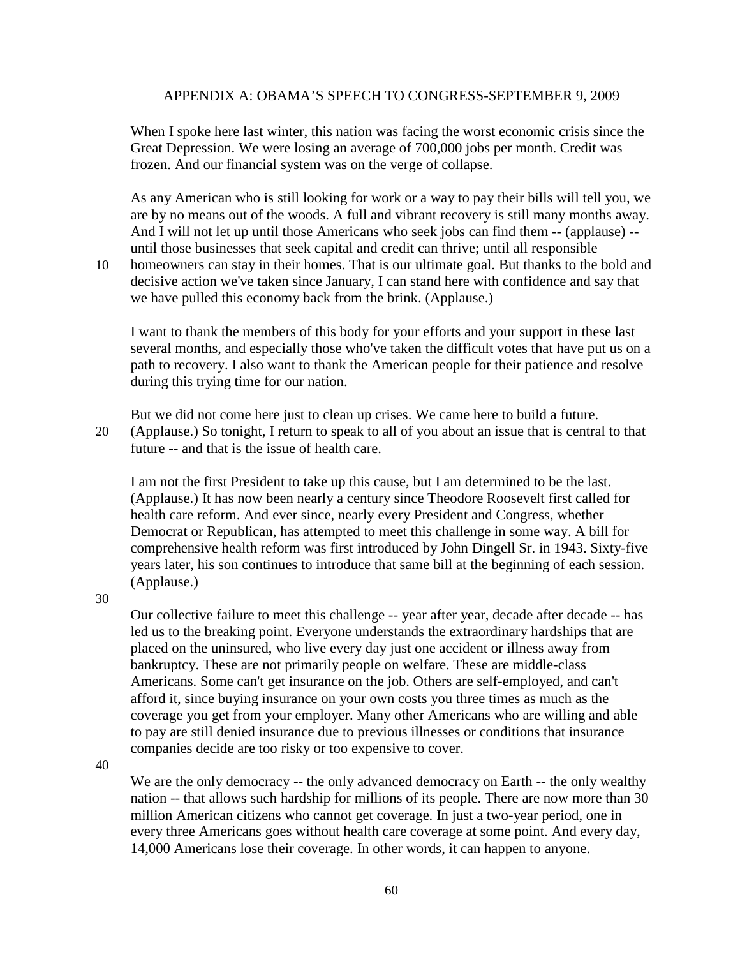## APPENDIX A: OBAMA'S SPEECH TO CONGRESS-SEPTEMBER 9, 2009

When I spoke here last winter, this nation was facing the worst economic crisis since the Great Depression. We were losing an average of 700,000 jobs per month. Credit was frozen. And our financial system was on the verge of collapse.

As any American who is still looking for work or a way to pay their bills will tell you, we are by no means out of the woods. A full and vibrant recovery is still many months away. And I will not let up until those Americans who seek jobs can find them -- (applause) - until those businesses that seek capital and credit can thrive; until all responsible

10 homeowners can stay in their homes. That is our ultimate goal. But thanks to the bold and decisive action we've taken since January, I can stand here with confidence and say that we have pulled this economy back from the brink. (Applause.)

I want to thank the members of this body for your efforts and your support in these last several months, and especially those who've taken the difficult votes that have put us on a path to recovery. I also want to thank the American people for their patience and resolve during this trying time for our nation.

But we did not come here just to clean up crises. We came here to build a future.

20 (Applause.) So tonight, I return to speak to all of you about an issue that is central to that future -- and that is the issue of health care.

I am not the first President to take up this cause, but I am determined to be the last. (Applause.) It has now been nearly a century since Theodore Roosevelt first called for health care reform. And ever since, nearly every President and Congress, whether Democrat or Republican, has attempted to meet this challenge in some way. A bill for comprehensive health reform was first introduced by John Dingell Sr. in 1943. Sixty-five years later, his son continues to introduce that same bill at the beginning of each session. (Applause.)

30

Our collective failure to meet this challenge -- year after year, decade after decade -- has led us to the breaking point. Everyone understands the extraordinary hardships that are placed on the uninsured, who live every day just one accident or illness away from bankruptcy. These are not primarily people on welfare. These are middle-class Americans. Some can't get insurance on the job. Others are self-employed, and can't afford it, since buying insurance on your own costs you three times as much as the coverage you get from your employer. Many other Americans who are willing and able to pay are still denied insurance due to previous illnesses or conditions that insurance companies decide are too risky or too expensive to cover.

40

We are the only democracy -- the only advanced democracy on Earth -- the only wealthy nation -- that allows such hardship for millions of its people. There are now more than 30 million American citizens who cannot get coverage. In just a two-year period, one in every three Americans goes without health care coverage at some point. And every day, 14,000 Americans lose their coverage. In other words, it can happen to anyone.

60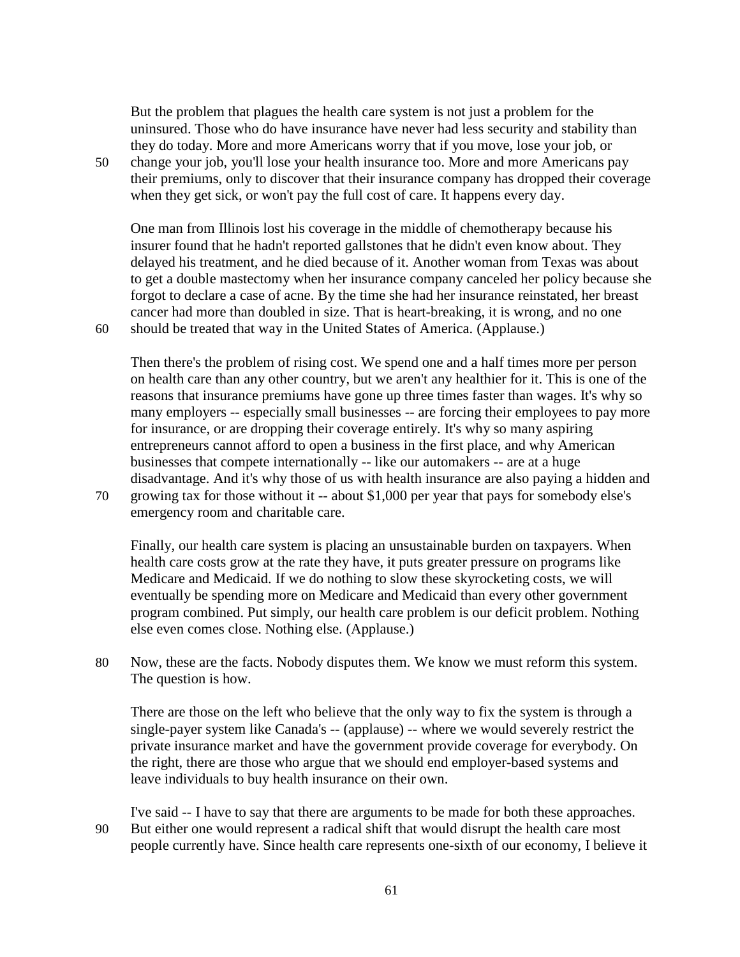But the problem that plagues the health care system is not just a problem for the uninsured. Those who do have insurance have never had less security and stability than they do today. More and more Americans worry that if you move, lose your job, or 50 change your job, you'll lose your health insurance too. More and more Americans pay their premiums, only to discover that their insurance company has dropped their coverage when they get sick, or won't pay the full cost of care. It happens every day.

One man from Illinois lost his coverage in the middle of chemotherapy because his insurer found that he hadn't reported gallstones that he didn't even know about. They delayed his treatment, and he died because of it. Another woman from Texas was about to get a double mastectomy when her insurance company canceled her policy because she forgot to declare a case of acne. By the time she had her insurance reinstated, her breast cancer had more than doubled in size. That is heart-breaking, it is wrong, and no one 60 should be treated that way in the United States of America. (Applause.)

Then there's the problem of rising cost. We spend one and a half times more per person on health care than any other country, but we aren't any healthier for it. This is one of the reasons that insurance premiums have gone up three times faster than wages. It's why so many employers -- especially small businesses -- are forcing their employees to pay more for insurance, or are dropping their coverage entirely. It's why so many aspiring entrepreneurs cannot afford to open a business in the first place, and why American businesses that compete internationally -- like our automakers -- are at a huge disadvantage. And it's why those of us with health insurance are also paying a hidden and 70 growing tax for those without it -- about \$1,000 per year that pays for somebody else's emergency room and charitable care.

- Finally, our health care system is placing an unsustainable burden on taxpayers. When health care costs grow at the rate they have, it puts greater pressure on programs like Medicare and Medicaid. If we do nothing to slow these skyrocketing costs, we will eventually be spending more on Medicare and Medicaid than every other government program combined. Put simply, our health care problem is our deficit problem. Nothing
- 80 Now, these are the facts. Nobody disputes them. We know we must reform this system. The question is how.

else even comes close. Nothing else. (Applause.)

There are those on the left who believe that the only way to fix the system is through a single-payer system like Canada's -- (applause) -- where we would severely restrict the private insurance market and have the government provide coverage for everybody. On the right, there are those who argue that we should end employer-based systems and leave individuals to buy health insurance on their own.

I've said -- I have to say that there are arguments to be made for both these approaches. 90 But either one would represent a radical shift that would disrupt the health care most people currently have. Since health care represents one-sixth of our economy, I believe it

61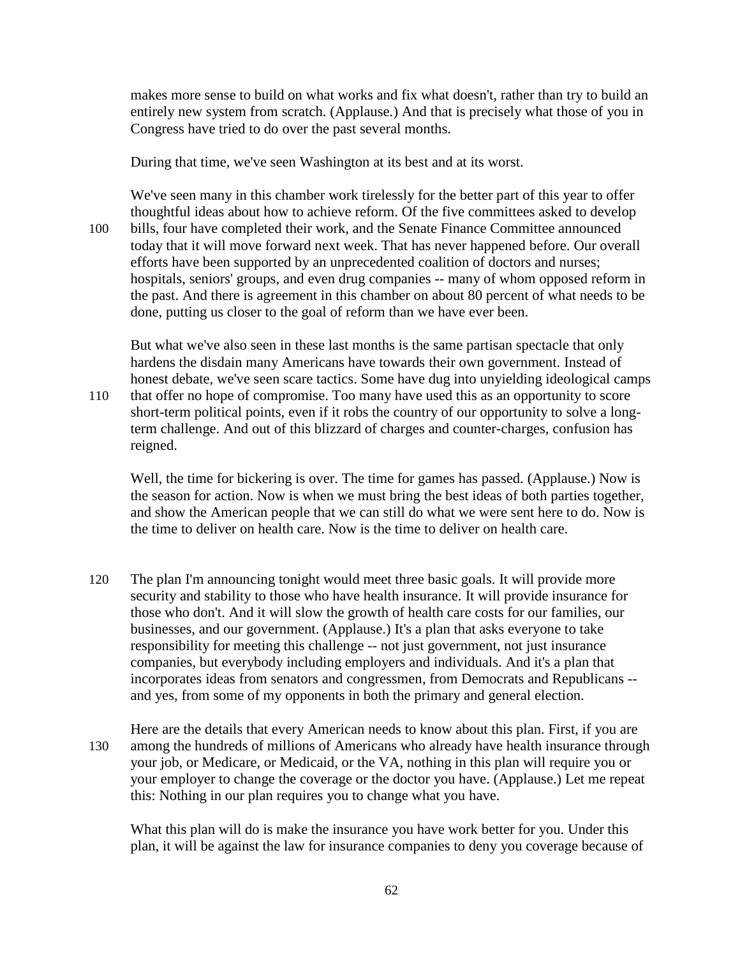makes more sense to build on what works and fix what doesn't, rather than try to build an entirely new system from scratch. (Applause.) And that is precisely what those of you in Congress have tried to do over the past several months.

During that time, we've seen Washington at its best and at its worst.

We've seen many in this chamber work tirelessly for the better part of this year to offer thoughtful ideas about how to achieve reform. Of the five committees asked to develop 100 bills, four have completed their work, and the Senate Finance Committee announced today that it will move forward next week. That has never happened before. Our overall efforts have been supported by an unprecedented coalition of doctors and nurses; hospitals, seniors' groups, and even drug companies -- many of whom opposed reform in the past. And there is agreement in this chamber on about 80 percent of what needs to be done, putting us closer to the goal of reform than we have ever been.

But what we've also seen in these last months is the same partisan spectacle that only hardens the disdain many Americans have towards their own government. Instead of honest debate, we've seen scare tactics. Some have dug into unyielding ideological camps

110 that offer no hope of compromise. Too many have used this as an opportunity to score short-term political points, even if it robs the country of our opportunity to solve a longterm challenge. And out of this blizzard of charges and counter-charges, confusion has reigned.

Well, the time for bickering is over. The time for games has passed. (Applause.) Now is the season for action. Now is when we must bring the best ideas of both parties together, and show the American people that we can still do what we were sent here to do. Now is the time to deliver on health care. Now is the time to deliver on health care.

120 The plan I'm announcing tonight would meet three basic goals. It will provide more security and stability to those who have health insurance. It will provide insurance for those who don't. And it will slow the growth of health care costs for our families, our businesses, and our government. (Applause.) It's a plan that asks everyone to take responsibility for meeting this challenge -- not just government, not just insurance companies, but everybody including employers and individuals. And it's a plan that incorporates ideas from senators and congressmen, from Democrats and Republicans - and yes, from some of my opponents in both the primary and general election.

Here are the details that every American needs to know about this plan. First, if you are 130 among the hundreds of millions of Americans who already have health insurance through your job, or Medicare, or Medicaid, or the VA, nothing in this plan will require you or your employer to change the coverage or the doctor you have. (Applause.) Let me repeat this: Nothing in our plan requires you to change what you have.

What this plan will do is make the insurance you have work better for you. Under this plan, it will be against the law for insurance companies to deny you coverage because of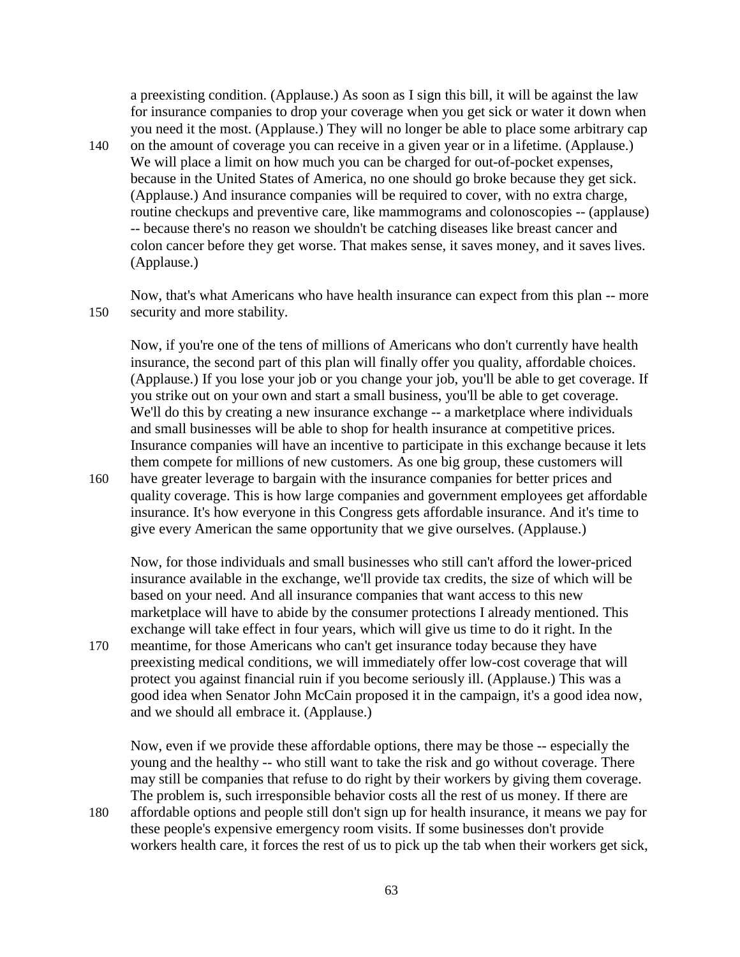a preexisting condition. (Applause.) As soon as I sign this bill, it will be against the law for insurance companies to drop your coverage when you get sick or water it down when you need it the most. (Applause.) They will no longer be able to place some arbitrary cap 140 on the amount of coverage you can receive in a given year or in a lifetime. (Applause.) We will place a limit on how much you can be charged for out-of-pocket expenses, because in the United States of America, no one should go broke because they get sick. (Applause.) And insurance companies will be required to cover, with no extra charge, routine checkups and preventive care, like mammograms and colonoscopies -- (applause) -- because there's no reason we shouldn't be catching diseases like breast cancer and colon cancer before they get worse. That makes sense, it saves money, and it saves lives. (Applause.)

Now, that's what Americans who have health insurance can expect from this plan -- more 150 security and more stability.

Now, if you're one of the tens of millions of Americans who don't currently have health insurance, the second part of this plan will finally offer you quality, affordable choices. (Applause.) If you lose your job or you change your job, you'll be able to get coverage. If you strike out on your own and start a small business, you'll be able to get coverage. We'll do this by creating a new insurance exchange -- a marketplace where individuals and small businesses will be able to shop for health insurance at competitive prices. Insurance companies will have an incentive to participate in this exchange because it lets them compete for millions of new customers. As one big group, these customers will

160 have greater leverage to bargain with the insurance companies for better prices and quality coverage. This is how large companies and government employees get affordable insurance. It's how everyone in this Congress gets affordable insurance. And it's time to give every American the same opportunity that we give ourselves. (Applause.)

Now, for those individuals and small businesses who still can't afford the lower-priced insurance available in the exchange, we'll provide tax credits, the size of which will be based on your need. And all insurance companies that want access to this new marketplace will have to abide by the consumer protections I already mentioned. This exchange will take effect in four years, which will give us time to do it right. In the 170 meantime, for those Americans who can't get insurance today because they have preexisting medical conditions, we will immediately offer low-cost coverage that will protect you against financial ruin if you become seriously ill. (Applause.) This was a good idea when Senator John McCain proposed it in the campaign, it's a good idea now, and we should all embrace it. (Applause.)

Now, even if we provide these affordable options, there may be those -- especially the young and the healthy -- who still want to take the risk and go without coverage. There may still be companies that refuse to do right by their workers by giving them coverage. The problem is, such irresponsible behavior costs all the rest of us money. If there are

180 affordable options and people still don't sign up for health insurance, it means we pay for these people's expensive emergency room visits. If some businesses don't provide workers health care, it forces the rest of us to pick up the tab when their workers get sick,

63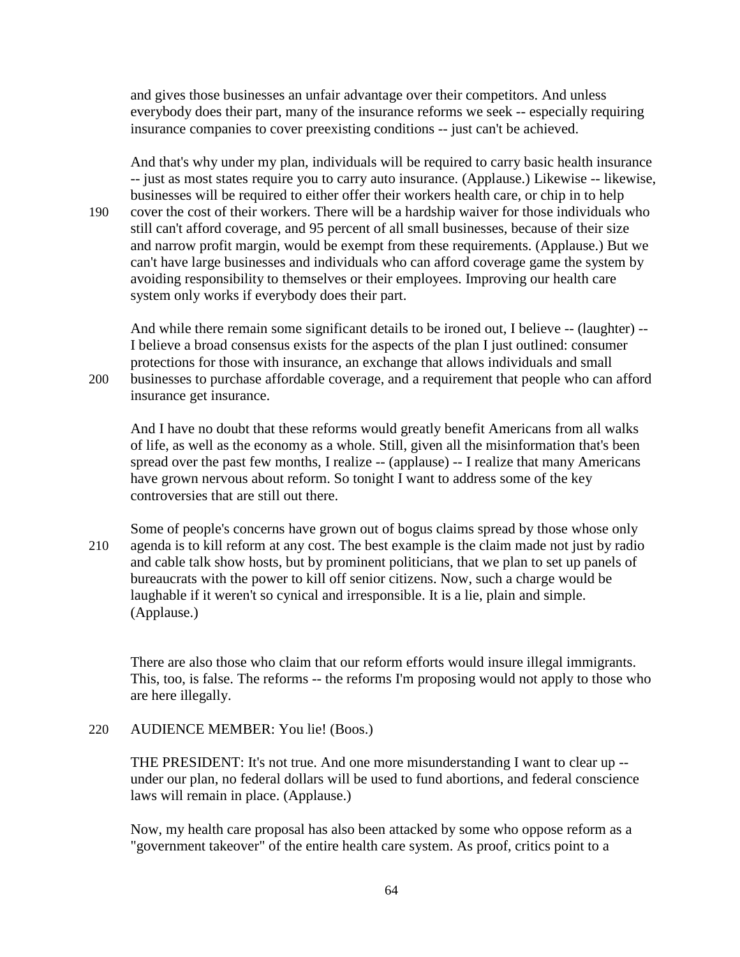and gives those businesses an unfair advantage over their competitors. And unless everybody does their part, many of the insurance reforms we seek -- especially requiring insurance companies to cover preexisting conditions -- just can't be achieved.

And that's why under my plan, individuals will be required to carry basic health insurance -- just as most states require you to carry auto insurance. (Applause.) Likewise -- likewise, businesses will be required to either offer their workers health care, or chip in to help 190 cover the cost of their workers. There will be a hardship waiver for those individuals who still can't afford coverage, and 95 percent of all small businesses, because of their size and narrow profit margin, would be exempt from these requirements. (Applause.) But we can't have large businesses and individuals who can afford coverage game the system by avoiding responsibility to themselves or their employees. Improving our health care system only works if everybody does their part.

And while there remain some significant details to be ironed out, I believe -- (laughter) -- I believe a broad consensus exists for the aspects of the plan I just outlined: consumer protections for those with insurance, an exchange that allows individuals and small 200 businesses to purchase affordable coverage, and a requirement that people who can afford insurance get insurance.

And I have no doubt that these reforms would greatly benefit Americans from all walks of life, as well as the economy as a whole. Still, given all the misinformation that's been spread over the past few months, I realize -- (applause) -- I realize that many Americans have grown nervous about reform. So tonight I want to address some of the key controversies that are still out there.

Some of people's concerns have grown out of bogus claims spread by those whose only 210 agenda is to kill reform at any cost. The best example is the claim made not just by radio and cable talk show hosts, but by prominent politicians, that we plan to set up panels of bureaucrats with the power to kill off senior citizens. Now, such a charge would be laughable if it weren't so cynical and irresponsible. It is a lie, plain and simple. (Applause.)

There are also those who claim that our reform efforts would insure illegal immigrants. This, too, is false. The reforms -- the reforms I'm proposing would not apply to those who are here illegally.

220 AUDIENCE MEMBER: You lie! (Boos.)

THE PRESIDENT: It's not true. And one more misunderstanding I want to clear up - under our plan, no federal dollars will be used to fund abortions, and federal conscience laws will remain in place. (Applause.)

Now, my health care proposal has also been attacked by some who oppose reform as a "government takeover" of the entire health care system. As proof, critics point to a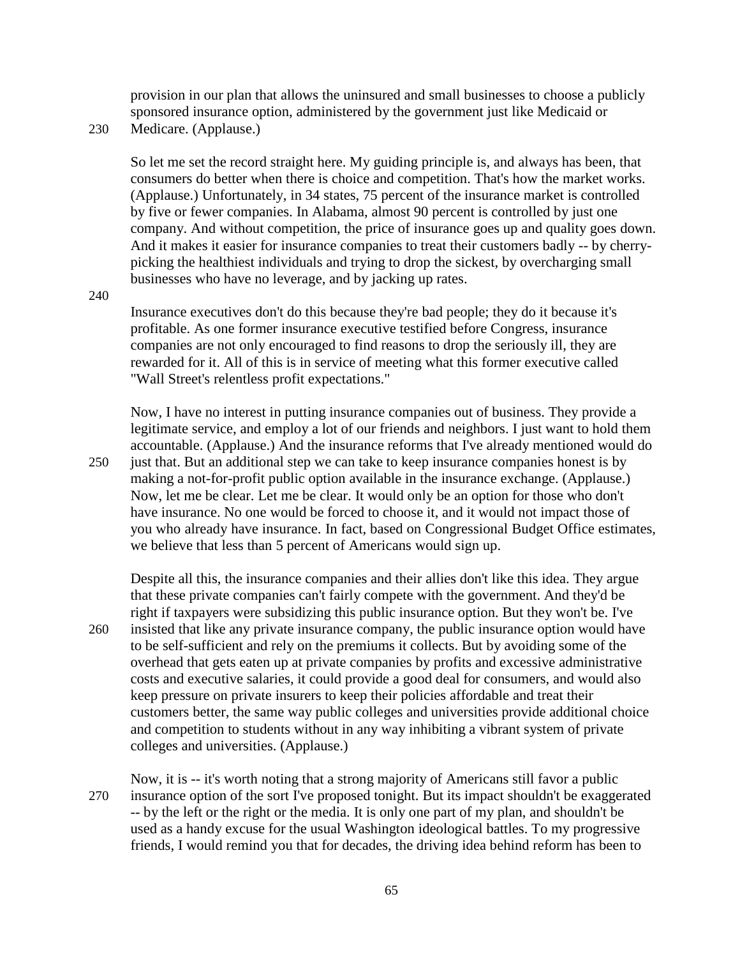provision in our plan that allows the uninsured and small businesses to choose a publicly sponsored insurance option, administered by the government just like Medicaid or

230 Medicare. (Applause.)

So let me set the record straight here. My guiding principle is, and always has been, that consumers do better when there is choice and competition. That's how the market works. (Applause.) Unfortunately, in 34 states, 75 percent of the insurance market is controlled by five or fewer companies. In Alabama, almost 90 percent is controlled by just one company. And without competition, the price of insurance goes up and quality goes down. And it makes it easier for insurance companies to treat their customers badly -- by cherrypicking the healthiest individuals and trying to drop the sickest, by overcharging small businesses who have no leverage, and by jacking up rates.

240

Insurance executives don't do this because they're bad people; they do it because it's profitable. As one former insurance executive testified before Congress, insurance companies are not only encouraged to find reasons to drop the seriously ill, they are rewarded for it. All of this is in service of meeting what this former executive called "Wall Street's relentless profit expectations."

Now, I have no interest in putting insurance companies out of business. They provide a legitimate service, and employ a lot of our friends and neighbors. I just want to hold them accountable. (Applause.) And the insurance reforms that I've already mentioned would do 250 just that. But an additional step we can take to keep insurance companies honest is by making a not-for-profit public option available in the insurance exchange. (Applause.) Now, let me be clear. Let me be clear. It would only be an option for those who don't have insurance. No one would be forced to choose it, and it would not impact those of you who already have insurance. In fact, based on Congressional Budget Office estimates, we believe that less than 5 percent of Americans would sign up.

Despite all this, the insurance companies and their allies don't like this idea. They argue that these private companies can't fairly compete with the government. And they'd be right if taxpayers were subsidizing this public insurance option. But they won't be. I've 260 insisted that like any private insurance company, the public insurance option would have to be self-sufficient and rely on the premiums it collects. But by avoiding some of the overhead that gets eaten up at private companies by profits and excessive administrative costs and executive salaries, it could provide a good deal for consumers, and would also keep pressure on private insurers to keep their policies affordable and treat their customers better, the same way public colleges and universities provide additional choice and competition to students without in any way inhibiting a vibrant system of private colleges and universities. (Applause.)

Now, it is -- it's worth noting that a strong majority of Americans still favor a public 270 insurance option of the sort I've proposed tonight. But its impact shouldn't be exaggerated -- by the left or the right or the media. It is only one part of my plan, and shouldn't be used as a handy excuse for the usual Washington ideological battles. To my progressive friends, I would remind you that for decades, the driving idea behind reform has been to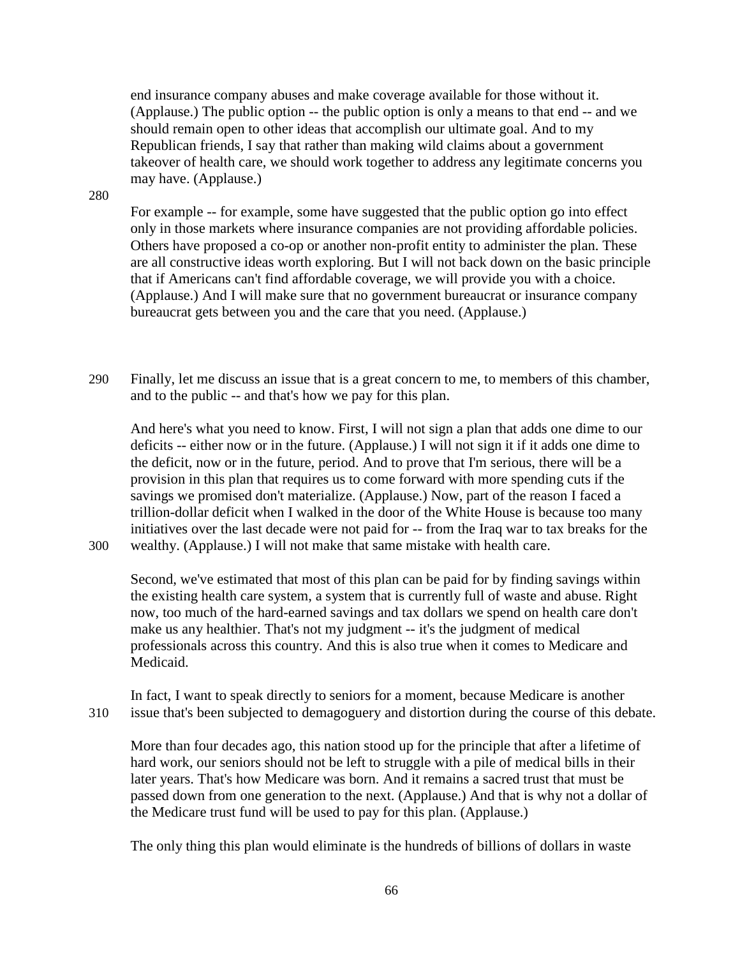end insurance company abuses and make coverage available for those without it. (Applause.) The public option -- the public option is only a means to that end -- and we should remain open to other ideas that accomplish our ultimate goal. And to my Republican friends, I say that rather than making wild claims about a government takeover of health care, we should work together to address any legitimate concerns you may have. (Applause.)

280

For example -- for example, some have suggested that the public option go into effect only in those markets where insurance companies are not providing affordable policies. Others have proposed a co-op or another non-profit entity to administer the plan. These are all constructive ideas worth exploring. But I will not back down on the basic principle that if Americans can't find affordable coverage, we will provide you with a choice. (Applause.) And I will make sure that no government bureaucrat or insurance company bureaucrat gets between you and the care that you need. (Applause.)

290 Finally, let me discuss an issue that is a great concern to me, to members of this chamber, and to the public -- and that's how we pay for this plan.

And here's what you need to know. First, I will not sign a plan that adds one dime to our deficits -- either now or in the future. (Applause.) I will not sign it if it adds one dime to the deficit, now or in the future, period. And to prove that I'm serious, there will be a provision in this plan that requires us to come forward with more spending cuts if the savings we promised don't materialize. (Applause.) Now, part of the reason I faced a trillion-dollar deficit when I walked in the door of the White House is because too many initiatives over the last decade were not paid for -- from the Iraq war to tax breaks for the 300 wealthy. (Applause.) I will not make that same mistake with health care.

Second, we've estimated that most of this plan can be paid for by finding savings within the existing health care system, a system that is currently full of waste and abuse. Right now, too much of the hard-earned savings and tax dollars we spend on health care don't make us any healthier. That's not my judgment -- it's the judgment of medical professionals across this country. And this is also true when it comes to Medicare and Medicaid.

In fact, I want to speak directly to seniors for a moment, because Medicare is another 310 issue that's been subjected to demagoguery and distortion during the course of this debate.

More than four decades ago, this nation stood up for the principle that after a lifetime of hard work, our seniors should not be left to struggle with a pile of medical bills in their later years. That's how Medicare was born. And it remains a sacred trust that must be passed down from one generation to the next. (Applause.) And that is why not a dollar of the Medicare trust fund will be used to pay for this plan. (Applause.)

The only thing this plan would eliminate is the hundreds of billions of dollars in waste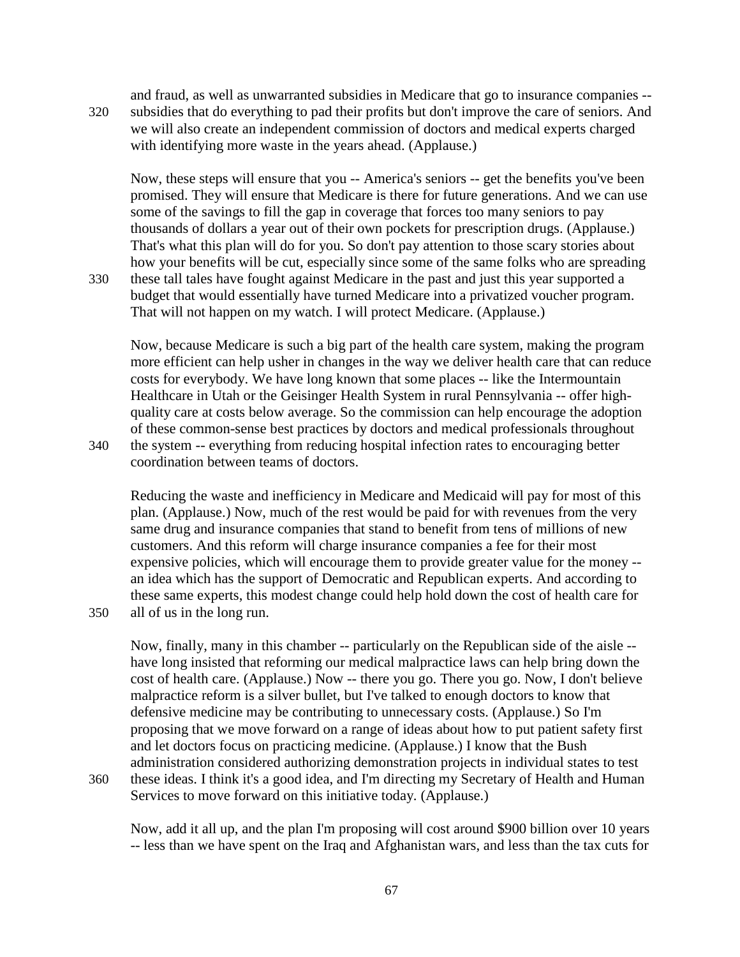and fraud, as well as unwarranted subsidies in Medicare that go to insurance companies -- 320 subsidies that do everything to pad their profits but don't improve the care of seniors. And we will also create an independent commission of doctors and medical experts charged with identifying more waste in the years ahead. (Applause.)

Now, these steps will ensure that you -- America's seniors -- get the benefits you've been promised. They will ensure that Medicare is there for future generations. And we can use some of the savings to fill the gap in coverage that forces too many seniors to pay thousands of dollars a year out of their own pockets for prescription drugs. (Applause.) That's what this plan will do for you. So don't pay attention to those scary stories about how your benefits will be cut, especially since some of the same folks who are spreading 330 these tall tales have fought against Medicare in the past and just this year supported a budget that would essentially have turned Medicare into a privatized voucher program. That will not happen on my watch. I will protect Medicare. (Applause.)

Now, because Medicare is such a big part of the health care system, making the program more efficient can help usher in changes in the way we deliver health care that can reduce costs for everybody. We have long known that some places -- like the Intermountain Healthcare in Utah or the Geisinger Health System in rural Pennsylvania -- offer highquality care at costs below average. So the commission can help encourage the adoption of these common-sense best practices by doctors and medical professionals throughout 340 the system -- everything from reducing hospital infection rates to encouraging better coordination between teams of doctors.

Reducing the waste and inefficiency in Medicare and Medicaid will pay for most of this plan. (Applause.) Now, much of the rest would be paid for with revenues from the very same drug and insurance companies that stand to benefit from tens of millions of new customers. And this reform will charge insurance companies a fee for their most expensive policies, which will encourage them to provide greater value for the money - an idea which has the support of Democratic and Republican experts. And according to these same experts, this modest change could help hold down the cost of health care for

350 all of us in the long run.

Now, finally, many in this chamber -- particularly on the Republican side of the aisle - have long insisted that reforming our medical malpractice laws can help bring down the cost of health care. (Applause.) Now -- there you go. There you go. Now, I don't believe malpractice reform is a silver bullet, but I've talked to enough doctors to know that defensive medicine may be contributing to unnecessary costs. (Applause.) So I'm proposing that we move forward on a range of ideas about how to put patient safety first and let doctors focus on practicing medicine. (Applause.) I know that the Bush administration considered authorizing demonstration projects in individual states to test 360 these ideas. I think it's a good idea, and I'm directing my Secretary of Health and Human Services to move forward on this initiative today. (Applause.)

Now, add it all up, and the plan I'm proposing will cost around \$900 billion over 10 years -- less than we have spent on the Iraq and Afghanistan wars, and less than the tax cuts for

67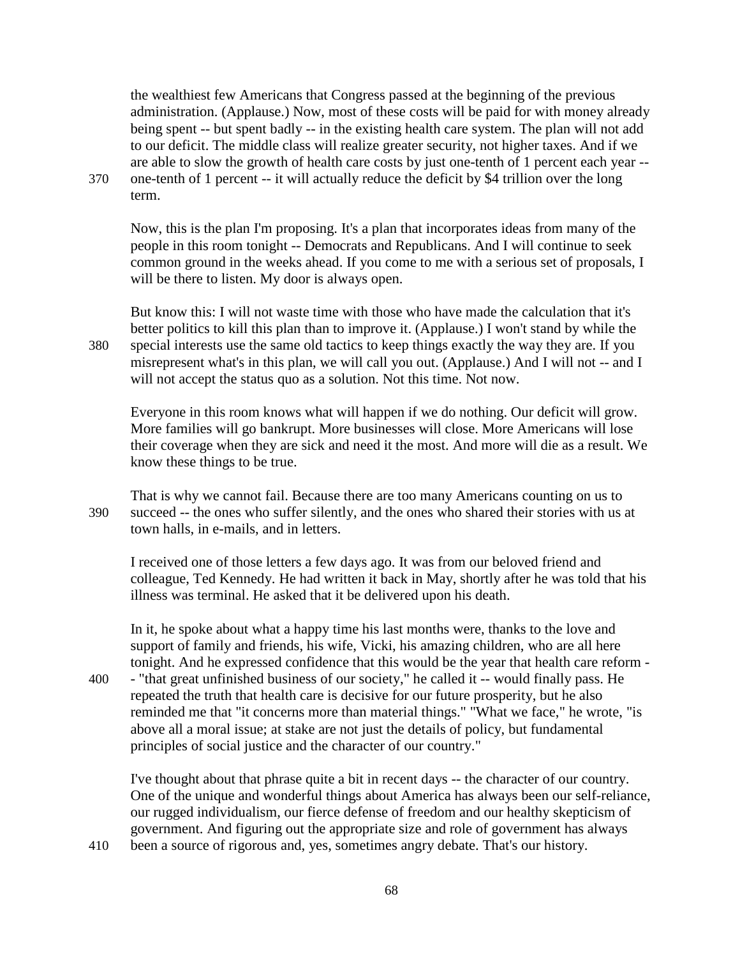the wealthiest few Americans that Congress passed at the beginning of the previous administration. (Applause.) Now, most of these costs will be paid for with money already being spent -- but spent badly -- in the existing health care system. The plan will not add to our deficit. The middle class will realize greater security, not higher taxes. And if we are able to slow the growth of health care costs by just one-tenth of 1 percent each year -- 370 one-tenth of 1 percent -- it will actually reduce the deficit by \$4 trillion over the long term.

Now, this is the plan I'm proposing. It's a plan that incorporates ideas from many of the people in this room tonight -- Democrats and Republicans. And I will continue to seek common ground in the weeks ahead. If you come to me with a serious set of proposals, I will be there to listen. My door is always open.

But know this: I will not waste time with those who have made the calculation that it's better politics to kill this plan than to improve it. (Applause.) I won't stand by while the 380 special interests use the same old tactics to keep things exactly the way they are. If you misrepresent what's in this plan, we will call you out. (Applause.) And I will not -- and I will not accept the status quo as a solution. Not this time. Not now.

Everyone in this room knows what will happen if we do nothing. Our deficit will grow. More families will go bankrupt. More businesses will close. More Americans will lose their coverage when they are sick and need it the most. And more will die as a result. We know these things to be true.

That is why we cannot fail. Because there are too many Americans counting on us to 390 succeed -- the ones who suffer silently, and the ones who shared their stories with us at town halls, in e-mails, and in letters.

I received one of those letters a few days ago. It was from our beloved friend and colleague, Ted Kennedy. He had written it back in May, shortly after he was told that his illness was terminal. He asked that it be delivered upon his death.

In it, he spoke about what a happy time his last months were, thanks to the love and support of family and friends, his wife, Vicki, his amazing children, who are all here tonight. And he expressed confidence that this would be the year that health care reform -

400 - "that great unfinished business of our society," he called it -- would finally pass. He repeated the truth that health care is decisive for our future prosperity, but he also reminded me that "it concerns more than material things." "What we face," he wrote, "is above all a moral issue; at stake are not just the details of policy, but fundamental principles of social justice and the character of our country."

I've thought about that phrase quite a bit in recent days -- the character of our country. One of the unique and wonderful things about America has always been our self-reliance, our rugged individualism, our fierce defense of freedom and our healthy skepticism of government. And figuring out the appropriate size and role of government has always

410 been a source of rigorous and, yes, sometimes angry debate. That's our history.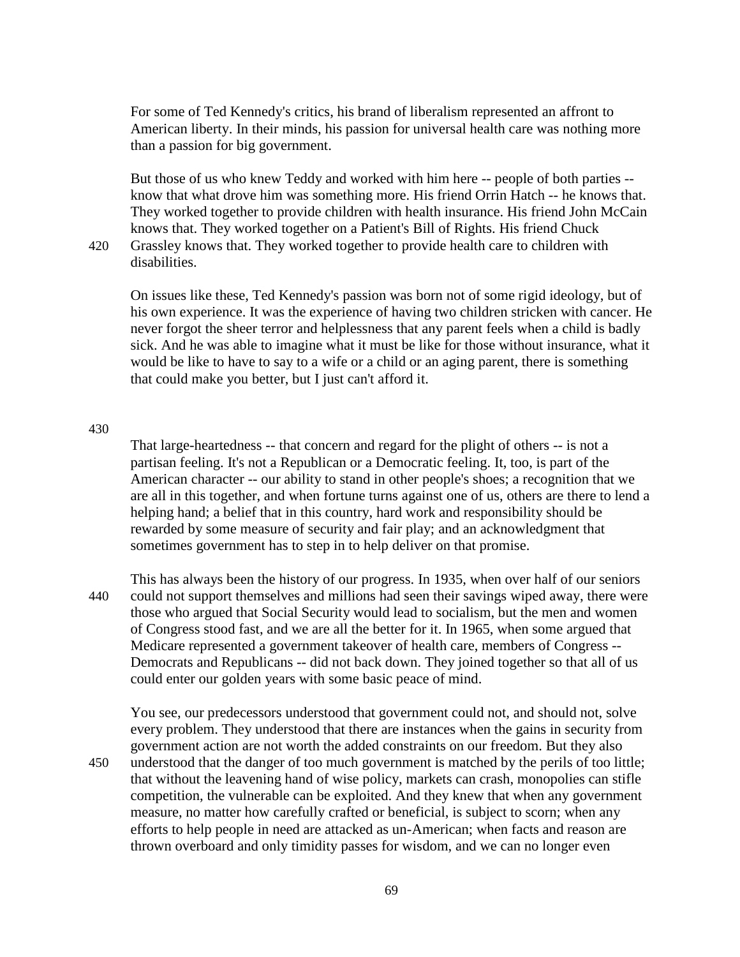For some of Ted Kennedy's critics, his brand of liberalism represented an affront to American liberty. In their minds, his passion for universal health care was nothing more than a passion for big government.

But those of us who knew Teddy and worked with him here -- people of both parties - know that what drove him was something more. His friend Orrin Hatch -- he knows that. They worked together to provide children with health insurance. His friend John McCain knows that. They worked together on a Patient's Bill of Rights. His friend Chuck

420 Grassley knows that. They worked together to provide health care to children with disabilities.

On issues like these, Ted Kennedy's passion was born not of some rigid ideology, but of his own experience. It was the experience of having two children stricken with cancer. He never forgot the sheer terror and helplessness that any parent feels when a child is badly sick. And he was able to imagine what it must be like for those without insurance, what it would be like to have to say to a wife or a child or an aging parent, there is something that could make you better, but I just can't afford it.

## 430

That large-heartedness -- that concern and regard for the plight of others -- is not a partisan feeling. It's not a Republican or a Democratic feeling. It, too, is part of the American character -- our ability to stand in other people's shoes; a recognition that we are all in this together, and when fortune turns against one of us, others are there to lend a helping hand; a belief that in this country, hard work and responsibility should be rewarded by some measure of security and fair play; and an acknowledgment that sometimes government has to step in to help deliver on that promise.

This has always been the history of our progress. In 1935, when over half of our seniors 440 could not support themselves and millions had seen their savings wiped away, there were those who argued that Social Security would lead to socialism, but the men and women of Congress stood fast, and we are all the better for it. In 1965, when some argued that Medicare represented a government takeover of health care, members of Congress -- Democrats and Republicans -- did not back down. They joined together so that all of us could enter our golden years with some basic peace of mind.

You see, our predecessors understood that government could not, and should not, solve every problem. They understood that there are instances when the gains in security from government action are not worth the added constraints on our freedom. But they also 450 understood that the danger of too much government is matched by the perils of too little; that without the leavening hand of wise policy, markets can crash, monopolies can stifle competition, the vulnerable can be exploited. And they knew that when any government measure, no matter how carefully crafted or beneficial, is subject to scorn; when any efforts to help people in need are attacked as un-American; when facts and reason are thrown overboard and only timidity passes for wisdom, and we can no longer even

69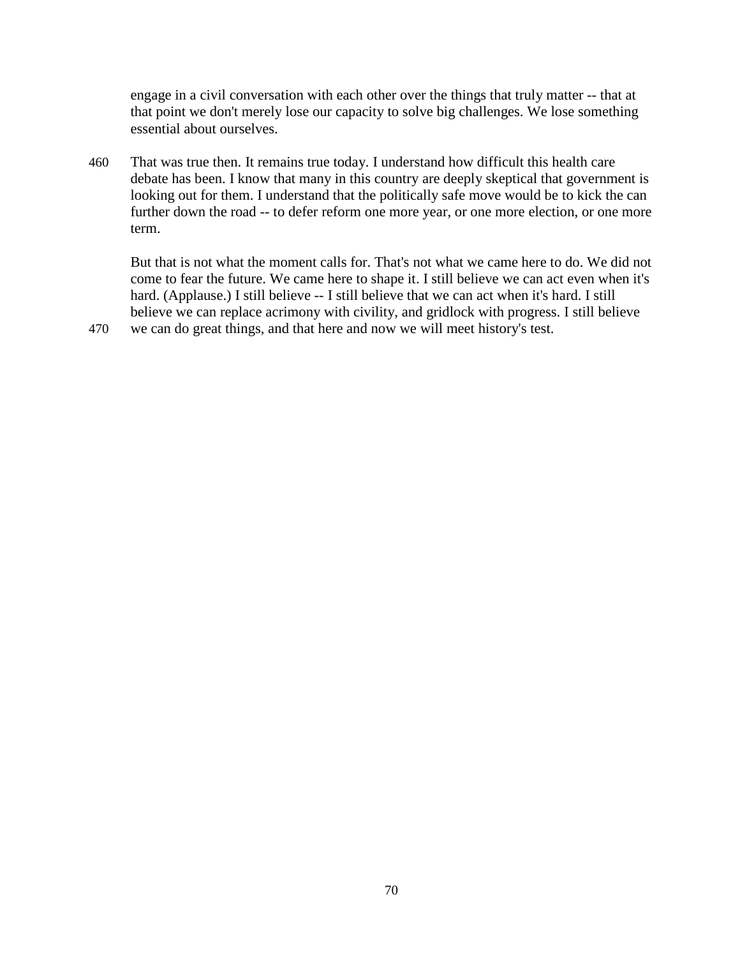engage in a civil conversation with each other over the things that truly matter -- that at that point we don't merely lose our capacity to solve big challenges. We lose something essential about ourselves.

460 That was true then. It remains true today. I understand how difficult this health care debate has been. I know that many in this country are deeply skeptical that government is looking out for them. I understand that the politically safe move would be to kick the can further down the road -- to defer reform one more year, or one more election, or one more term.

But that is not what the moment calls for. That's not what we came here to do. We did not come to fear the future. We came here to shape it. I still believe we can act even when it's hard. (Applause.) I still believe -- I still believe that we can act when it's hard. I still believe we can replace acrimony with civility, and gridlock with progress. I still believe 470 we can do great things, and that here and now we will meet history's test.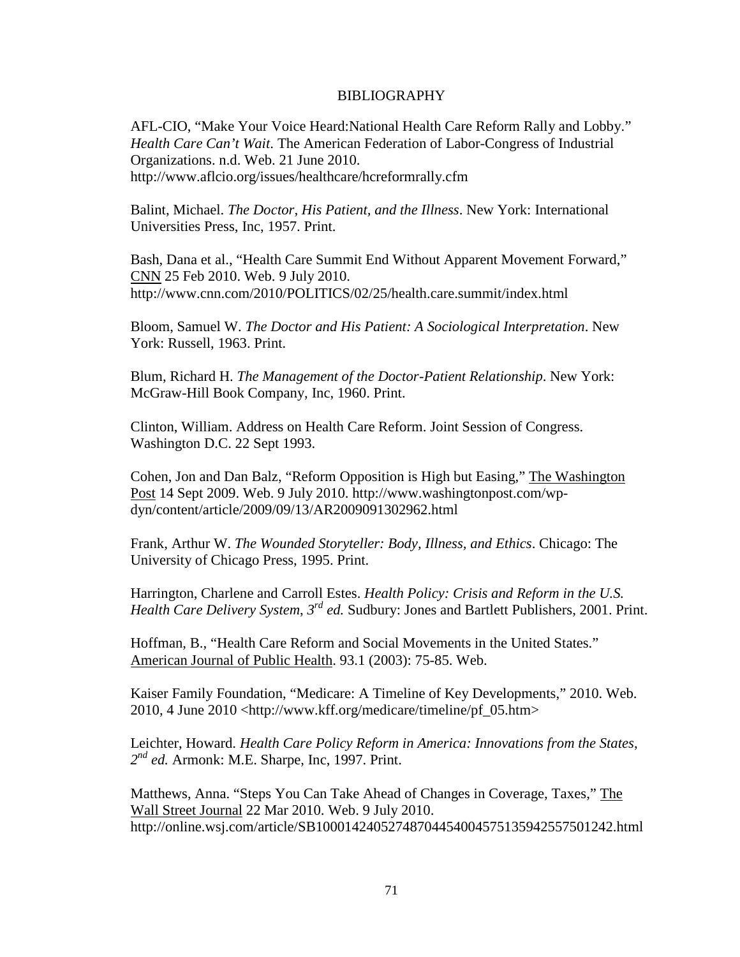## BIBLIOGRAPHY

AFL-CIO, "Make Your Voice Heard:National Health Care Reform Rally and Lobby." *Health Care Can't Wait*. The American Federation of Labor-Congress of Industrial Organizations. n.d. Web. 21 June 2010. http://www.aflcio.org/issues/healthcare/hcreformrally.cfm

Balint, Michael. *The Doctor, His Patient, and the Illness*. New York: International Universities Press, Inc, 1957. Print.

Bash, Dana et al., "Health Care Summit End Without Apparent Movement Forward," CNN 25 Feb 2010. Web. 9 July 2010. http://www.cnn.com/2010/POLITICS/02/25/health.care.summit/index.html

Bloom, Samuel W. *The Doctor and His Patient: A Sociological Interpretation*. New York: Russell, 1963. Print.

Blum, Richard H. *The Management of the Doctor-Patient Relationship*. New York: McGraw-Hill Book Company, Inc, 1960. Print.

Clinton, William. Address on Health Care Reform. Joint Session of Congress. Washington D.C. 22 Sept 1993.

Cohen, Jon and Dan Balz, "Reform Opposition is High but Easing," The Washington Post 14 Sept 2009. Web. 9 July 2010. http://www.washingtonpost.com/wpdyn/content/article/2009/09/13/AR2009091302962.html

Frank, Arthur W. *The Wounded Storyteller: Body, Illness, and Ethics*. Chicago: The University of Chicago Press, 1995. Print.

Harrington, Charlene and Carroll Estes. *Health Policy: Crisis and Reform in the U.S. Health Care Delivery System*, *3rd ed.* Sudbury: Jones and Bartlett Publishers, 2001. Print.

Hoffman, B., "Health Care Reform and Social Movements in the United States." American Journal of Public Health. 93.1 (2003): 75-85. Web.

Kaiser Family Foundation, "Medicare: A Timeline of Key Developments," 2010. Web. 2010, 4 June 2010 <http://www.kff.org/medicare/timeline/pf\_05.htm>

Leichter, Howard. *Health Care Policy Reform in America: Innovations from the States*, *2nd ed.* Armonk: M.E. Sharpe, Inc, 1997. Print.

Matthews, Anna. "Steps You Can Take Ahead of Changes in Coverage, Taxes," The Wall Street Journal 22 Mar 2010. Web. 9 July 2010. http://online.wsj.com/article/SB10001424052748704454004575135942557501242.html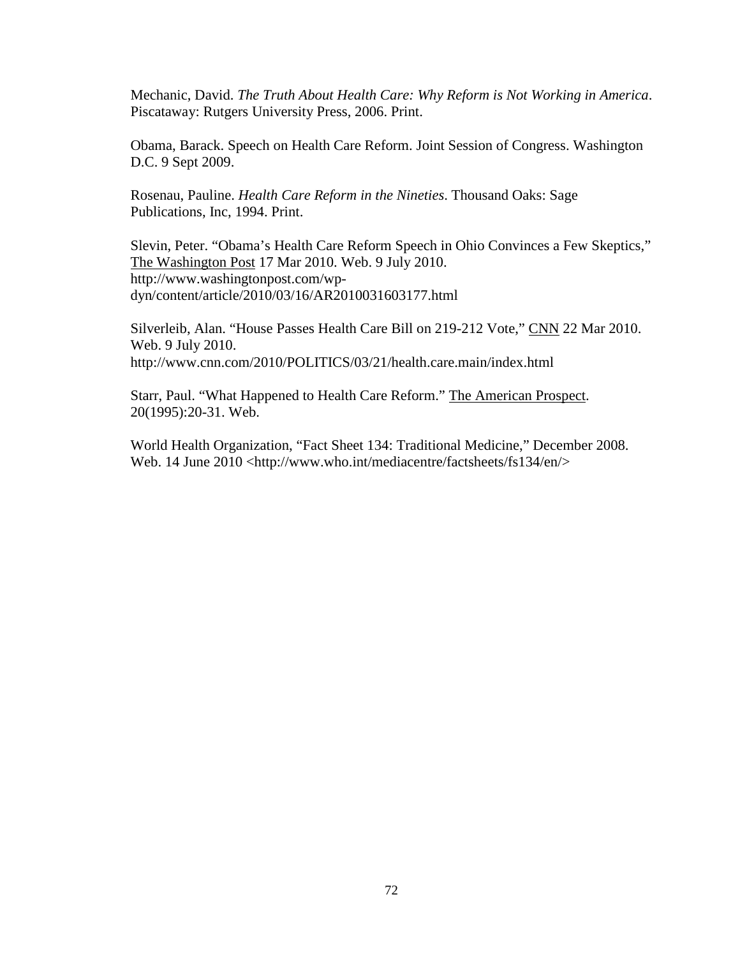Mechanic, David. *The Truth About Health Care: Why Reform is Not Working in America*. Piscataway: Rutgers University Press, 2006. Print.

Obama, Barack. Speech on Health Care Reform. Joint Session of Congress. Washington D.C. 9 Sept 2009.

Rosenau, Pauline. *Health Care Reform in the Nineties*. Thousand Oaks: Sage Publications, Inc, 1994. Print.

Slevin, Peter. "Obama's Health Care Reform Speech in Ohio Convinces a Few Skeptics," The Washington Post 17 Mar 2010. Web. 9 July 2010. http://www.washingtonpost.com/wpdyn/content/article/2010/03/16/AR2010031603177.html

Silverleib, Alan. "House Passes Health Care Bill on 219-212 Vote," CNN 22 Mar 2010. Web. 9 July 2010. http://www.cnn.com/2010/POLITICS/03/21/health.care.main/index.html

Starr, Paul. "What Happened to Health Care Reform." The American Prospect. 20(1995):20-31. Web.

World Health Organization, "Fact Sheet 134: Traditional Medicine," December 2008. Web. 14 June 2010 <http://www.who.int/mediacentre/factsheets/fs134/en/>